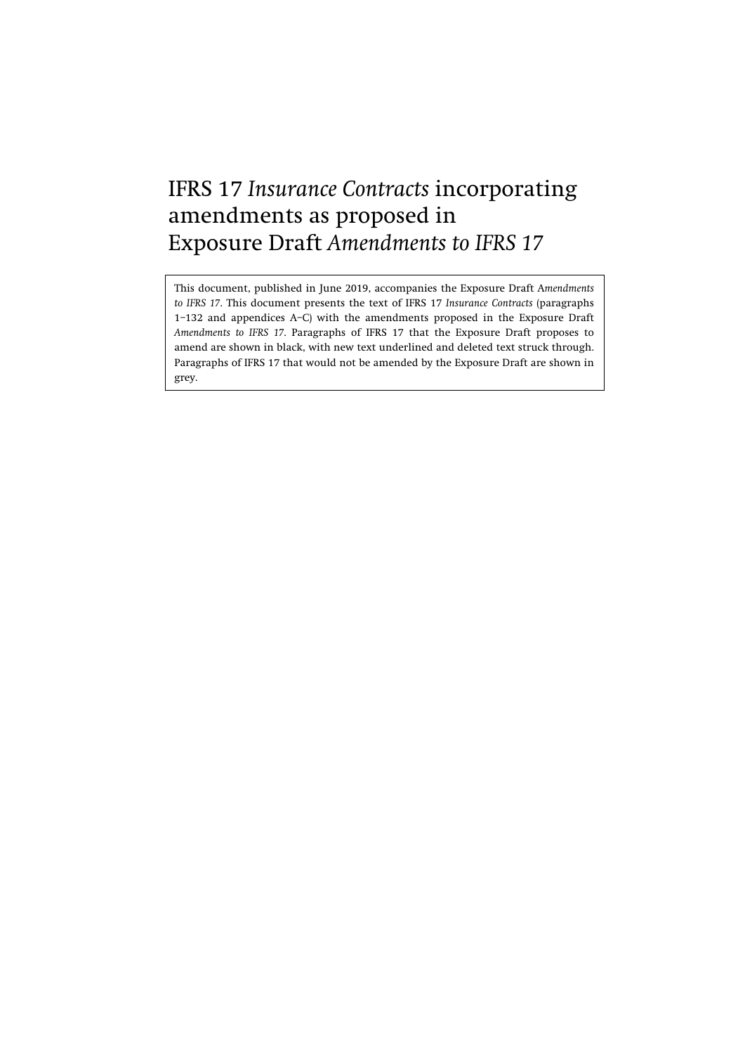# **IFRS 17** *Insurance Contracts* **incorporating amendments as proposed in Exposure Draft** *Amendments to IFRS 17*

**This document, published in June 2019, accompanies the Exposure Draft A***mendments to IFRS 17***. This document presents the text of IFRS 17** *Insurance Contracts* **(paragraphs 1–132 and appendices A–C) with the amendments proposed in the Exposure Draft**  *Amendments to IFRS 17***. Paragraphs of IFRS 17 that the Exposure Draft proposes to amend are shown in black, with new text underlined and deleted text struck through. Paragraphs of IFRS 17 that would not be amended by the Exposure Draft are shown in grey.**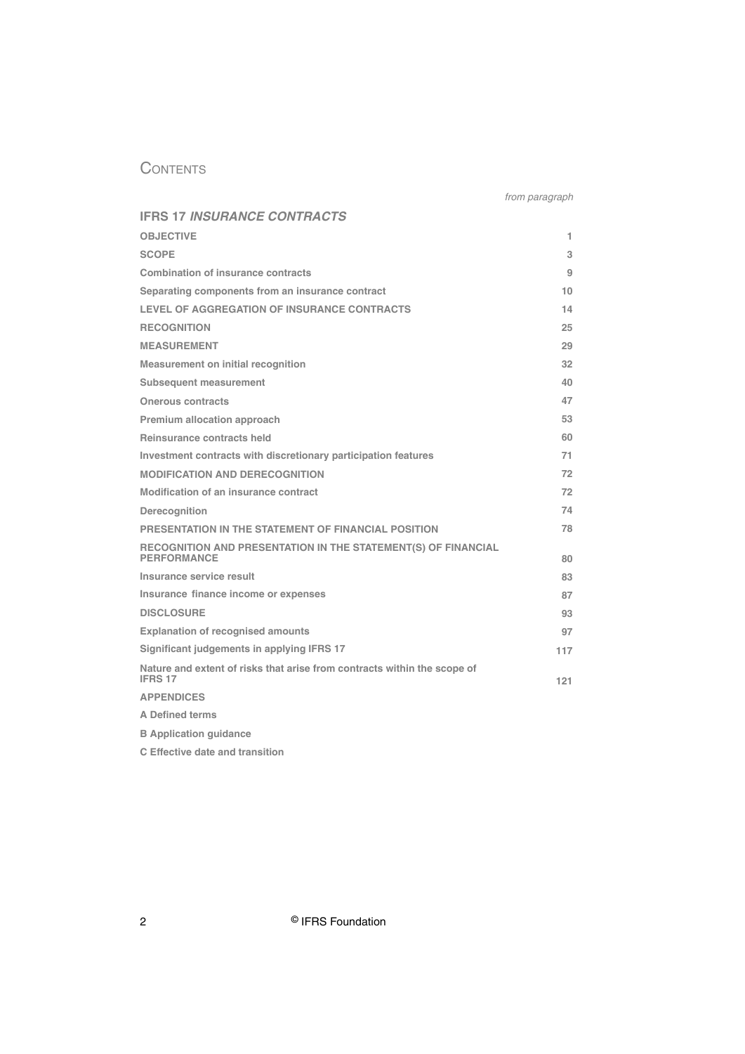# **CONTENTS**

from paragraph

| <b>IFRS 17 INSURANCE CONTRACTS</b>                                                         |     |  |
|--------------------------------------------------------------------------------------------|-----|--|
| <b>OBJECTIVE</b>                                                                           | 1   |  |
| <b>SCOPE</b>                                                                               | 3   |  |
| Combination of insurance contracts                                                         | 9   |  |
| Separating components from an insurance contract                                           | 10  |  |
| LEVEL OF AGGREGATION OF INSURANCE CONTRACTS                                                | 14  |  |
| <b>RECOGNITION</b>                                                                         | 25  |  |
| <b>MEASUREMENT</b>                                                                         | 29  |  |
| <b>Measurement on initial recognition</b>                                                  | 32  |  |
| Subsequent measurement                                                                     | 40  |  |
| Onerous contracts                                                                          | 47  |  |
| Premium allocation approach                                                                | 53  |  |
| Reinsurance contracts held                                                                 | 60  |  |
| Investment contracts with discretionary participation features                             |     |  |
| <b>MODIFICATION AND DERECOGNITION</b>                                                      | 72  |  |
| Modification of an insurance contract                                                      | 72  |  |
| Derecognition                                                                              | 74  |  |
| PRESENTATION IN THE STATEMENT OF FINANCIAL POSITION                                        | 78  |  |
| RECOGNITION AND PRESENTATION IN THE STATEMENT(S) OF FINANCIAL<br><b>PERFORMANCE</b>        | 80  |  |
| Insurance service result                                                                   | 83  |  |
| Insurance finance income or expenses                                                       | 87  |  |
| <b>DISCLOSURE</b>                                                                          | 93  |  |
| <b>Explanation of recognised amounts</b>                                                   | 97  |  |
| Significant judgements in applying IFRS 17                                                 | 117 |  |
| Nature and extent of risks that arise from contracts within the scope of<br><b>IFRS 17</b> | 121 |  |
| <b>APPENDICES</b>                                                                          |     |  |
| A Defined terms                                                                            |     |  |
| <b>B</b> Application quidance                                                              |     |  |

**[C Effective date and transition](#page-80-0)**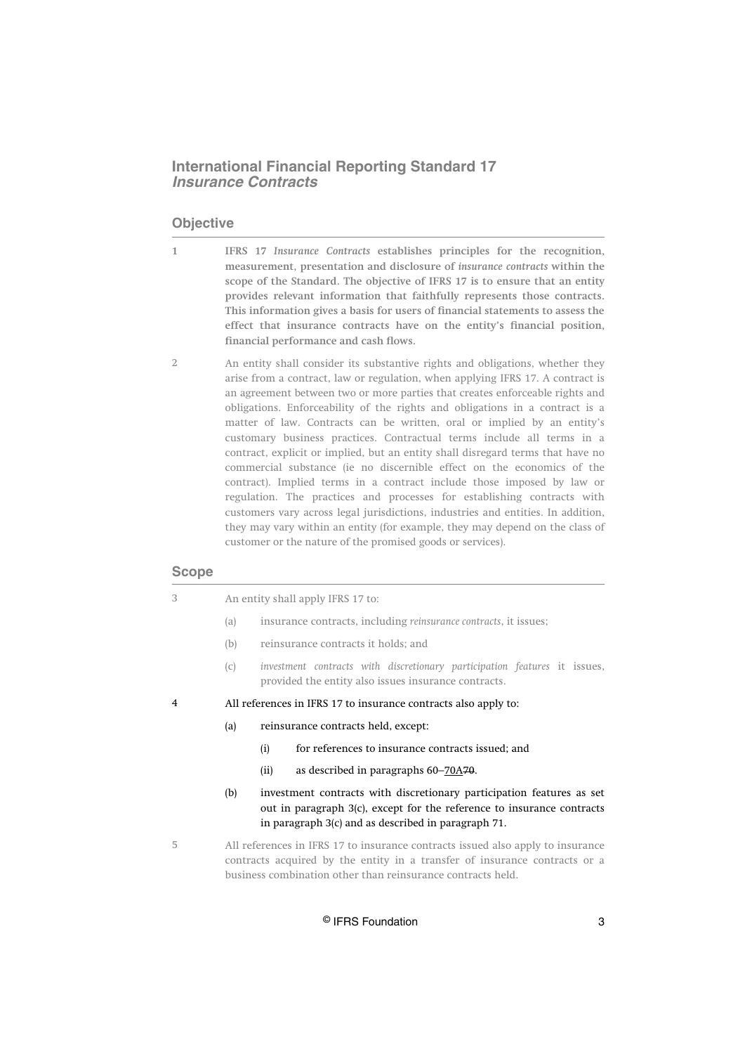# <span id="page-2-0"></span>**International Financial Reporting Standard 17 Insurance Contracts**

# **Objective**

- **IFRS 17** *Insurance Contracts* **establishes principles for the recognition, measurement, presentation and disclosure of** *insurance contracts* **within the scope of the Standard. The objective of IFRS 17 is to ensure that an entity provides relevant information that faithfully represents those contracts. This information gives a basis for users of financial statements to assess the effect that insurance contracts have on the entity's financial position, financial performance and cash flows. 1**
- An entity shall consider its substantive rights and obligations, whether they arise from a contract, law or regulation, when applying IFRS 17. A contract is an agreement between two or more parties that creates enforceable rights and obligations. Enforceability of the rights and obligations in a contract is a matter of law. Contracts can be written, oral or implied by an entity's customary business practices. Contractual terms include all terms in a contract, explicit or implied, but an entity shall disregard terms that have no commercial substance (ie no discernible effect on the economics of the contract). Implied terms in a contract include those imposed by law or regulation. The practices and processes for establishing contracts with customers vary across legal jurisdictions, industries and entities. In addition, they may vary within an entity (for example, they may depend on the class of customer or the nature of the promised goods or services).  $\overline{2}$

# **Scope**

3

An entity shall apply IFRS 17 to:

- (a) insurance contracts, including *reinsurance contracts*, it issues;
- (b) reinsurance contracts it holds; and
- (c) *investment contracts with discretionary participation features* it issues, provided the entity also issues insurance contracts.

#### All references in IFRS 17 to insurance contracts also apply to: 4

- (a) reinsurance contracts held, except:
	- (i) for references to insurance contracts issued; and
	- (ii) as described in paragraphs 60–70A70.
- (b) investment contracts with discretionary participation features as set out in paragraph 3(c), except for the reference to insurance contracts in paragraph 3(c) and as described in paragraph 71.
- All references in IFRS 17 to insurance contracts issued also apply to insurance contracts acquired by the entity in a transfer of insurance contracts or a business combination other than reinsurance contracts held. 5

# © IFRS Foundation 3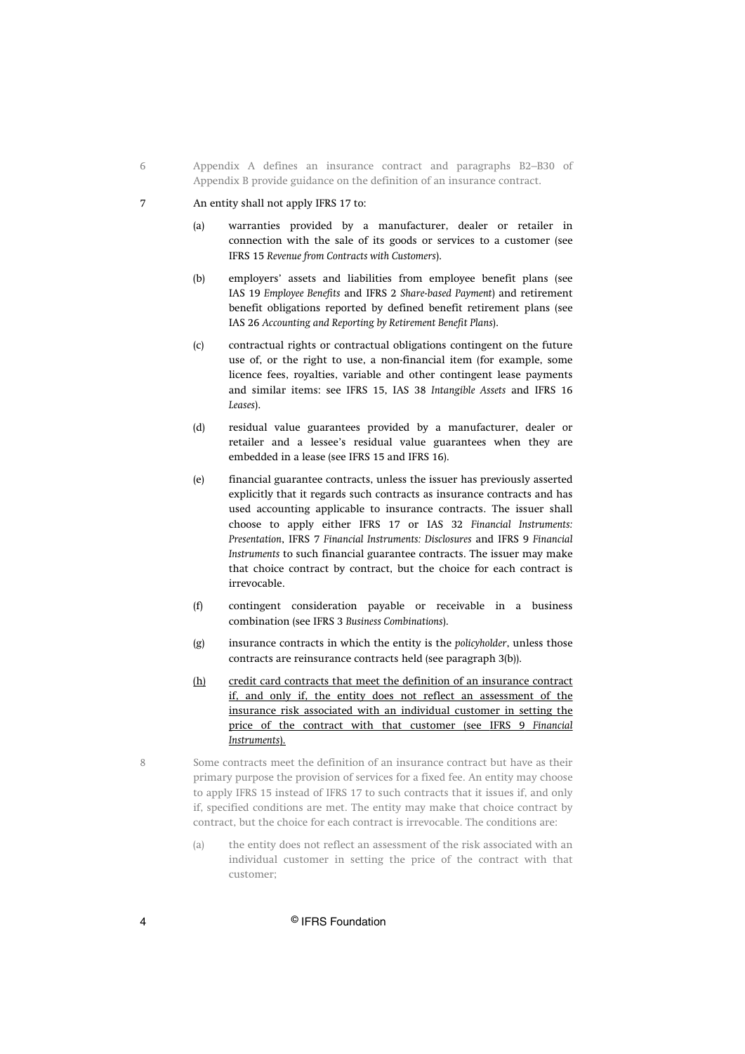Appendix A defines an insurance contract and [paragraphs B2–B30 of](#page-41-0) [Appendix B](#page-41-0) provide guidance on the definition of an insurance contract.

#### An entity shall not apply IFRS 17 to: 7

- (a) warranties provided by a manufacturer, dealer or retailer in connection with the sale of its goods or services to a customer (see IFRS 15 *Revenue from Contracts with Customers*).
- (b) employers' assets and liabilities from employee benefit plans (see IAS 19 *Employee Benefits* and IFRS 2 *Share-based Payment*) and retirement benefit obligations reported by defined benefit retirement plans (see IAS 26 *Accounting and Reporting by Retirement Benefit Plans*).
- (c) contractual rights or contractual obligations contingent on the future use of, or the right to use, a non-financial item (for example, some licence fees, royalties, variable and other contingent lease payments and similar items: see IFRS 15, IAS 38 *Intangible Assets* and IFRS 16 *Leases*).
- (d) residual value guarantees provided by a manufacturer, dealer or retailer and a lessee's residual value guarantees when they are embedded in a lease (see IFRS 15 and IFRS 16).
- (e) financial guarantee contracts, unless the issuer has previously asserted explicitly that it regards such contracts as insurance contracts and has used accounting applicable to insurance contracts. The issuer shall choose to apply either IFRS 17 or IAS 32 *Financial Instruments: Presentation*, IFRS 7 *Financial Instruments: Disclosures* and IFRS 9 *Financial Instruments* to such financial guarantee contracts. The issuer may make that choice contract by contract, but the choice for each contract is irrevocable.
- (f) contingent consideration payable or receivable in a business combination (see IFRS 3 *Business Combinations*).
- (g) insurance contracts in which the entity is the *policyholder*, unless those contracts are reinsurance contracts held (see paragraph 3(b)).
- (h) credit card contracts that meet the definition of an insurance contract if, and only if, the entity does not reflect an assessment of the insurance risk associated with an individual customer in setting the price of the contract with that customer (see IFRS 9 *Financial Instruments*).
- Some contracts meet the definition of an insurance contract but have as their primary purpose the provision of services for a fixed fee. An entity may choose to apply IFRS 15 instead of IFRS 17 to such contracts that it issues if, and only if, specified conditions are met. The entity may make that choice contract by contract, but the choice for each contract is irrevocable. The conditions are:
	- (a) the entity does not reflect an assessment of the risk associated with an individual customer in setting the price of the contract with that customer;

6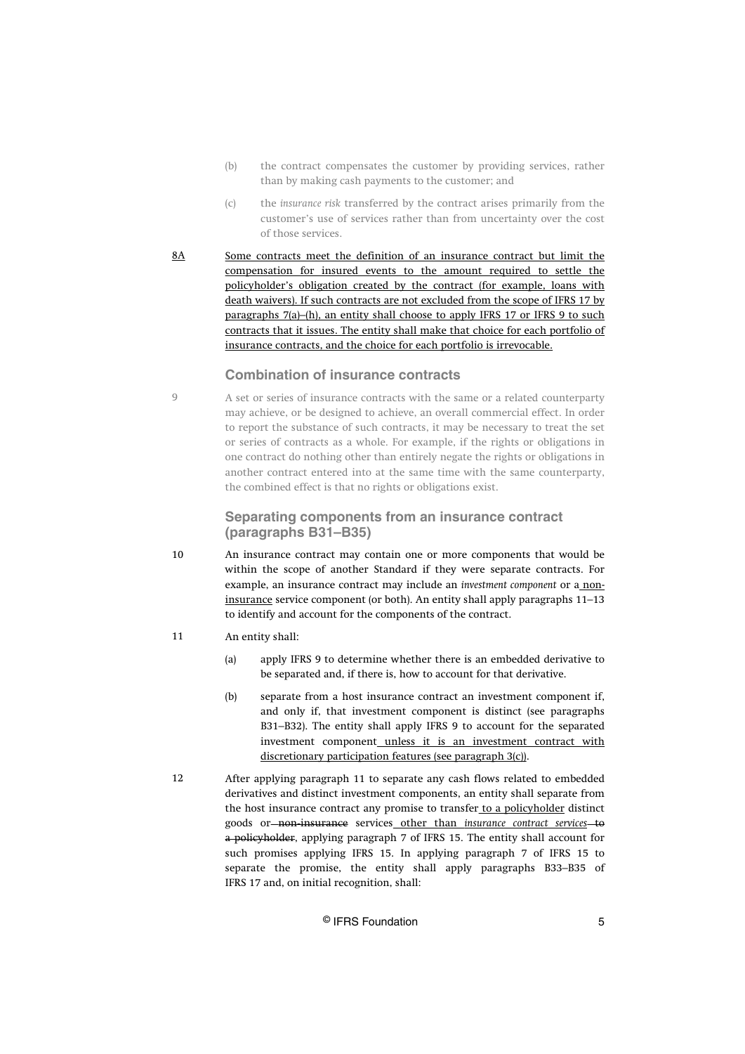- <span id="page-4-0"></span>(b) the contract compensates the customer by providing services, rather than by making cash payments to the customer; and
- (c) the *insurance risk* transferred by the contract arises primarily from the customer's use of services rather than from uncertainty over the cost of those services.
- Some contracts meet the definition of an insurance contract but limit the compensation for insured events to the amount required to settle the policyholder's obligation created by the contract (for example, loans with death waivers). If such contracts are not excluded from the scope of IFRS 17 by paragraphs 7(a)–(h), an entity shall choose to apply IFRS 17 or IFRS 9 to such contracts that it issues. The entity shall make that choice for each portfolio of insurance contracts, and the choice for each portfolio is irrevocable. 8A

# **Combination of insurance contracts**

A set or series of insurance contracts with the same or a related counterparty may achieve, or be designed to achieve, an overall commercial effect. In order to report the substance of such contracts, it may be necessary to treat the set or series of contracts as a whole. For example, if the rights or obligations in one contract do nothing other than entirely negate the rights or obligations in another contract entered into at the same time with the same counterparty, the combined effect is that no rights or obligations exist.

# **Separating components from an insurance contract ([paragraphs B31–B35\)](#page-49-0)**

- An insurance contract may contain one or more components that would be within the scope of another Standard if they were separate contracts. For example, an insurance contract may include an *investment component* or a noninsurance service component (or both). An entity shall apply paragraphs 11–13 to identify and account for the components of the contract. 10
- An entity shall: 11

- (a) apply IFRS 9 to determine whether there is an embedded derivative to be separated and, if there is, how to account for that derivative.
- (b) separate from a host insurance contract an investment component if, and only if, that investment component is distinct (see paragraphs B31–B32). The entity shall apply IFRS 9 to account for the separated investment component unless it is an investment contract with discretionary participation features (see paragraph 3(c)).
- After applying paragraph 11 to separate any cash flows related to embedded derivatives and distinct investment components, an entity shall separate from the host insurance contract any promise to transfer to a policyholder distinct goods or non‑insurance services other than *insurance contract services* to a policyholder, applying paragraph 7 of IFRS 15. The entity shall account for such promises applying IFRS 15. In applying paragraph 7 of IFRS 15 to separate the promise, the entity shall apply paragraphs B33–B35 of IFRS 17 and, on initial recognition, shall: 12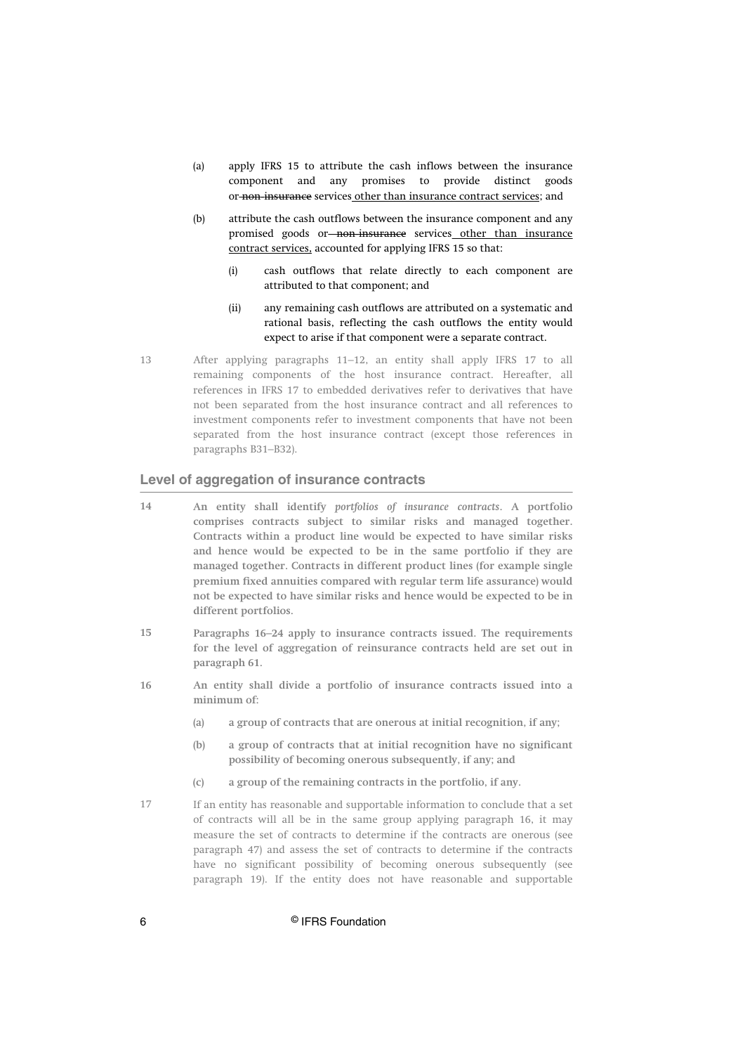- <span id="page-5-0"></span>(a) apply IFRS 15 to attribute the cash inflows between the insurance component and any promises to provide distinct goods or-non-insurance services other than insurance contract services; and
- (b) attribute the cash outflows between the insurance component and any promised goods or<del> non-insurance</del> services other than insurance contract services, accounted for applying IFRS 15 so that:
	- (i) cash outflows that relate directly to each component are attributed to that component; and
	- (ii) any remaining cash outflows are attributed on a systematic and rational basis, reflecting the cash outflows the entity would expect to arise if that component were a separate contract.
- After applying paragraphs 11–12, an entity shall apply IFRS 17 to all remaining components of the host insurance contract. Hereafter, all references in IFRS 17 to embedded derivatives refer to derivatives that have not been separated from the host insurance contract and all references to investment components refer to investment components that have not been separated from the host insurance contract (except those references in [paragraphs B31–B32](#page-49-0)). 13

## **Level of aggregation of insurance contracts**

- **An entity shall identify** *portfolios of insurance contracts***. A portfolio comprises contracts subject to similar risks and managed together. Contracts within a product line would be expected to have similar risks and hence would be expected to be in the same portfolio if they are managed together. Contracts in different product lines (for example single premium fixed annuities compared with regular term life assurance) would not be expected to have similar risks and hence would be expected to be in different portfolios. 14**
- **Paragraphs 16–24 apply to insurance contracts issued. The requirements for the level of aggregation of reinsurance contracts held are set out in paragraph 61. 15**
- **An entity shall divide a portfolio of insurance contracts issued into a minimum of: 16**
	- **(a) a group of contracts that are onerous at initial recognition, if any;**
	- **(b) a group of contracts that at initial recognition have no significant possibility of becoming onerous subsequently, if any; and**
	- **(c) a group of the remaining contracts in the portfolio, if any.**
- If an entity has reasonable and supportable information to conclude that a set of contracts will all be in the same group applying paragraph 16, it may measure the set of contracts to determine if the contracts are onerous (see [paragraph 47](#page-14-0)) and assess the set of contracts to determine if the contracts have no significant possibility of becoming onerous subsequently (see paragraph 19). If the entity does not have reasonable and supportable 17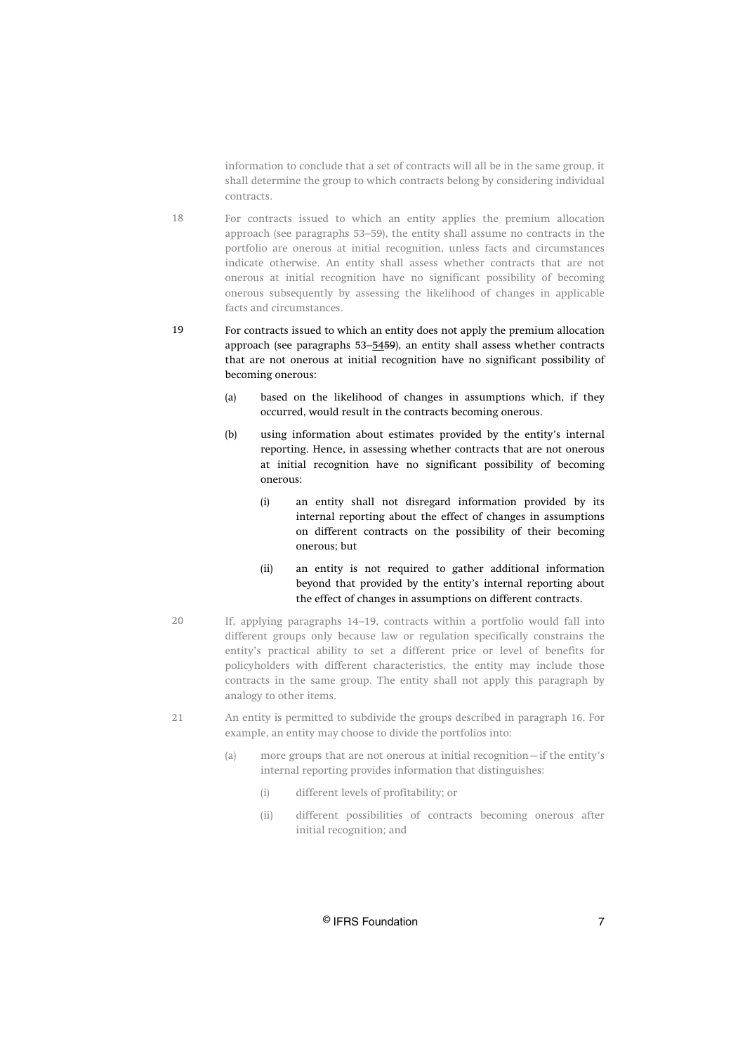information to conclude that a set of contracts will all be in the same group, it shall determine the group to which contracts belong by considering individual contracts.

For contracts issued to which an entity applies the premium allocation approach (see [paragraphs 53–59\)](#page-16-0), the entity shall assume no contracts in the portfolio are onerous at initial recognition, unless facts and circumstances indicate otherwise. An entity shall assess whether contracts that are not onerous at initial recognition have no significant possibility of becoming onerous subsequently by assessing the likelihood of changes in applicable facts and circumstances. 18

For contracts issued to which an entity does not apply the premium allocation approach (see paragraphs 53–5459), an entity shall assess whether contracts that are not onerous at initial recognition have no significant possibility of becoming onerous: 19

- (a) based on the likelihood of changes in assumptions which, if they occurred, would result in the contracts becoming onerous.
- (b) using information about estimates provided by the entity's internal reporting. Hence, in assessing whether contracts that are not onerous at initial recognition have no significant possibility of becoming onerous:
	- (i) an entity shall not disregard information provided by its internal reporting about the effect of changes in assumptions on different contracts on the possibility of their becoming onerous; but

# (ii) an entity is not required to gather additional information beyond that provided by the entity's internal reporting about the effect of changes in assumptions on different contracts.

- If, applying [paragraphs 14–19](#page-5-0), contracts within a portfolio would fall into different groups only because law or regulation specifically constrains the entity's practical ability to set a different price or level of benefits for policyholders with different characteristics, the entity may include those contracts in the same group. The entity shall not apply this paragraph by analogy to other items.  $20$
- An entity is permitted to subdivide the groups described in paragraph 16. For example, an entity may choose to divide the portfolios into: 21
	- (a) more groups that are not onerous at initial recognition—if the entity's internal reporting provides information that distinguishes:
		- (i) different levels of profitability; or
		- (ii) different possibilities of contracts becoming onerous after initial recognition; and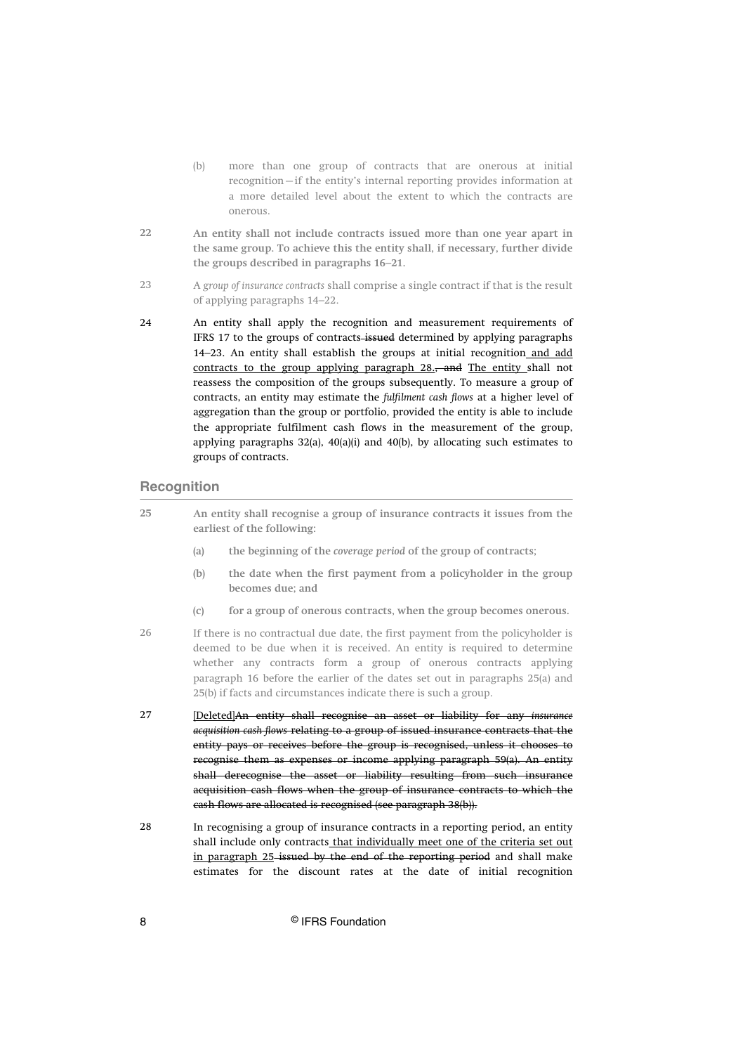- <span id="page-7-0"></span>(b) more than one group of contracts that are onerous at initial recognition—if the entity's internal reporting provides information at a more detailed level about the extent to which the contracts are onerous.
- **An entity shall not include contracts issued more than one year apart in the same group. To achieve this the entity shall, if necessary, further divide the groups described in paragraphs 16–21. 22**
- A *group of insurance contracts* shall comprise a single contract if that is the result of applying [paragraphs 14–22.](#page-5-0) 23
- An entity shall apply the recognition and measurement requirements of IFRS 17 to the groups of contracts-issued determined by applying paragraphs 14–23. An entity shall establish the groups at initial recognition and add contracts to the group applying paragraph 28., and The entity shall not reassess the composition of the groups subsequently. To measure a group of contracts, an entity may estimate the *fulfilment cash flows* at a higher level of aggregation than the group or portfolio, provided the entity is able to include the appropriate fulfilment cash flows in the measurement of the group, applying paragraphs  $32(a)$ ,  $40(a)(i)$  and  $40(b)$ , by allocating such estimates to groups of contracts. 24

# **Recognition**

| 25 | An entity shall recognise a group of insurance contracts it issues from the<br>earliest of the following:                                                                                                                                                                                                                                                                           |                                                                                                                                                                                                                                                                                                                                                                                                                                                                                                                                                     |  |
|----|-------------------------------------------------------------------------------------------------------------------------------------------------------------------------------------------------------------------------------------------------------------------------------------------------------------------------------------------------------------------------------------|-----------------------------------------------------------------------------------------------------------------------------------------------------------------------------------------------------------------------------------------------------------------------------------------------------------------------------------------------------------------------------------------------------------------------------------------------------------------------------------------------------------------------------------------------------|--|
|    | (a)                                                                                                                                                                                                                                                                                                                                                                                 | the beginning of the <i>coverage period</i> of the group of contracts;                                                                                                                                                                                                                                                                                                                                                                                                                                                                              |  |
|    | (b)                                                                                                                                                                                                                                                                                                                                                                                 | the date when the first payment from a policyholder in the group<br>becomes due; and                                                                                                                                                                                                                                                                                                                                                                                                                                                                |  |
|    | (c)                                                                                                                                                                                                                                                                                                                                                                                 | for a group of onerous contracts, when the group becomes onerous.                                                                                                                                                                                                                                                                                                                                                                                                                                                                                   |  |
| 26 | If there is no contractual due date, the first payment from the policyholder is<br>deemed to be due when it is received. An entity is required to determine<br>whether any contracts form a group of onerous contracts applying<br>paragraph 16 before the earlier of the dates set out in paragraphs 25(a) and<br>25(b) if facts and circumstances indicate there is such a group. |                                                                                                                                                                                                                                                                                                                                                                                                                                                                                                                                                     |  |
| 27 |                                                                                                                                                                                                                                                                                                                                                                                     | [Deleted]An entity shall recognise an asset or liability for any insurance<br>acquisition cash flows relating to a group of issued insurance contracts that the<br>entity pays or receives before the group is recognised, unless it chooses to<br>recognise them as expenses or income applying paragraph 59(a). An entity<br>shall derecognise the asset or liability resulting from such insurance<br>acquisition cash flows when the group of insurance contracts to which the<br>cash flows are allocated is recognised (see paragraph 38(b)). |  |
| 28 |                                                                                                                                                                                                                                                                                                                                                                                     | In recognising a group of insurance contracts in a reporting period, an entity<br>shall include only contracts that individually meet one of the criteria set out<br>in paragraph 25-issued by the end of the reporting period and shall make                                                                                                                                                                                                                                                                                                       |  |

estimates for the discount rates at the date of initial recognition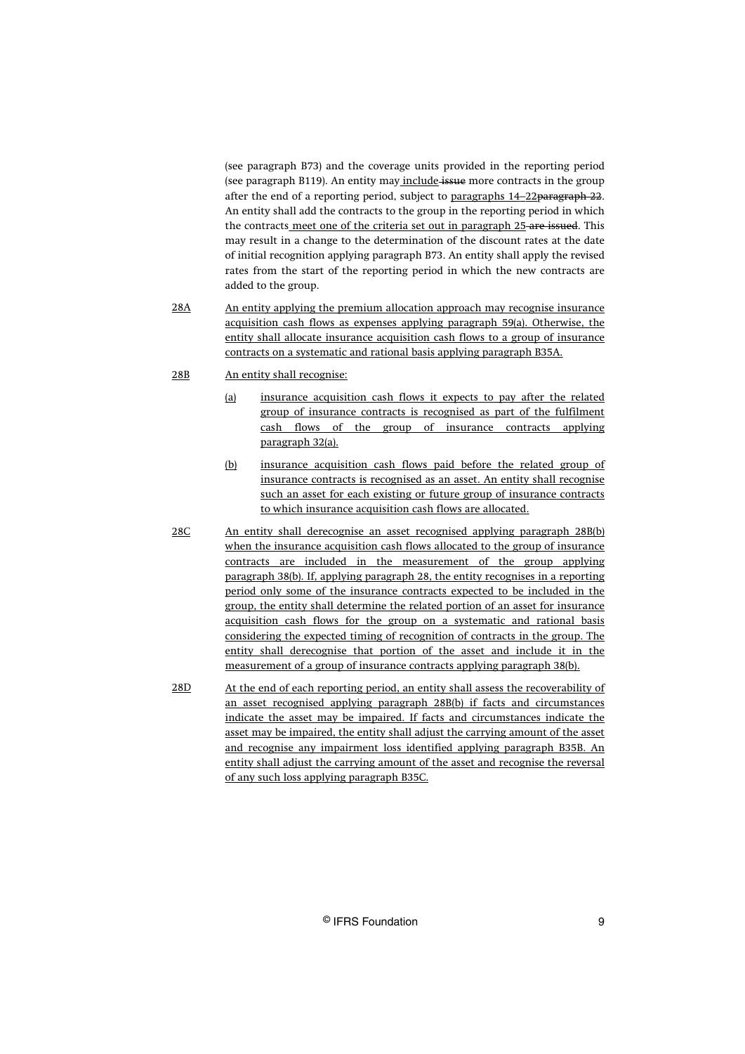(see paragraph B73) and the coverage units provided in the reporting period (see paragraph B119). An entity may include-issue more contracts in the group after the end of a reporting period, subject to paragraphs 14–22paragraph 22. An entity shall add the contracts to the group in the reporting period in which the contracts meet one of the criteria set out in paragraph 25-are issued. This may result in a change to the determination of the discount rates at the date of initial recognition applying paragraph B73. An entity shall apply the revised rates from the start of the reporting period in which the new contracts are added to the group.

- An entity applying the premium allocation approach may recognise insurance acquisition cash flows as expenses applying paragraph 59(a). Otherwise, the entity shall allocate insurance acquisition cash flows to a group of insurance contracts on a systematic and rational basis applying paragraph B35A. 28A
- An entity shall recognise: 28B
	- (a) insurance acquisition cash flows it expects to pay after the related group of insurance contracts is recognised as part of the fulfilment cash flows of the group of insurance contracts applying paragraph 32(a).
	- (b) insurance acquisition cash flows paid before the related group of insurance contracts is recognised as an asset. An entity shall recognise such an asset for each existing or future group of insurance contracts to which insurance acquisition cash flows are allocated.
- An entity shall derecognise an asset recognised applying paragraph 28B(b) when the insurance acquisition cash flows allocated to the group of insurance contracts are included in the measurement of the group applying paragraph 38(b). If, applying paragraph 28, the entity recognises in a reporting period only some of the insurance contracts expected to be included in the group, the entity shall determine the related portion of an asset for insurance acquisition cash flows for the group on a systematic and rational basis considering the expected timing of recognition of contracts in the group. The entity shall derecognise that portion of the asset and include it in the measurement of a group of insurance contracts applying paragraph 38(b). 28C
- At the end of each reporting period, an entity shall assess the recoverability of an asset recognised applying paragraph 28B(b) if facts and circumstances indicate the asset may be impaired. If facts and circumstances indicate the asset may be impaired, the entity shall adjust the carrying amount of the asset and recognise any impairment loss identified applying paragraph B35B. An entity shall adjust the carrying amount of the asset and recognise the reversal of any such loss applying paragraph B35C. 28D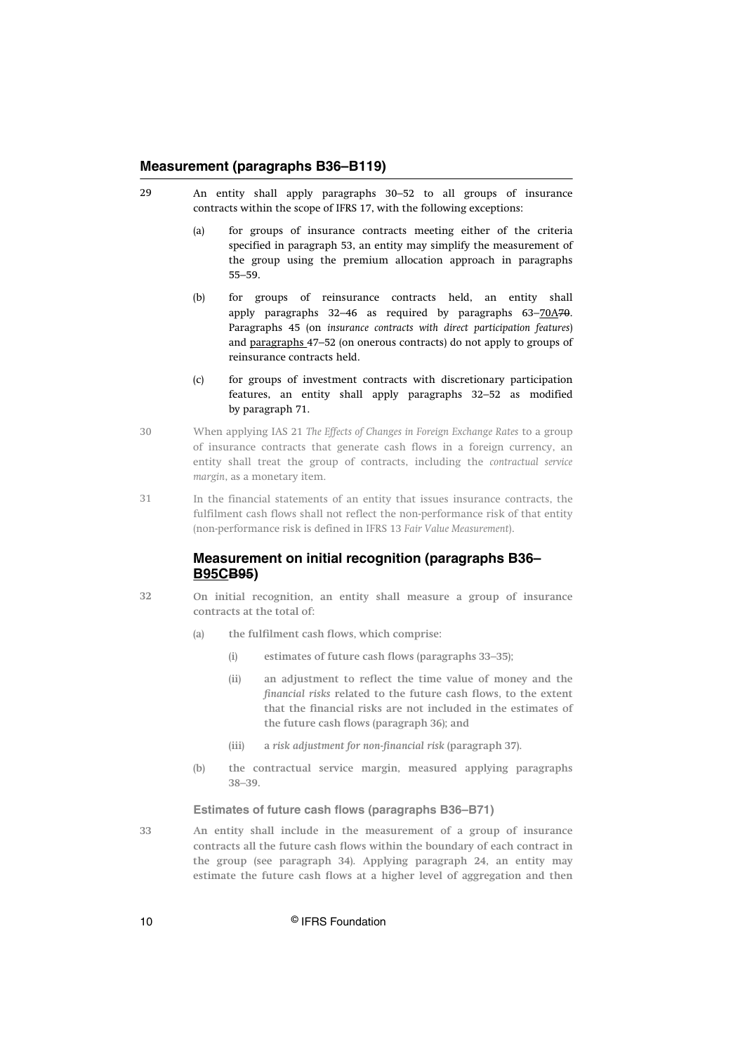# <span id="page-9-0"></span>**Measurement ([paragraphs B36–B119](#page-51-0))**

- An entity shall apply paragraphs 30–52 to all groups of insurance contracts within the scope of IFRS 17, with the following exceptions: 29
	- (a) for groups of insurance contracts meeting either of the criteria specified in paragraph 53, an entity may simplify the measurement of the group using the premium allocation approach in paragraphs 55–59.
	- (b) for groups of reinsurance contracts held, an entity shall apply paragraphs 32–46 as required by paragraphs 63–70A70. Paragraphs 45 (on *insurance contracts with direct participation features*) and paragraphs 47–52 (on onerous contracts) do not apply to groups of reinsurance contracts held.
	- (c) for groups of investment contracts with discretionary participation features, an entity shall apply paragraphs 32–52 as modified by paragraph 71.
- When applying IAS 21 *The Effects of Changes in Foreign Exchange Rates* to a group of insurance contracts that generate cash flows in a foreign currency, an entity shall treat the group of contracts, including the *contractual service margin*, as a monetary item. 30
- In the financial statements of an entity that issues insurance contracts, the fulfilment cash flows shall not reflect the non-performance risk of that entity (non-performance risk is defined in IFRS 13 *Fair Value Measurement*). 31

# **Measurement on initial recognition (paragraphs B36– B95CB95)**

- **On initial recognition, an entity shall measure a group of insurance contracts at the total of: 32**
	- **(a) the fulfilment cash flows, which comprise:**
		- **(i) estimates of future cash flows (paragraphs 33–35);**
		- **(ii) an adjustment to reflect the time value of money and the** *financial risks* **related to the future cash flows, to the extent that the financial risks are not included in the estimates of the future cash flows [\(paragraph 36](#page-11-0)); and**
		- **(iii) a** *risk adjustment for non-financial risk* **([paragraph 37\)](#page-11-0).**
	- **(b) the contractual service margin, measured applying [paragraphs](#page-11-0) [38–39.](#page-11-0)**

# **Estimates of future cash flows [\(paragraphs B36–B71\)](#page-51-0)**

**An entity shall include in the measurement of a group of insurance contracts all the future cash flows within the boundary of each contract in the group (see paragraph 34). Applying paragraph 24, an entity may estimate the future cash flows at a higher level of aggregation and then 33**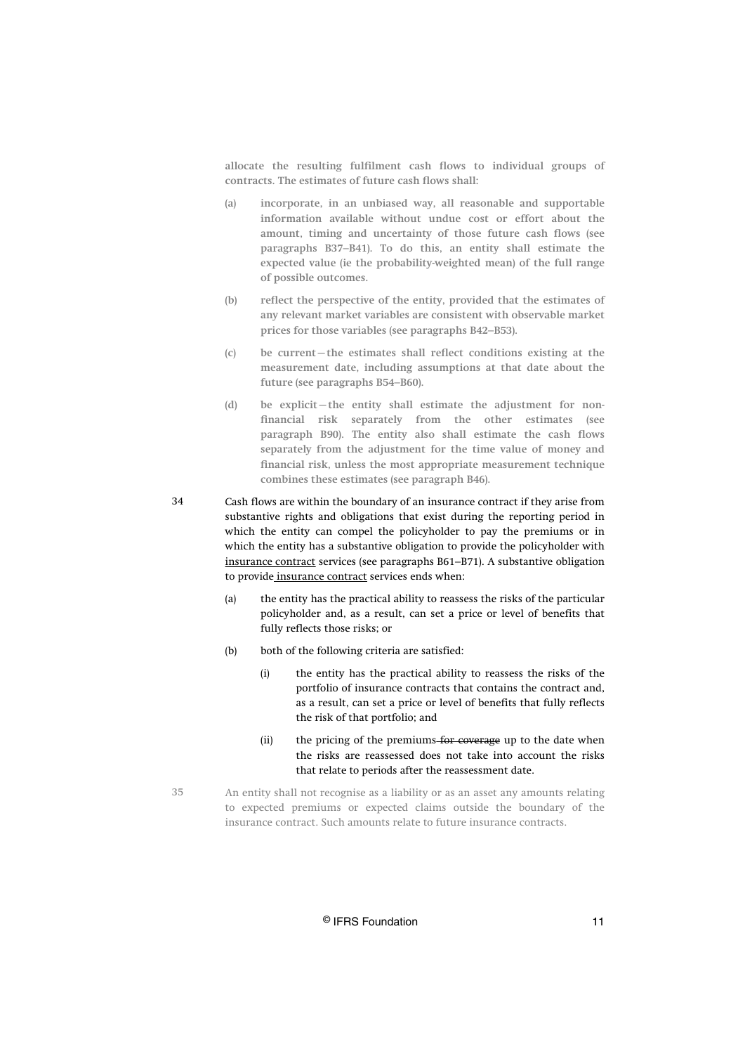**allocate the resulting fulfilment cash flows to individual groups of contracts. The estimates of future cash flows shall:**

- **(a) incorporate, in an unbiased way, all reasonable and supportable information available without undue cost or effort about the amount, timing and uncertainty of those future cash flows (see [paragraphs B37–B41](#page-51-0)). To do this, an entity shall estimate the expected value (ie the probability-weighted mean) of the full range of possible outcomes.**
- **(b) reflect the perspective of the entity, provided that the estimates of any relevant market variables are consistent with observable market prices for those variables (see [paragraphs B42–B53](#page-53-0)).**
- **(c) be current—the estimates shall reflect conditions existing at the measurement date, including assumptions at that date about the future (see [paragraphs B54–B60](#page-55-0)).**
- **(d) be explicit—the entity shall estimate the adjustment for nonfinancial risk separately from the other estimates (see paragraph B90). The entity also shall estimate the cash flows separately from the adjustment for the time value of money and financial risk, unless the most appropriate measurement technique combines these estimates (see paragraph B46).**
- Cash flows are within the boundary of an insurance contract if they arise from substantive rights and obligations that exist during the reporting period in which the entity can compel the policyholder to pay the premiums or in which the entity has a substantive obligation to provide the policyholder with insurance contract services (see paragraphs B61–B71). A substantive obligation to provide insurance contract services ends when: 34
	- (a) the entity has the practical ability to reassess the risks of the particular policyholder and, as a result, can set a price or level of benefits that fully reflects those risks; or
	- (b) both of the following criteria are satisfied:
		- (i) the entity has the practical ability to reassess the risks of the portfolio of insurance contracts that contains the contract and, as a result, can set a price or level of benefits that fully reflects the risk of that portfolio; and
		- (ii) the pricing of the premiums for coverage up to the date when the risks are reassessed does not take into account the risks that relate to periods after the reassessment date.
- An entity shall not recognise as a liability or as an asset any amounts relating to expected premiums or expected claims outside the boundary of the insurance contract. Such amounts relate to future insurance contracts. 35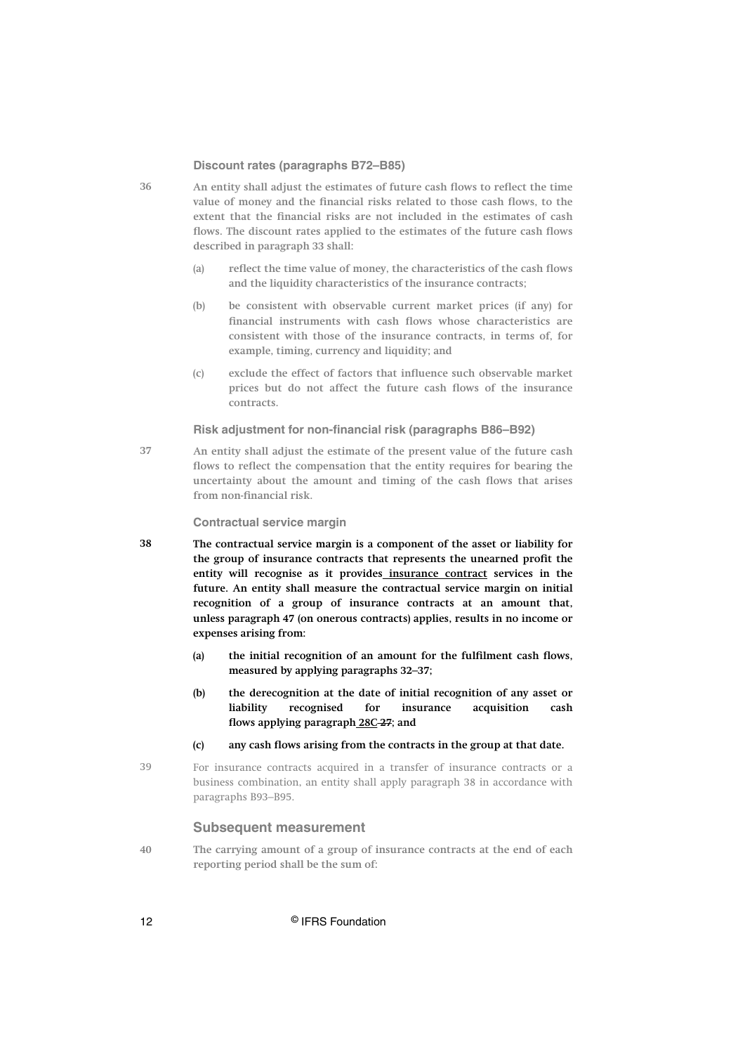#### **Discount rates [\(paragraphs B72–B85\)](#page-60-0)**

- **An entity shall adjust the estimates of future cash flows to reflect the time value of money and the financial risks related to those cash flows, to the extent that the financial risks are not included in the estimates of cash flows. The discount rates applied to the estimates of the future cash flows described in [paragraph 33](#page-9-0) shall:**
	- **(a) reflect the time value of money, the characteristics of the cash flows and the liquidity characteristics of the insurance contracts;**
	- **(b) be consistent with observable current market prices (if any) for financial instruments with cash flows whose characteristics are consistent with those of the insurance contracts, in terms of, for example, timing, currency and liquidity; and**
	- **(c) exclude the effect of factors that influence such observable market prices but do not affect the future cash flows of the insurance contracts.**

#### **Risk adjustment for non-financial risk [\(paragraphs B86–B92](#page-65-0))**

**An entity shall adjust the estimate of the present value of the future cash flows to reflect the compensation that the entity requires for bearing the uncertainty about the amount and timing of the cash flows that arises from non-financial risk. 37**

**Contractual service margin**

- **The contractual service margin is a component of the asset or liability for the group of insurance contracts that represents the unearned profit the entity will recognise as it provides insurance contract services in the future. An entity shall measure the contractual service margin on initial recognition of a group of insurance contracts at an amount that, unless paragraph 47 (on onerous contracts) applies, results in no income or expenses arising from: 38**
	- **(a) the initial recognition of an amount for the fulfilment cash flows, measured by applying paragraphs 32–37;**
	- **(b) the derecognition at the date of initial recognition of any asset or liability recognised for insurance acquisition cash flows applying paragraph 28C 27; and**
	- **(c) any cash flows arising from the contracts in the group at that date.**
- For insurance contracts acquired in a transfer of insurance contracts or a business combination, an entity shall apply paragraph 38 in accordance with [paragraphs B93–B95](#page-66-0).

# **Subsequent measurement**

**The carrying amount of a group of insurance contracts at the end of each reporting period shall be the sum of: 40**

<span id="page-11-0"></span>**36**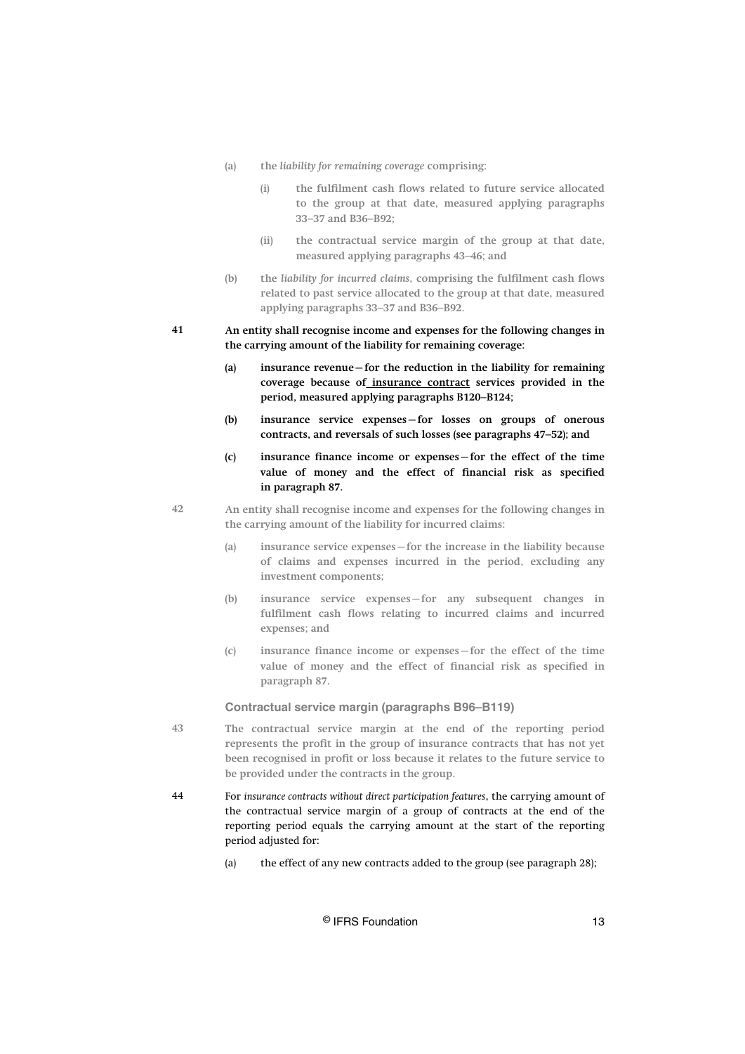- **(a) the** *liability for remaining coverage* **comprising:**
	- **(i) the fulfilment cash flows related to future service allocated to the group at that date, measured applying [paragraphs](#page-9-0) [33–37](#page-9-0) and [B36–B92](#page-51-0);**
	- **(ii) the contractual service margin of the group at that date, measured applying paragraphs 43–46; and**
- **(b) the** *liability for incurred claims***, comprising the fulfilment cash flows related to past service allocated to the group at that date, measured applying [paragraphs 33–37](#page-9-0) and [B36–B92](#page-51-0).**
- **An entity shall recognise income and expenses for the following changes in the carrying amount of the liability for remaining coverage:** 
	- **(a) insurance revenue—for the reduction in the liability for remaining coverage because of insurance contract services provided in the period, measured applying paragraphs B120–B124;**
	- **(b) insurance service expenses—for losses on groups of onerous contracts, and reversals of such losses (see paragraphs 47–52); and**
	- **(c) insurance finance income or expenses—for the effect of the time value of money and the effect of financial risk as specified in paragraph 87.**
- **An entity shall recognise income and expenses for the following changes in the carrying amount of the liability for incurred claims: 42**
	- **(a) insurance service expenses—for the increase in the liability because of claims and expenses incurred in the period, excluding any investment components;**
	- **(b) insurance service expenses—for any subsequent changes in fulfilment cash flows relating to incurred claims and incurred expenses; and**
	- **(c) insurance finance income or expenses—for the effect of the time value of money and the effect of financial risk as specified in [paragraph 87](#page-25-0).**

**Contractual service margin [\(paragraphs B96–B119\)](#page-67-0)**

- **The contractual service margin at the end of the reporting period represents the profit in the group of insurance contracts that has not yet been recognised in profit or loss because it relates to the future service to be provided under the contracts in the group. 43**
- For *insurance contracts without direct participation features*, the carrying amount of the contractual service margin of a group of contracts at the end of the reporting period equals the carrying amount at the start of the reporting period adjusted for: 44
	- (a) the effect of any new contracts added to the group (see paragraph 28);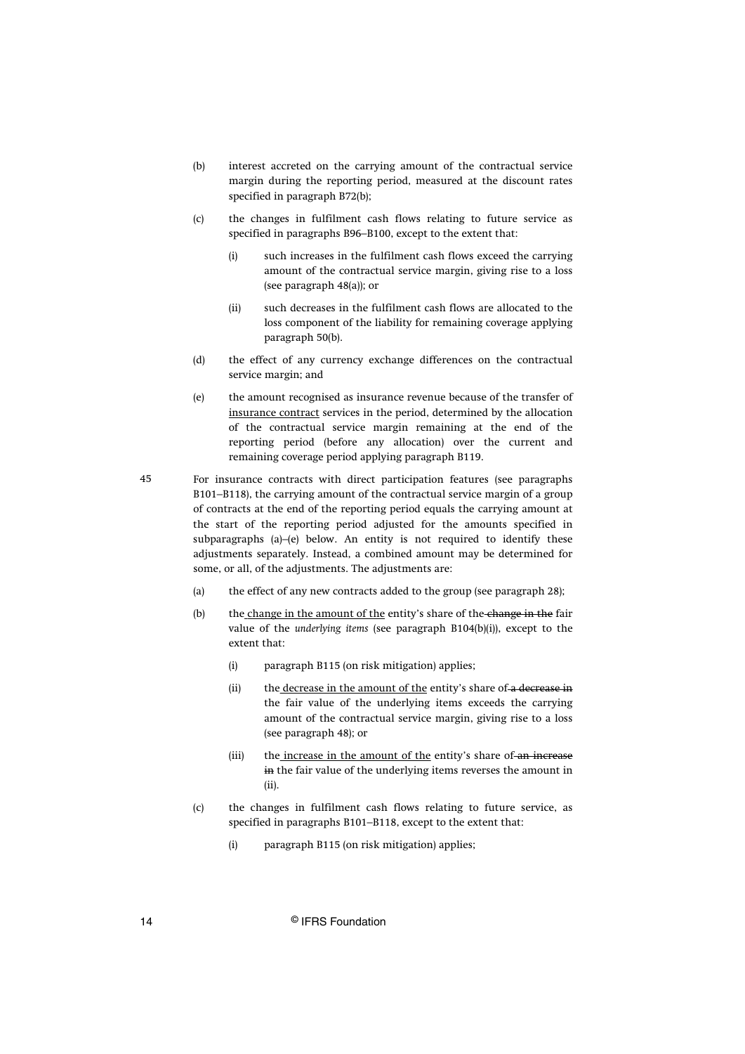- (b) interest accreted on the carrying amount of the contractual service margin during the reporting period, measured at the discount rates specified in paragraph B72(b);
- (c) the changes in fulfilment cash flows relating to future service as specified in paragraphs B96–B100, except to the extent that:
	- (i) such increases in the fulfilment cash flows exceed the carrying amount of the contractual service margin, giving rise to a loss (see paragraph 48(a)); or
	- (ii) such decreases in the fulfilment cash flows are allocated to the loss component of the liability for remaining coverage applying paragraph 50(b).
- (d) the effect of any currency exchange differences on the contractual service margin; and
- (e) the amount recognised as insurance revenue because of the transfer of insurance contract services in the period, determined by the allocation of the contractual service margin remaining at the end of the reporting period (before any allocation) over the current and remaining coverage period applying paragraph B119.
- For insurance contracts with direct participation features (see paragraphs B101–B118), the carrying amount of the contractual service margin of a group of contracts at the end of the reporting period equals the carrying amount at the start of the reporting period adjusted for the amounts specified in subparagraphs (a)–(e) below. An entity is not required to identify these adjustments separately. Instead, a combined amount may be determined for some, or all, of the adjustments. The adjustments are: 45
	- (a) the effect of any new contracts added to the group (see paragraph 28);
	- (b) the change in the amount of the entity's share of the change in the fair value of the *underlying items* (see paragraph B104(b)(i)), except to the extent that:
		- (i) paragraph B115 (on risk mitigation) applies;
		- (ii) the decrease in the amount of the entity's share of a decrease in the fair value of the underlying items exceeds the carrying amount of the contractual service margin, giving rise to a loss (see paragraph 48); or
		- (iii) the increase in the amount of the entity's share of an increase in the fair value of the underlying items reverses the amount in (ii).
	- (c) the changes in fulfilment cash flows relating to future service, as specified in paragraphs B101–B118, except to the extent that:
		- (i) paragraph B115 (on risk mitigation) applies;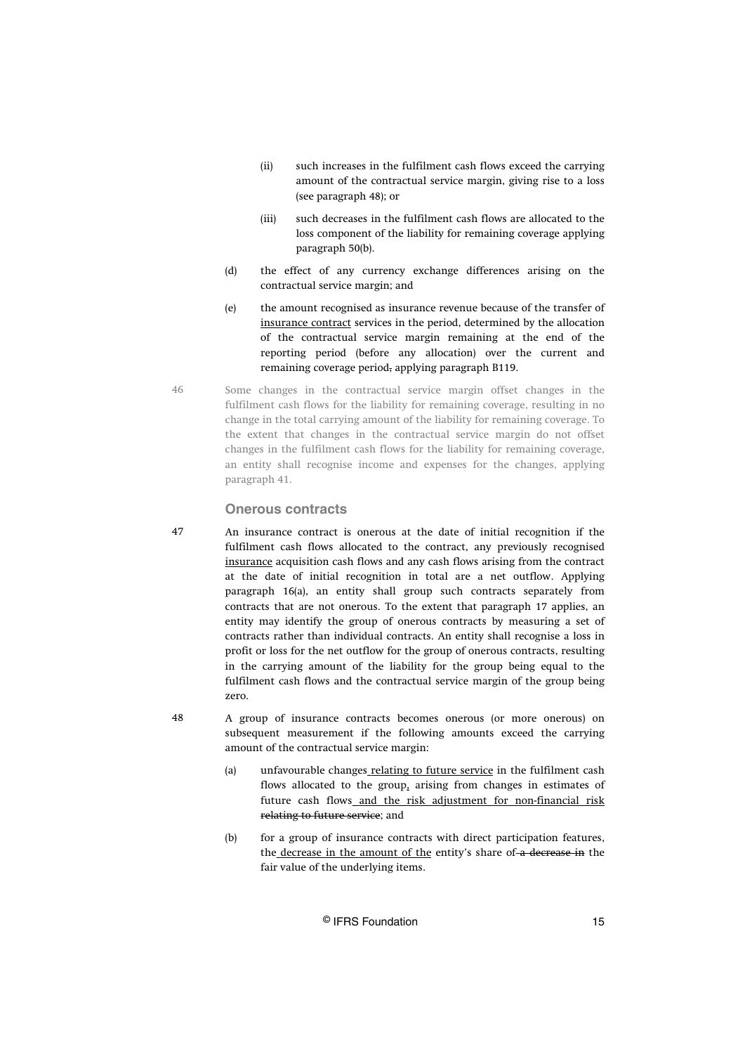- <span id="page-14-0"></span>(ii) such increases in the fulfilment cash flows exceed the carrying amount of the contractual service margin, giving rise to a loss (see paragraph 48); or
- (iii) such decreases in the fulfilment cash flows are allocated to the loss component of the liability for remaining coverage applying paragraph 50(b).
- (d) the effect of any currency exchange differences arising on the contractual service margin; and
- (e) the amount recognised as insurance revenue because of the transfer of insurance contract services in the period, determined by the allocation of the contractual service margin remaining at the end of the reporting period (before any allocation) over the current and remaining coverage period, applying paragraph B119.
- Some changes in the contractual service margin offset changes in the fulfilment cash flows for the liability for remaining coverage, resulting in no change in the total carrying amount of the liability for remaining coverage. To the extent that changes in the contractual service margin do not offset changes in the fulfilment cash flows for the liability for remaining coverage, an entity shall recognise income and expenses for the changes, applying paragraph 41. 46

#### **Onerous contracts**

- An insurance contract is onerous at the date of initial recognition if the fulfilment cash flows allocated to the contract, any previously recognised insurance acquisition cash flows and any cash flows arising from the contract at the date of initial recognition in total are a net outflow. Applying paragraph 16(a), an entity shall group such contracts separately from contracts that are not onerous. To the extent that paragraph 17 applies, an entity may identify the group of onerous contracts by measuring a set of contracts rather than individual contracts. An entity shall recognise a loss in profit or loss for the net outflow for the group of onerous contracts, resulting in the carrying amount of the liability for the group being equal to the fulfilment cash flows and the contractual service margin of the group being zero.
- A group of insurance contracts becomes onerous (or more onerous) on subsequent measurement if the following amounts exceed the carrying amount of the contractual service margin: 48
	- (a) unfavourable changes relating to future service in the fulfilment cash flows allocated to the group, arising from changes in estimates of future cash flows and the risk adjustment for non-financial risk relating to future service; and
	- (b) for a group of insurance contracts with direct participation features, the decrease in the amount of the entity's share of a decrease in the fair value of the underlying items.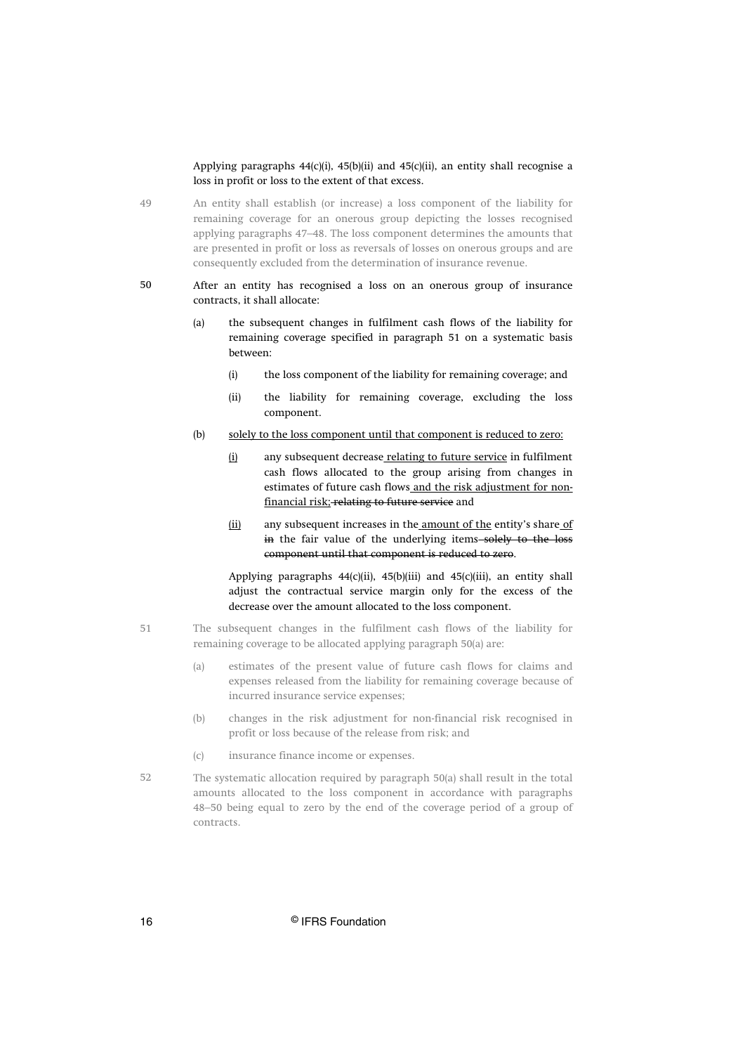# Applying paragraphs  $44(c)(i)$ ,  $45(b)(ii)$  and  $45(c)(ii)$ , an entity shall recognise a loss in profit or loss to the extent of that excess.

- An entity shall establish (or increase) a loss component of the liability for remaining coverage for an onerous group depicting the losses recognised applying [paragraphs 47–48](#page-14-0). The loss component determines the amounts that are presented in profit or loss as reversals of losses on onerous groups and are consequently excluded from the determination of insurance revenue. 49
- After an entity has recognised a loss on an onerous group of insurance contracts, it shall allocate: 50
	- (a) the subsequent changes in fulfilment cash flows of the liability for remaining coverage specified in paragraph 51 on a systematic basis between:
		- (i) the loss component of the liability for remaining coverage; and
		- (ii) the liability for remaining coverage, excluding the loss component.
	- (b) solely to the loss component until that component is reduced to zero:
		- (i) any subsequent decrease relating to future service in fulfilment cash flows allocated to the group arising from changes in estimates of future cash flows and the risk adjustment for nonfinancial risk; relating to future service and
		- (ii) any subsequent increases in the amount of the entity's share of in the fair value of the underlying items-solely to the loss component until that component is reduced to zero.

Applying paragraphs 44(c)(ii), 45(b)(iii) and 45(c)(iii), an entity shall adjust the contractual service margin only for the excess of the decrease over the amount allocated to the loss component.

- The subsequent changes in the fulfilment cash flows of the liability for remaining coverage to be allocated applying paragraph 50(a) are: 51
	- (a) estimates of the present value of future cash flows for claims and expenses released from the liability for remaining coverage because of incurred insurance service expenses;
	- (b) changes in the risk adjustment for non-financial risk recognised in profit or loss because of the release from risk; and
	- (c) insurance finance income or expenses.
- The systematic allocation required by paragraph 50(a) shall result in the total amounts allocated to the loss component in accordance with paragraphs 48–50 being equal to zero by the end of the coverage period of a group of contracts. 52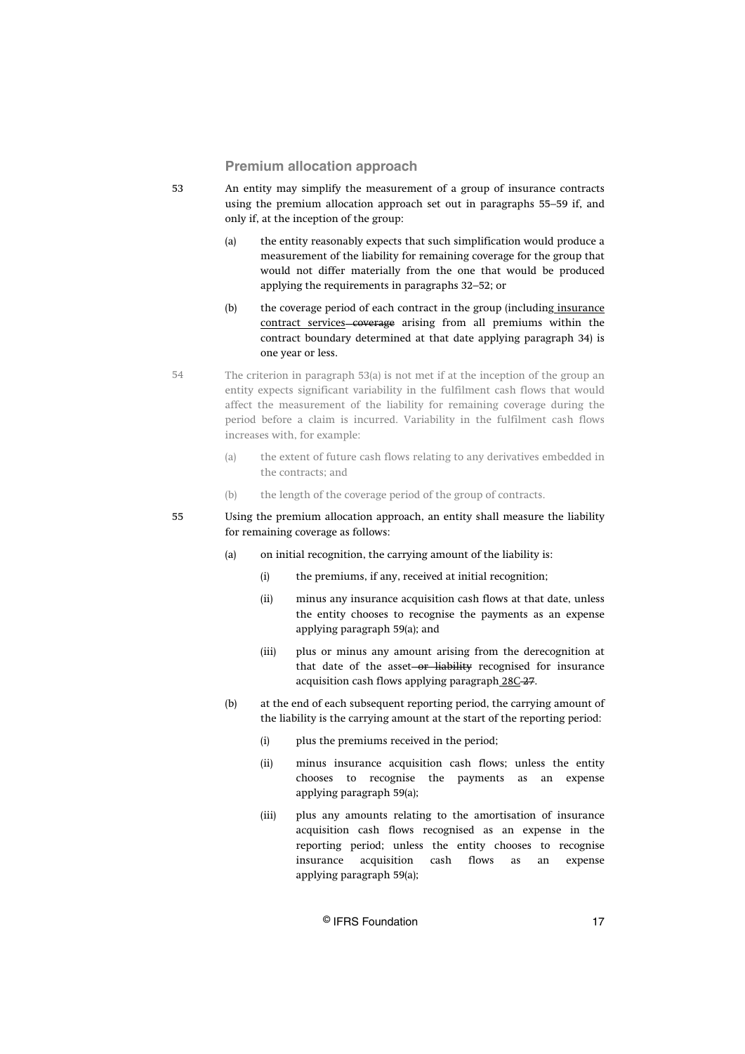# **Premium allocation approach**

<span id="page-16-0"></span>53

55

An entity may simplify the measurement of a group of insurance contracts using the premium allocation approach set out in paragraphs 55–59 if, and only if, at the inception of the group:

- (a) the entity reasonably expects that such simplification would produce a measurement of the liability for remaining coverage for the group that would not differ materially from the one that would be produced applying the requirements in paragraphs 32–52; or
- (b) the coverage period of each contract in the group (including insurance contract services-coverage arising from all premiums within the contract boundary determined at that date applying paragraph 34) is one year or less.
- The criterion in paragraph 53(a) is not met if at the inception of the group an entity expects significant variability in the fulfilment cash flows that would affect the measurement of the liability for remaining coverage during the period before a claim is incurred. Variability in the fulfilment cash flows increases with, for example:  $54$ 
	- (a) the extent of future cash flows relating to any derivatives embedded in the contracts; and
	- (b) the length of the coverage period of the group of contracts.

Using the premium allocation approach, an entity shall measure the liability for remaining coverage as follows:

- (a) on initial recognition, the carrying amount of the liability is:
	- (i) the premiums, if any, received at initial recognition;
	- (ii) minus any insurance acquisition cash flows at that date, unless the entity chooses to recognise the payments as an expense applying paragraph 59(a); and
	- (iii) plus or minus any amount arising from the derecognition at that date of the asset–or liability recognised for insurance acquisition cash flows applying paragraph 28C-27.
- (b) at the end of each subsequent reporting period, the carrying amount of the liability is the carrying amount at the start of the reporting period:
	- (i) plus the premiums received in the period;
	- (ii) minus insurance acquisition cash flows; unless the entity chooses to recognise the payments as an expense applying paragraph 59(a);
	- (iii) plus any amounts relating to the amortisation of insurance acquisition cash flows recognised as an expense in the reporting period; unless the entity chooses to recognise insurance acquisition cash flows as an expense applying paragraph 59(a);

© IFRS Foundation 17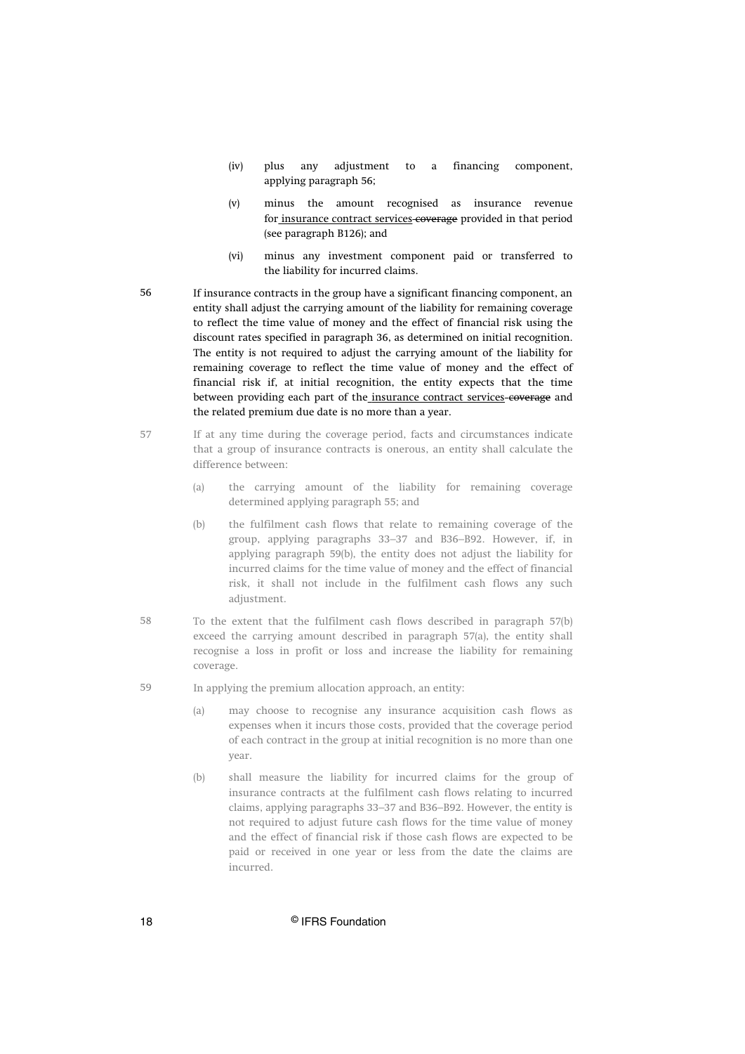- (iv) plus any adjustment to a financing component, applying paragraph 56;
- (v) minus the amount recognised as insurance revenue for insurance contract services coverage provided in that period (see paragraph B126); and
- (vi) minus any investment component paid or transferred to the liability for incurred claims.
- If insurance contracts in the group have a significant financing component, an entity shall adjust the carrying amount of the liability for remaining coverage to reflect the time value of money and the effect of financial risk using the discount rates specified in paragraph 36, as determined on initial recognition. The entity is not required to adjust the carrying amount of the liability for remaining coverage to reflect the time value of money and the effect of financial risk if, at initial recognition, the entity expects that the time between providing each part of the insurance contract services-coverage and the related premium due date is no more than a year.
- If at any time during the coverage period, facts and circumstances indicate that a group of insurance contracts is onerous, an entity shall calculate the difference between: 57
	- (a) the carrying amount of the liability for remaining coverage determined applying paragraph 55; and
	- (b) the fulfilment cash flows that relate to remaining coverage of the group, applying [paragraphs 33–37](#page-9-0) and [B36–B92](#page-51-0). However, if, in applying paragraph 59(b), the entity does not adjust the liability for incurred claims for the time value of money and the effect of financial risk, it shall not include in the fulfilment cash flows any such adjustment.
- To the extent that the fulfilment cash flows described in paragraph 57(b) exceed the carrying amount described in paragraph 57(a), the entity shall recognise a loss in profit or loss and increase the liability for remaining coverage. 58
	- In applying the premium allocation approach, an entity:
		- (a) may choose to recognise any insurance acquisition cash flows as expenses when it incurs those costs, provided that the coverage period of each contract in the group at initial recognition is no more than one year.
		- (b) shall measure the liability for incurred claims for the group of insurance contracts at the fulfilment cash flows relating to incurred claims, applying [paragraphs 33–37](#page-9-0) and [B36–B92.](#page-51-0) However, the entity is not required to adjust future cash flows for the time value of money and the effect of financial risk if those cash flows are expected to be paid or received in one year or less from the date the claims are incurred.

- 
- 59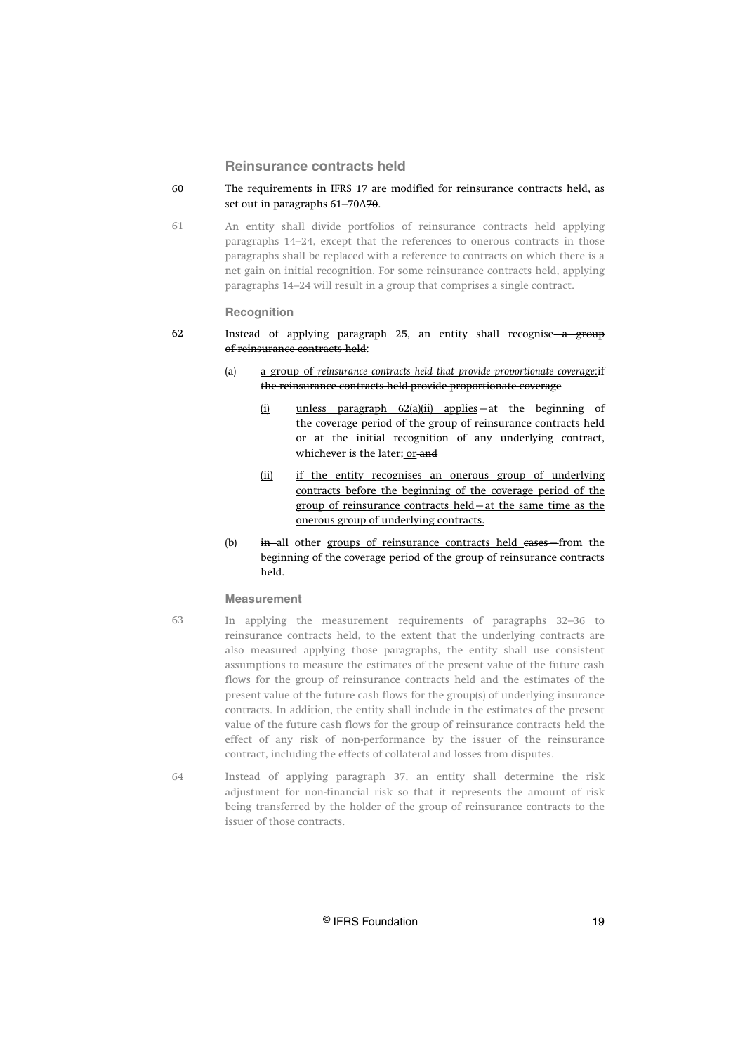#### **Reinsurance contracts held**

#### <span id="page-18-0"></span>The requirements in IFRS 17 are modified for reinsurance contracts held, as set out in paragraphs 61-70A70. 60

An entity shall divide portfolios of reinsurance contracts held applying [paragraphs 14–24](#page-5-0), except that the references to onerous contracts in those paragraphs shall be replaced with a reference to contracts on which there is a net gain on initial recognition. For some reinsurance contracts held, applying paragraphs 14–24 will result in a group that comprises a single contract. 61

#### **Recognition**

- Instead of applying paragraph 25, an entity shall recognise a group of reinsurance contracts held: 62
	- (a) a group of *reinsurance contracts held that provide proportionate coverage*:if the reinsurance contracts held provide proportionate coverage
		- (i) unless paragraph 62(a)(ii) applies—at the beginning of the coverage period of the group of reinsurance contracts held or at the initial recognition of any underlying contract, whichever is the later; or and
		- (ii) if the entity recognises an onerous group of underlying contracts before the beginning of the coverage period of the group of reinsurance contracts held—at the same time as the onerous group of underlying contracts.
	- (b) in all other groups of reinsurance contracts held cases—from the beginning of the coverage period of the group of reinsurance contracts held.

#### **Measurement**

- In applying the measurement requirements of paragraphs 32–36 to reinsurance contracts held, to the extent that the underlying contracts are also measured applying those paragraphs, the entity shall use consistent assumptions to measure the estimates of the present value of the future cash flows for the group of reinsurance contracts held and the estimates of the present value of the future cash flows for the group(s) of underlying insurance contracts. In addition, the entity shall include in the estimates of the present value of the future cash flows for the group of reinsurance contracts held the effect of any risk of non-performance by the issuer of the reinsurance contract, including the effects of collateral and losses from disputes.
- Instead of applying [paragraph 37](#page-11-0), an entity shall determine the risk adjustment for non-financial risk so that it represents the amount of risk being transferred by the holder of the group of reinsurance contracts to the issuer of those contracts. 64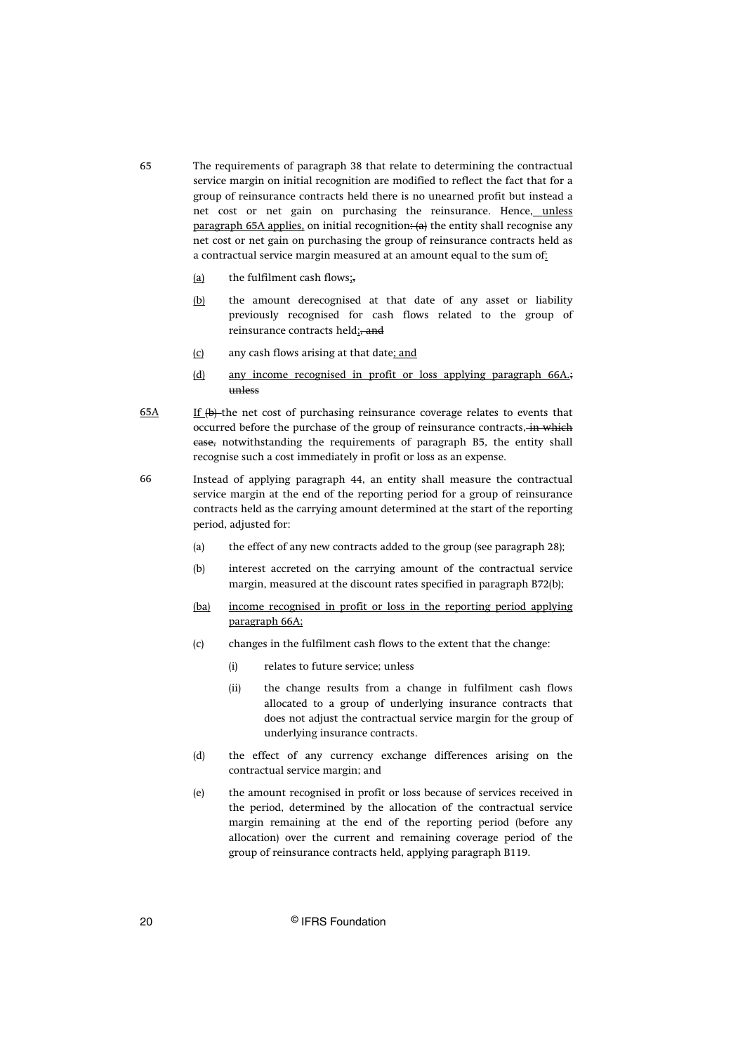- The requirements of paragraph 38 that relate to determining the contractual service margin on initial recognition are modified to reflect the fact that for a group of reinsurance contracts held there is no unearned profit but instead a net cost or net gain on purchasing the reinsurance. Hence, unless paragraph 65A applies, on initial recognition: (a) the entity shall recognise any net cost or net gain on purchasing the group of reinsurance contracts held as a contractual service margin measured at an amount equal to the sum of:
	- (a) the fulfilment cash flows;
	- (b) the amount derecognised at that date of any asset or liability previously recognised for cash flows related to the group of reinsurance contracts held; and
	- (c) any cash flows arising at that date; and
	- (d) any income recognised in profit or loss applying paragraph 66A.; unless
- If  $(\theta)$ -the net cost of purchasing reinsurance coverage relates to events that occurred before the purchase of the group of reinsurance contracts, in which case, notwithstanding the requirements of paragraph B5, the entity shall recognise such a cost immediately in profit or loss as an expense. 65A
- Instead of applying paragraph 44, an entity shall measure the contractual service margin at the end of the reporting period for a group of reinsurance contracts held as the carrying amount determined at the start of the reporting period, adjusted for: 66
	- (a) the effect of any new contracts added to the group (see paragraph 28);
	- (b) interest accreted on the carrying amount of the contractual service margin, measured at the discount rates specified in paragraph B72(b);
	- (ba) income recognised in profit or loss in the reporting period applying paragraph 66A;
	- (c) changes in the fulfilment cash flows to the extent that the change:
		- (i) relates to future service; unless
		- (ii) the change results from a change in fulfilment cash flows allocated to a group of underlying insurance contracts that does not adjust the contractual service margin for the group of underlying insurance contracts.
	- (d) the effect of any currency exchange differences arising on the contractual service margin; and
	- (e) the amount recognised in profit or loss because of services received in the period, determined by the allocation of the contractual service margin remaining at the end of the reporting period (before any allocation) over the current and remaining coverage period of the group of reinsurance contracts held, applying paragraph B119.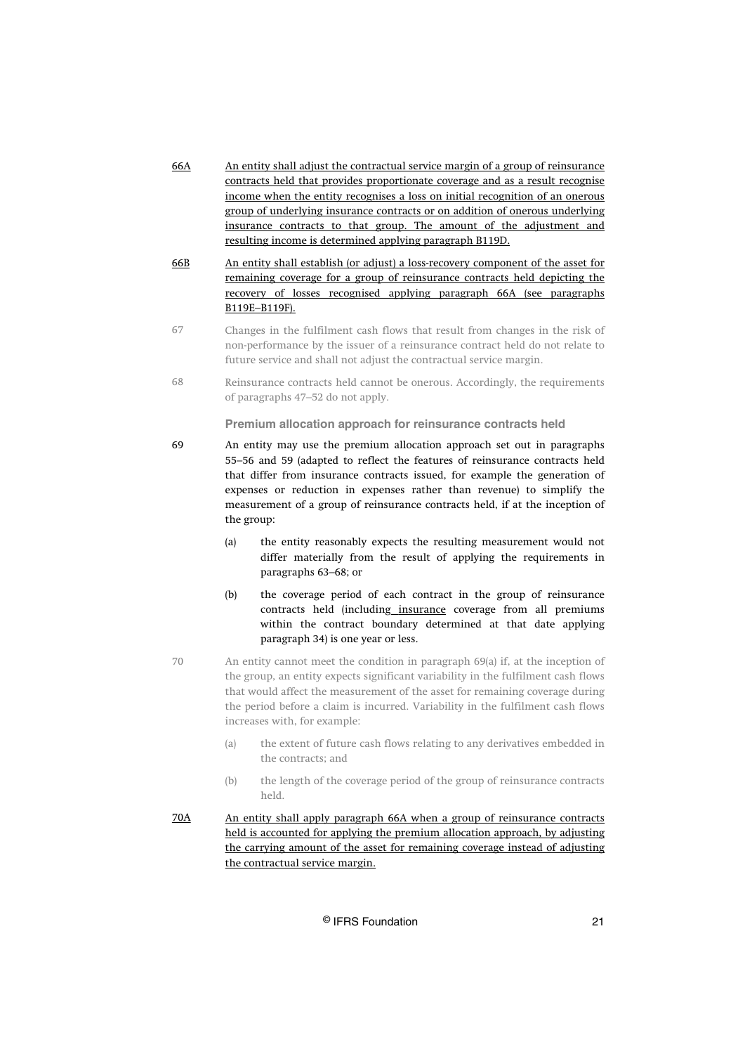- <span id="page-20-0"></span>An entity shall adjust the contractual service margin of a group of reinsurance contracts held that provides proportionate coverage and as a result recognise income when the entity recognises a loss on initial recognition of an onerous group of underlying insurance contracts or on addition of onerous underlying insurance contracts to that group. The amount of the adjustment and resulting income is determined applying paragraph B119D. 66A
- An entity shall establish (or adjust) a loss-recovery component of the asset for remaining coverage for a group of reinsurance contracts held depicting the recovery of losses recognised applying paragraph 66A (see paragraphs B119E–B119F). 66B
- Changes in the fulfilment cash flows that result from changes in the risk of non-performance by the issuer of a reinsurance contract held do not relate to future service and shall not adjust the contractual service margin. 67
- Reinsurance contracts held cannot be onerous. Accordingly, the requirements of [paragraphs 47–52](#page-14-0) do not apply. 68

**Premium allocation approach for reinsurance contracts held**

- An entity may use the premium allocation approach set out in paragraphs 55–56 and 59 (adapted to reflect the features of reinsurance contracts held that differ from insurance contracts issued, for example the generation of expenses or reduction in expenses rather than revenue) to simplify the measurement of a group of reinsurance contracts held, if at the inception of the group: 69
	- (a) the entity reasonably expects the resulting measurement would not differ materially from the result of applying the requirements in paragraphs 63–68; or
	- (b) the coverage period of each contract in the group of reinsurance contracts held (including insurance coverage from all premiums within the contract boundary determined at that date applying paragraph 34) is one year or less.
- An entity cannot meet the condition in paragraph 69(a) if, at the inception of the group, an entity expects significant variability in the fulfilment cash flows that would affect the measurement of the asset for remaining coverage during the period before a claim is incurred. Variability in the fulfilment cash flows increases with, for example: 70
	- (a) the extent of future cash flows relating to any derivatives embedded in the contracts; and
	- (b) the length of the coverage period of the group of reinsurance contracts held.
- An entity shall apply paragraph 66A when a group of reinsurance contracts held is accounted for applying the premium allocation approach, by adjusting the carrying amount of the asset for remaining coverage instead of adjusting the contractual service margin. 70A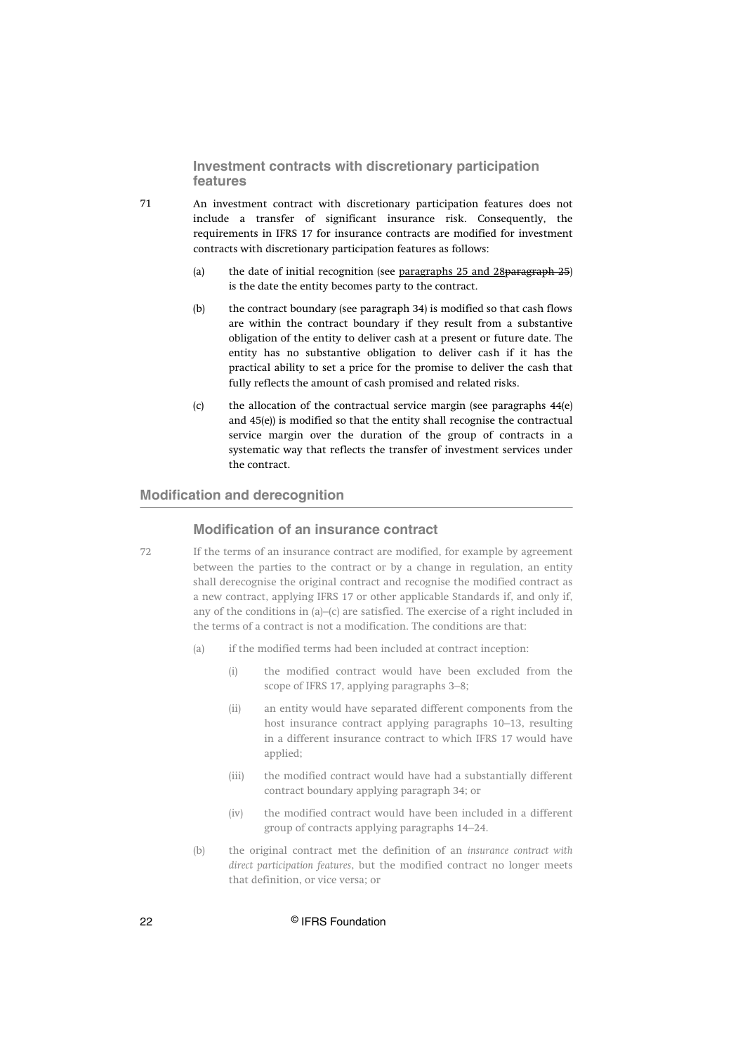# **Investment contracts with discretionary participation features**

- <span id="page-21-0"></span>An investment contract with discretionary participation features does not include a transfer of significant insurance risk. Consequently, the requirements in IFRS 17 for insurance contracts are modified for investment contracts with discretionary participation features as follows:
	- (a) the date of initial recognition (see paragraphs 25 and 28 paragraph 25) is the date the entity becomes party to the contract.
	- (b) the contract boundary (see paragraph 34) is modified so that cash flows are within the contract boundary if they result from a substantive obligation of the entity to deliver cash at a present or future date. The entity has no substantive obligation to deliver cash if it has the practical ability to set a price for the promise to deliver the cash that fully reflects the amount of cash promised and related risks.
	- (c) the allocation of the contractual service margin (see paragraphs 44(e) and 45(e)) is modified so that the entity shall recognise the contractual service margin over the duration of the group of contracts in a systematic way that reflects the transfer of investment services under the contract.

# **Modification and derecognition**

# **Modification of an insurance contract**

- If the terms of an insurance contract are modified, for example by agreement between the parties to the contract or by a change in regulation, an entity shall derecognise the original contract and recognise the modified contract as a new contract, applying IFRS 17 or other applicable Standards if, and only if, any of the conditions in (a)–(c) are satisfied. The exercise of a right included in the terms of a contract is not a modification. The conditions are that: 72
	- (a) if the modified terms had been included at contract inception:
		- (i) the modified contract would have been excluded from the scope of IFRS 17, applying [paragraphs 3–8](#page-2-0);
		- (ii) an entity would have separated different components from the host insurance contract applying [paragraphs 10–13,](#page-4-0) resulting in a different insurance contract to which IFRS 17 would have applied;
		- (iii) the modified contract would have had a substantially different contract boundary applying paragraph 34; or
		- (iv) the modified contract would have been included in a different group of contracts applying [paragraphs 14–24](#page-5-0).
	- (b) the original contract met the definition of an *insurance contract with direct participation features*, but the modified contract no longer meets that definition, or vice versa; or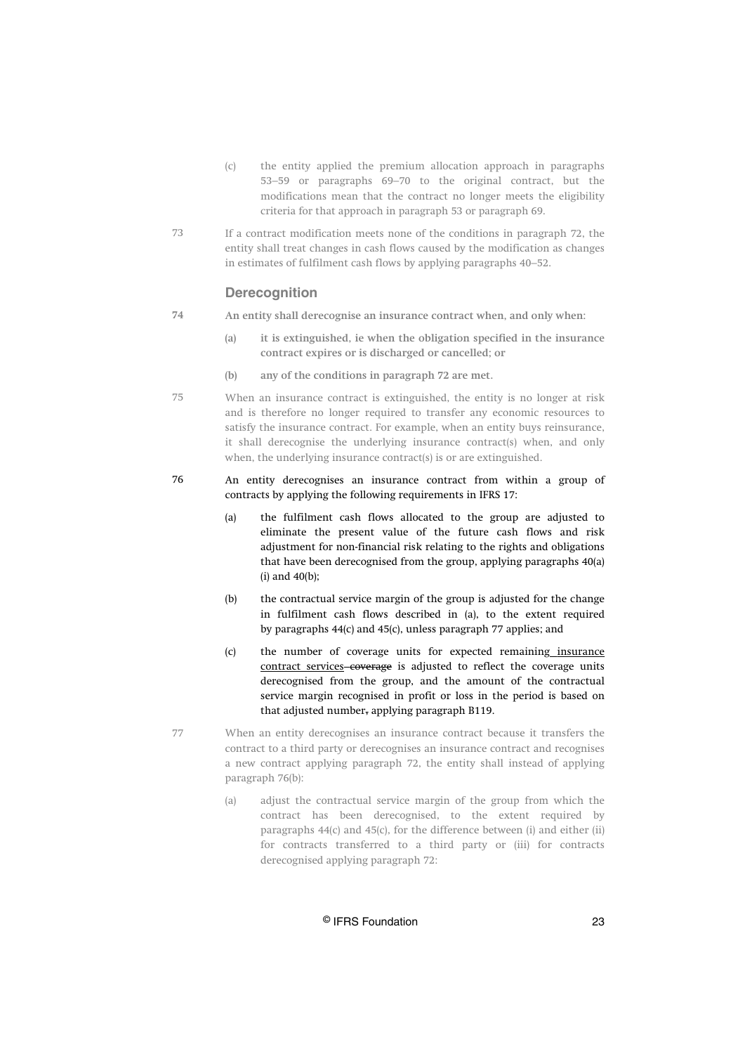- <span id="page-22-0"></span>(c) the entity applied the premium allocation approach in [paragraphs](#page-16-0) [53–59](#page-16-0) or [paragraphs 69–70](#page-20-0) to the original contract, but the modifications mean that the contract no longer meets the eligibility criteria for that approach in [paragraph 53](#page-16-0) or [paragraph 69.](#page-20-0)
- If a contract modification meets none of the conditions in [paragraph 72](#page-21-0), the entity shall treat changes in cash flows caused by the modification as changes in estimates of fulfilment cash flows by applying [paragraphs 40–52](#page-11-0). 73

# **Derecognition**

77

- **An entity shall derecognise an insurance contract when, and only when: 74**
	- **(a) it is extinguished, ie when the obligation specified in the insurance contract expires or is discharged or cancelled; or**
	- **(b) any of the conditions in [paragraph 72](#page-21-0) are met.**
- When an insurance contract is extinguished, the entity is no longer at risk and is therefore no longer required to transfer any economic resources to satisfy the insurance contract. For example, when an entity buys reinsurance, it shall derecognise the underlying insurance contract(s) when, and only when, the underlying insurance contract(s) is or are extinguished. 75
- An entity derecognises an insurance contract from within a group of contracts by applying the following requirements in IFRS 17: 76
	- (a) the fulfilment cash flows allocated to the group are adjusted to eliminate the present value of the future cash flows and risk adjustment for non-financial risk relating to the rights and obligations that have been derecognised from the group, applying paragraphs 40(a) (i) and 40(b);
	- (b) the contractual service margin of the group is adjusted for the change in fulfilment cash flows described in (a), to the extent required by paragraphs 44(c) and 45(c), unless paragraph 77 applies; and
	- (c) the number of coverage units for expected remaining insurance contract services–coverage is adjusted to reflect the coverage units derecognised from the group, and the amount of the contractual service margin recognised in profit or loss in the period is based on that adjusted number, applying paragraph B119.
	- When an entity derecognises an insurance contract because it transfers the contract to a third party or derecognises an insurance contract and recognises a new contract applying [paragraph 72,](#page-21-0) the entity shall instead of applying paragraph 76(b):
		- (a) adjust the contractual service margin of the group from which the contract has been derecognised, to the extent required by paragraphs 44(c) and 45(c), for the difference between (i) and either (ii) for contracts transferred to a third party or (iii) for contracts derecognised applying [paragraph 72:](#page-21-0)

#### © IFRS Foundation 23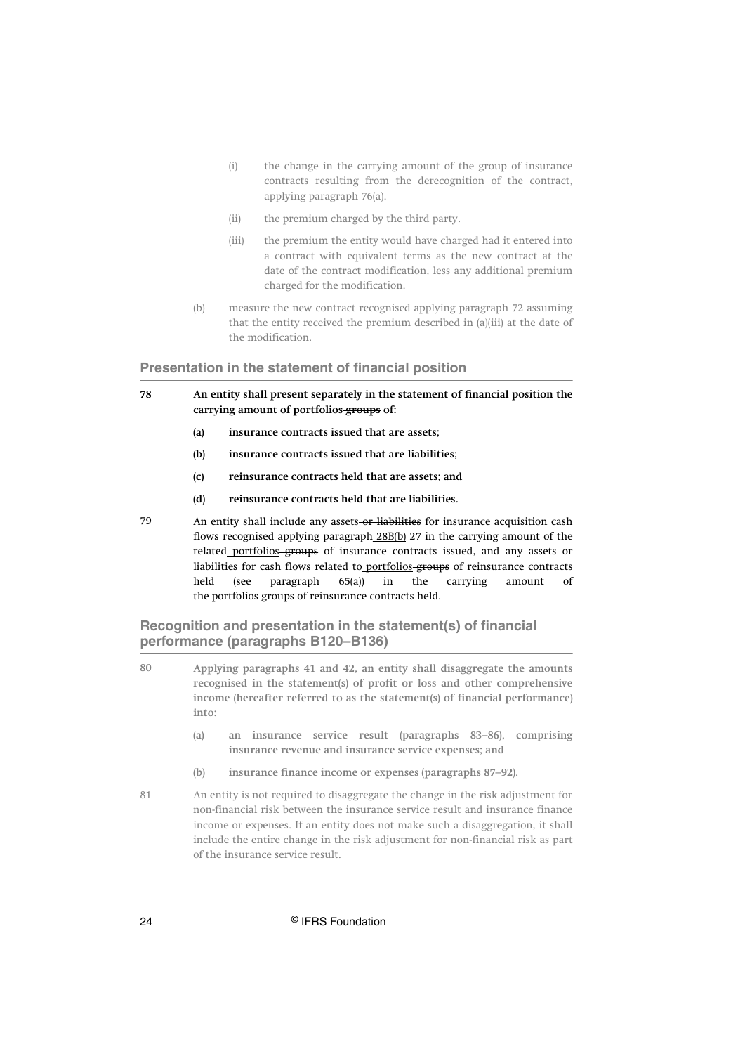- <span id="page-23-0"></span>(i) the change in the carrying amount of the group of insurance contracts resulting from the derecognition of the contract, applying paragraph 76(a).
- (ii) the premium charged by the third party.
- (iii) the premium the entity would have charged had it entered into a contract with equivalent terms as the new contract at the date of the contract modification, less any additional premium charged for the modification.
- (b) measure the new contract recognised applying [paragraph 72](#page-21-0) assuming that the entity received the premium described in (a)(iii) at the date of the modification.

#### **Presentation in the statement of financial position**

- **An entity shall present separately in the statement of financial position the carrying amount of portfolios groups of:** 
	- **(a) insurance contracts issued that are assets;**
	- **(b) insurance contracts issued that are liabilities;**
	- **(c) reinsurance contracts held that are assets; and**
	- **(d) reinsurance contracts held that are liabilities.**
- An entity shall include any assets-or liabilities for insurance acquisition cash flows recognised applying paragraph 28B(b) 27 in the carrying amount of the related portfolios groups of insurance contracts issued, and any assets or liabilities for cash flows related to portfolios-groups of reinsurance contracts held (see paragraph 65(a)) in the carrying amount of the portfolios groups of reinsurance contracts held. 79

# **Recognition and presentation in the statement(s) of financial performance [\(paragraphs B120–B136\)](#page-74-0)**

- **Applying paragraphs 41 and 42, an entity shall disaggregate the amounts recognised in the statement(s) of profit or loss and other comprehensive income (hereafter referred to as the statement(s) of financial performance) into: 80**
	- **(a) an insurance service result ([paragraphs 83–86](#page-24-0)), comprising insurance revenue and insurance service expenses; and**
	- **(b) insurance finance income or expenses [\(paragraphs 87–92\)](#page-25-0).**
- An entity is not required to disaggregate the change in the risk adjustment for non-financial risk between the insurance service result and insurance finance income or expenses. If an entity does not make such a disaggregation, it shall include the entire change in the risk adjustment for non-financial risk as part of the insurance service result. 81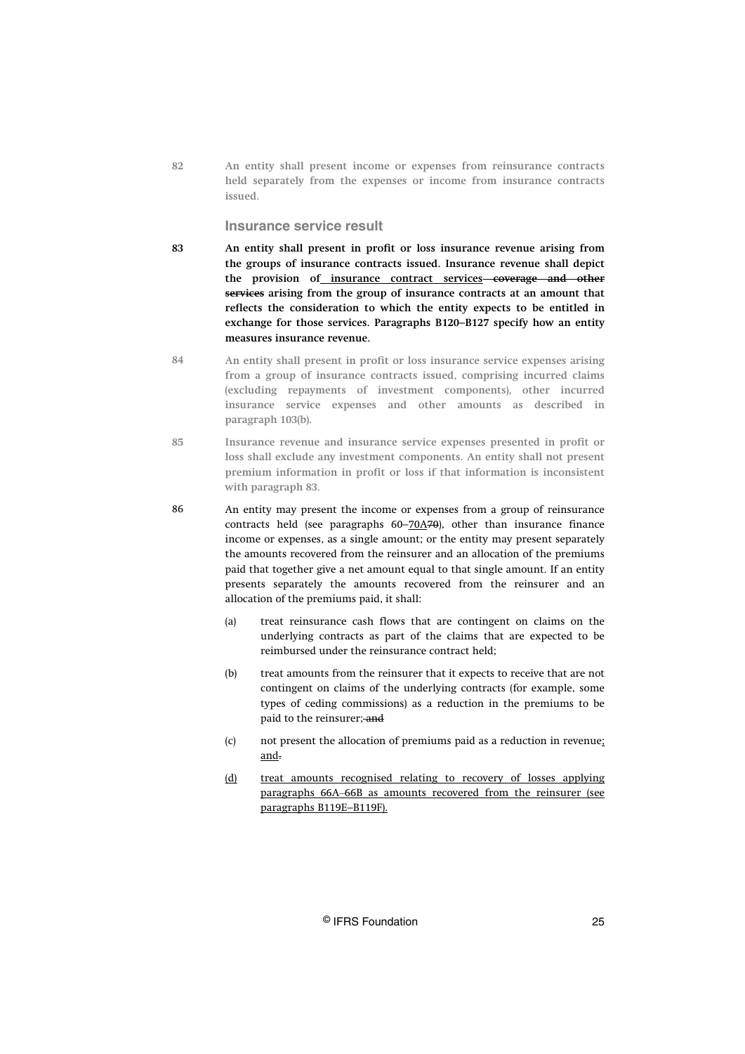<span id="page-24-0"></span>**An entity shall present income or expenses from reinsurance contracts held separately from the expenses or income from insurance contracts issued. 82**

# **Insurance service result**

- **An entity shall present in profit or loss insurance revenue arising from the groups of insurance contracts issued. Insurance revenue shall depict the provision of insurance contract services coverage and other services arising from the group of insurance contracts at an amount that reflects the consideration to which the entity expects to be entitled in exchange for those services. Paragraphs B120–B127 specify how an entity measures insurance revenue. 83**
- **An entity shall present in profit or loss insurance service expenses arising from a group of insurance contracts issued, comprising incurred claims (excluding repayments of investment components), other incurred insurance service expenses and other amounts as described in paragraph 103(b). 84**
- **Insurance revenue and insurance service expenses presented in profit or loss shall exclude any investment components. An entity shall not present premium information in profit or loss if that information is inconsistent with paragraph 83. 85**
- An entity may present the income or expenses from a group of reinsurance contracts held (see paragraphs 60-70A70), other than insurance finance income or expenses, as a single amount; or the entity may present separately the amounts recovered from the reinsurer and an allocation of the premiums paid that together give a net amount equal to that single amount. If an entity presents separately the amounts recovered from the reinsurer and an allocation of the premiums paid, it shall: 86
	- (a) treat reinsurance cash flows that are contingent on claims on the underlying contracts as part of the claims that are expected to be reimbursed under the reinsurance contract held;
	- (b) treat amounts from the reinsurer that it expects to receive that are not contingent on claims of the underlying contracts (for example, some types of ceding commissions) as a reduction in the premiums to be paid to the reinsurer;-and
	- (c) not present the allocation of premiums paid as a reduction in revenue; and.
	- (d) treat amounts recognised relating to recovery of losses applying paragraphs 66A–66B as amounts recovered from the reinsurer (see paragraphs B119E–B119F).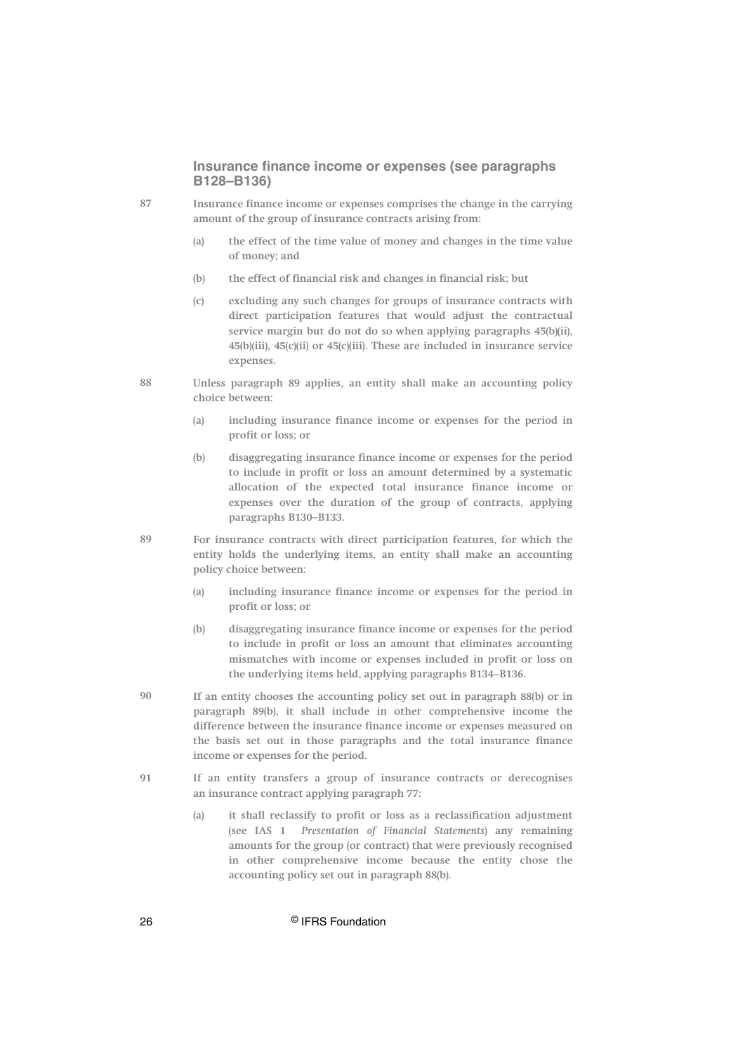# **Insurance finance income or expenses (see [paragraphs](#page-76-0) [B128–B136](#page-76-0))**

- <span id="page-25-0"></span>**Insurance finance income or expenses comprises the change in the carrying amount of the group of insurance contracts arising from: 87**
	- **(a) the effect of the time value of money and changes in the time value of money; and**
	- **(b) the effect of financial risk and changes in financial risk; but**
	- **(c) excluding any such changes for groups of insurance contracts with direct participation features that would adjust the contractual service margin but do not do so when applying paragraphs 45(b)(ii), 45(b)(iii), 45(c)(ii) or 45(c)(iii). These are included in insurance service expenses.**
- **Unless paragraph 89 applies, an entity shall make an accounting policy choice between: 88**
	- **(a) including insurance finance income or expenses for the period in profit or loss; or**
	- **(b) disaggregating insurance finance income or expenses for the period to include in profit or loss an amount determined by a systematic allocation of the expected total insurance finance income or expenses over the duration of the group of contracts, applying paragraphs B130–B133.**
- **For insurance contracts with direct participation features, for which the entity holds the underlying items, an entity shall make an accounting policy choice between: 89**
	- **(a) including insurance finance income or expenses for the period in profit or loss; or**
	- **(b) disaggregating insurance finance income or expenses for the period to include in profit or loss an amount that eliminates accounting mismatches with income or expenses included in profit or loss on the underlying items held, applying paragraphs B134–B136.**
- **If an entity chooses the accounting policy set out in paragraph 88(b) or in paragraph 89(b), it shall include in other comprehensive income the difference between the insurance finance income or expenses measured on the basis set out in those paragraphs and the total insurance finance income or expenses for the period. 90**
- **If an entity transfers a group of insurance contracts or derecognises an insurance contract applying paragraph 77: 91**
	- **(a) it shall reclassify to profit or loss as a reclassification adjustment (see IAS 1** *Presentation of Financial Statements***) any remaining amounts for the group (or contract) that were previously recognised in other comprehensive income because the entity chose the accounting policy set out in paragraph 88(b).**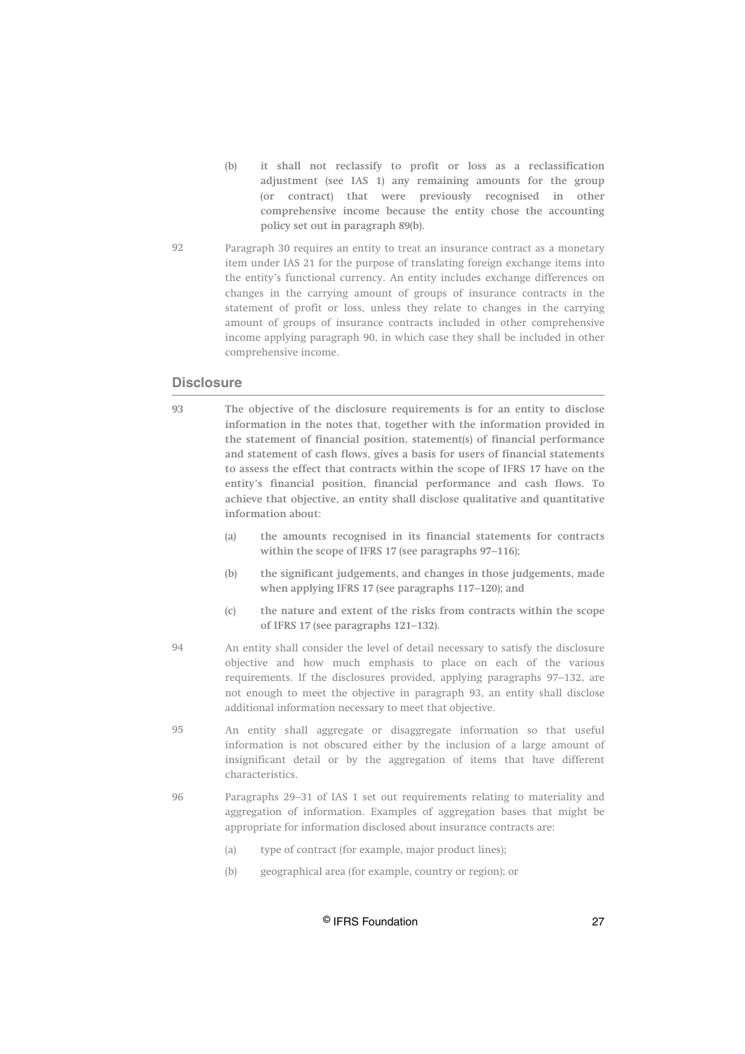- <span id="page-26-0"></span>**(b) it shall not reclassify to profit or loss as a reclassification adjustment (see IAS 1) any remaining amounts for the group (or contract) that were previously recognised in other comprehensive income because the entity chose the accounting policy set out in paragraph 89(b).**
- Paragraph 30 requires an entity to treat an insurance contract as a monetary item under IAS 21 for the purpose of translating foreign exchange items into the entity's functional currency. An entity includes exchange differences on changes in the carrying amount of groups of insurance contracts in the statement of profit or loss, unless they relate to changes in the carrying amount of groups of insurance contracts included in other comprehensive income applying paragraph 90, in which case they shall be included in other comprehensive income. 92

# **Disclosure**

- **The objective of the disclosure requirements is for an entity to disclose information in the notes that, together with the information provided in the statement of financial position, statement(s) of financial performance and statement of cash flows, gives a basis for users of financial statements to assess the effect that contracts within the scope of IFRS 17 have on the entity's financial position, financial performance and cash flows. To achieve that objective, an entity shall disclose qualitative and quantitative information about: 93**
	- **(a) the amounts recognised in its financial statements for contracts within the scope of IFRS 17 (see [paragraphs 97–116](#page-27-0));**
	- **(b) the significant judgements, and changes in those judgements, made when applying IFRS 17 (see [paragraphs 117–120\)](#page-32-0); and**
	- **(c) the nature and extent of the risks from contracts within the scope of IFRS 17 (see [paragraphs 121–132](#page-33-0)).**
- An entity shall consider the level of detail necessary to satisfy the disclosure objective and how much emphasis to place on each of the various requirements. If the disclosures provided, applying [paragraphs 97–132,](#page-27-0) are not enough to meet the objective in paragraph 93, an entity shall disclose additional information necessary to meet that objective. 94
- An entity shall aggregate or disaggregate information so that useful information is not obscured either by the inclusion of a large amount of insignificant detail or by the aggregation of items that have different characteristics.  $Q<sub>5</sub>$
- Paragraphs 29–31 of IAS 1 set out requirements relating to materiality and aggregation of information. Examples of aggregation bases that might be appropriate for information disclosed about insurance contracts are: 96
	- (a) type of contract (for example, major product lines);
	- (b) geographical area (for example, country or region); or

# © IFRS Foundation 27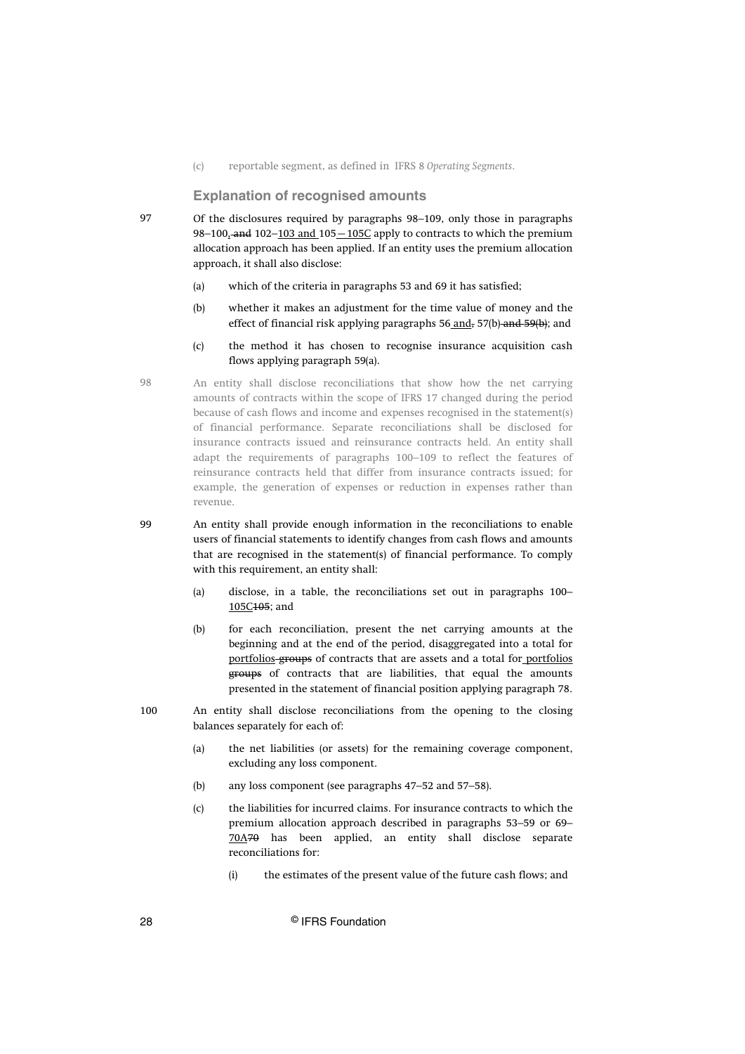<span id="page-27-0"></span>(c) reportable segment, as defined in IFRS 8 *Operating Segments*.

#### **Explanation of recognised amounts**

- Of the disclosures required by paragraphs 98–109, only those in paragraphs 98–100, and  $102-103$  and  $105-105C$  apply to contracts to which the premium allocation approach has been applied. If an entity uses the premium allocation approach, it shall also disclose: 97
	- (a) which of the criteria in paragraphs 53 and 69 it has satisfied;
	- (b) whether it makes an adjustment for the time value of money and the effect of financial risk applying paragraphs 56 and, 57(b) and 59(b); and
	- (c) the method it has chosen to recognise insurance acquisition cash flows applying paragraph 59(a).
	- An entity shall disclose reconciliations that show how the net carrying amounts of contracts within the scope of IFRS 17 changed during the period because of cash flows and income and expenses recognised in the statement(s) of financial performance. Separate reconciliations shall be disclosed for insurance contracts issued and reinsurance contracts held. An entity shall adapt the requirements of paragraphs 100–109 to reflect the features of reinsurance contracts held that differ from insurance contracts issued; for example, the generation of expenses or reduction in expenses rather than revenue.
- An entity shall provide enough information in the reconciliations to enable users of financial statements to identify changes from cash flows and amounts that are recognised in the statement(s) of financial performance. To comply with this requirement, an entity shall: 99
	- (a) disclose, in a table, the reconciliations set out in paragraphs 100– 105C105; and
	- (b) for each reconciliation, present the net carrying amounts at the beginning and at the end of the period, disaggregated into a total for portfolios groups of contracts that are assets and a total for portfolios groups of contracts that are liabilities, that equal the amounts presented in the statement of financial position applying paragraph 78.
- An entity shall disclose reconciliations from the opening to the closing balances separately for each of: 100
	- (a) the net liabilities (or assets) for the remaining coverage component, excluding any loss component.
	- (b) any loss component (see paragraphs 47–52 and 57–58).
	- (c) the liabilities for incurred claims. For insurance contracts to which the premium allocation approach described in paragraphs 53–59 or 69– 70A70 has been applied, an entity shall disclose separate reconciliations for:
		- (i) the estimates of the present value of the future cash flows; and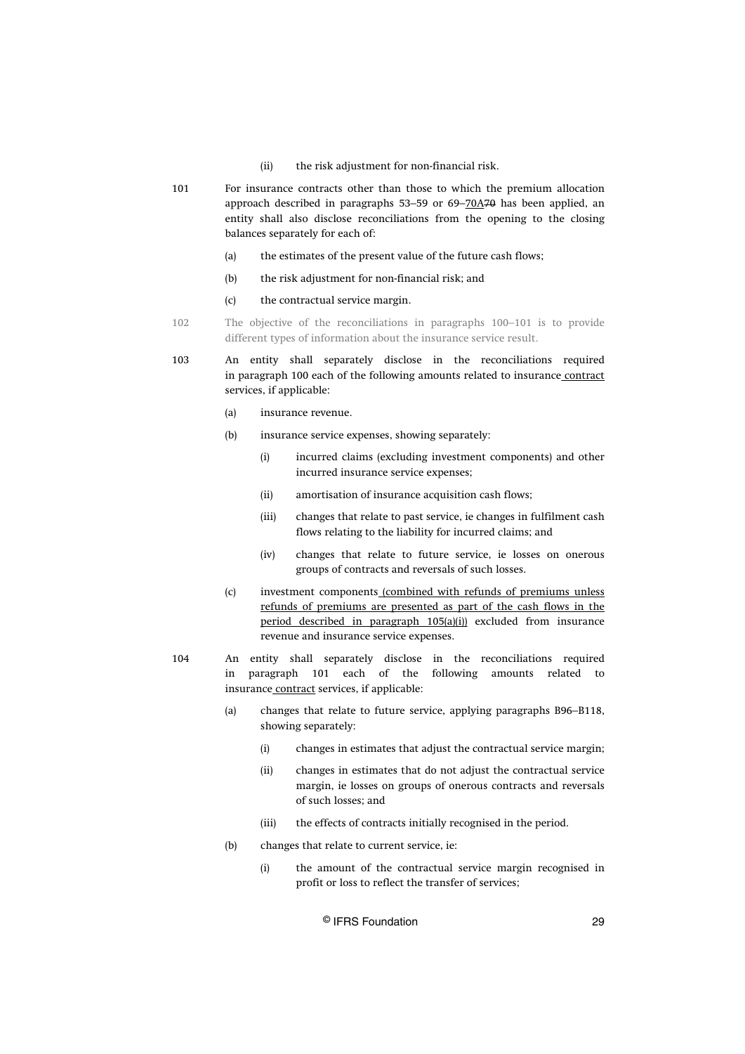- (ii) the risk adjustment for non-financial risk.
- For insurance contracts other than those to which the premium allocation approach described in paragraphs 53–59 or 69–70A70 has been applied, an entity shall also disclose reconciliations from the opening to the closing balances separately for each of: 101
	- (a) the estimates of the present value of the future cash flows;
	- (b) the risk adjustment for non-financial risk; and
	- (c) the contractual service margin.
- The objective of the reconciliations in paragraphs 100–101 is to provide different types of information about the insurance service result. 102
- An entity shall separately disclose in the reconciliations required in paragraph 100 each of the following amounts related to insurance contract services, if applicable: 103
	- (a) insurance revenue.
	- (b) insurance service expenses, showing separately:
		- (i) incurred claims (excluding investment components) and other incurred insurance service expenses;
		- (ii) amortisation of insurance acquisition cash flows;
		- (iii) changes that relate to past service, ie changes in fulfilment cash flows relating to the liability for incurred claims; and
		- (iv) changes that relate to future service, ie losses on onerous groups of contracts and reversals of such losses.
	- (c) investment components (combined with refunds of premiums unless refunds of premiums are presented as part of the cash flows in the period described in paragraph 105(a)(i)) excluded from insurance revenue and insurance service expenses.
- An entity shall separately disclose in the reconciliations required in paragraph 101 each of the following amounts related to insurance contract services, if applicable:
	- (a) changes that relate to future service, applying paragraphs B96–B118, showing separately:
		- (i) changes in estimates that adjust the contractual service margin;
		- (ii) changes in estimates that do not adjust the contractual service margin, ie losses on groups of onerous contracts and reversals of such losses; and
		- (iii) the effects of contracts initially recognised in the period.
	- (b) changes that relate to current service, ie:
		- (i) the amount of the contractual service margin recognised in profit or loss to reflect the transfer of services;

© IFRS Foundation 29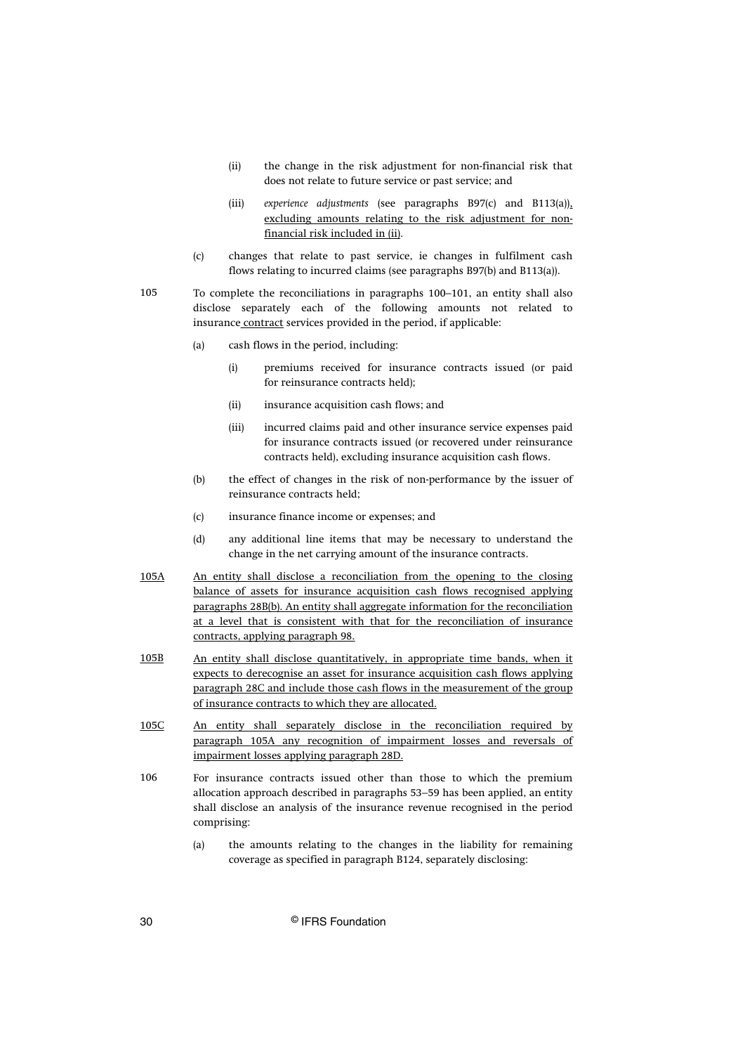- (ii) the change in the risk adjustment for non-financial risk that does not relate to future service or past service; and
- (iii) *experience adjustments* (see paragraphs B97(c) and B113(a)), excluding amounts relating to the risk adjustment for nonfinancial risk included in (ii).
- (c) changes that relate to past service, ie changes in fulfilment cash flows relating to incurred claims (see paragraphs B97(b) and B113(a)).
- To complete the reconciliations in paragraphs 100–101, an entity shall also disclose separately each of the following amounts not related to insurance contract services provided in the period, if applicable: 105
	- (a) cash flows in the period, including:
		- (i) premiums received for insurance contracts issued (or paid for reinsurance contracts held);
		- (ii) insurance acquisition cash flows; and
		- (iii) incurred claims paid and other insurance service expenses paid for insurance contracts issued (or recovered under reinsurance contracts held), excluding insurance acquisition cash flows.
	- (b) the effect of changes in the risk of non-performance by the issuer of reinsurance contracts held;
	- (c) insurance finance income or expenses; and
	- (d) any additional line items that may be necessary to understand the change in the net carrying amount of the insurance contracts.
- An entity shall disclose a reconciliation from the opening to the closing balance of assets for insurance acquisition cash flows recognised applying paragraphs 28B(b). An entity shall aggregate information for the reconciliation at a level that is consistent with that for the reconciliation of insurance contracts, applying paragraph 98. 105A
- An entity shall disclose quantitatively, in appropriate time bands, when it expects to derecognise an asset for insurance acquisition cash flows applying paragraph 28C and include those cash flows in the measurement of the group of insurance contracts to which they are allocated. 105B
- An entity shall separately disclose in the reconciliation required by paragraph 105A any recognition of impairment losses and reversals of impairment losses applying paragraph 28D. 105C
- For insurance contracts issued other than those to which the premium allocation approach described in paragraphs 53–59 has been applied, an entity shall disclose an analysis of the insurance revenue recognised in the period comprising: 106
	- (a) the amounts relating to the changes in the liability for remaining coverage as specified in paragraph B124, separately disclosing: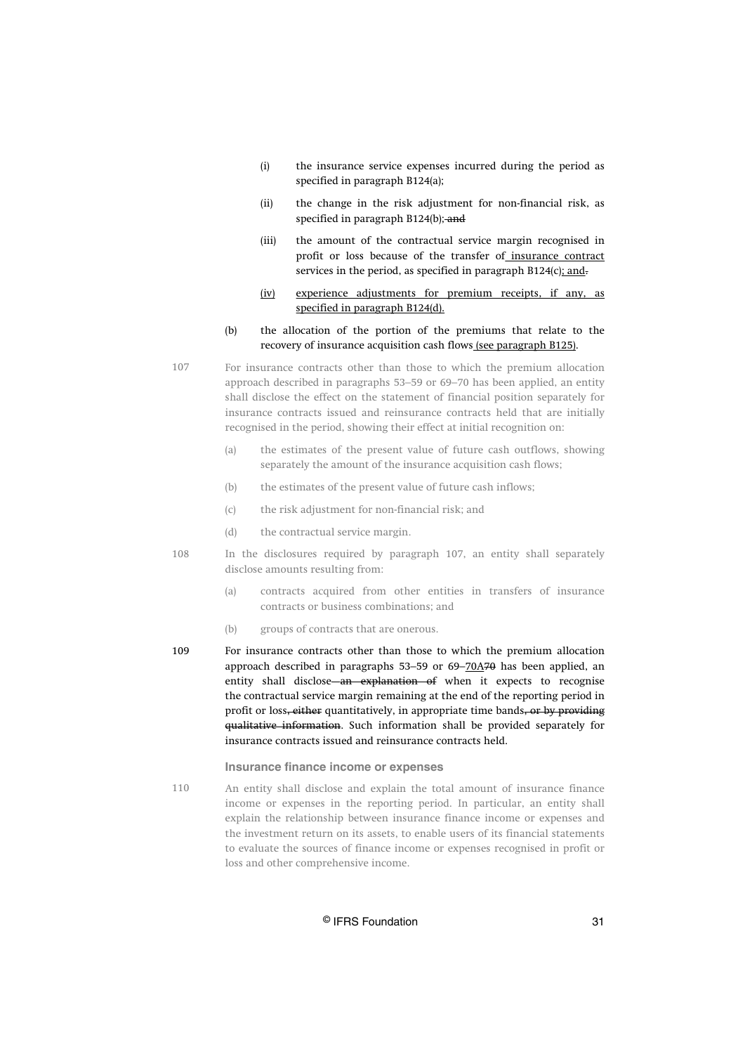- (i) the insurance service expenses incurred during the period as specified in paragraph B124(a);
- (ii) the change in the risk adjustment for non-financial risk, as specified in paragraph B124(b); and
- (iii) the amount of the contractual service margin recognised in profit or loss because of the transfer of insurance contract services in the period, as specified in paragraph B124(c); and.
- (iv) experience adjustments for premium receipts, if any, as specified in paragraph B124(d).

## (b) the allocation of the portion of the premiums that relate to the recovery of insurance acquisition cash flows (see paragraph B125).

- For insurance contracts other than those to which the premium allocation approach described in [paragraphs 53–59](#page-16-0) or [69–70](#page-20-0) has been applied, an entity shall disclose the effect on the statement of financial position separately for insurance contracts issued and reinsurance contracts held that are initially recognised in the period, showing their effect at initial recognition on: 107
	- (a) the estimates of the present value of future cash outflows, showing separately the amount of the insurance acquisition cash flows;
	- (b) the estimates of the present value of future cash inflows;
	- (c) the risk adjustment for non-financial risk; and
	- (d) the contractual service margin.
- In the disclosures required by paragraph 107, an entity shall separately disclose amounts resulting from: 108
	- (a) contracts acquired from other entities in transfers of insurance contracts or business combinations; and
	- (b) groups of contracts that are onerous.
- For insurance contracts other than those to which the premium allocation approach described in paragraphs 53–59 or 69–70A70 has been applied, an entity shall disclose—an explanation of when it expects to recognise the contractual service margin remaining at the end of the reporting period in profit or loss, either quantitatively, in appropriate time bands, or by providing qualitative information. Such information shall be provided separately for insurance contracts issued and reinsurance contracts held. 109

#### **Insurance finance income or expenses**

An entity shall disclose and explain the total amount of insurance finance income or expenses in the reporting period. In particular, an entity shall explain the relationship between insurance finance income or expenses and the investment return on its assets, to enable users of its financial statements to evaluate the sources of finance income or expenses recognised in profit or loss and other comprehensive income. 110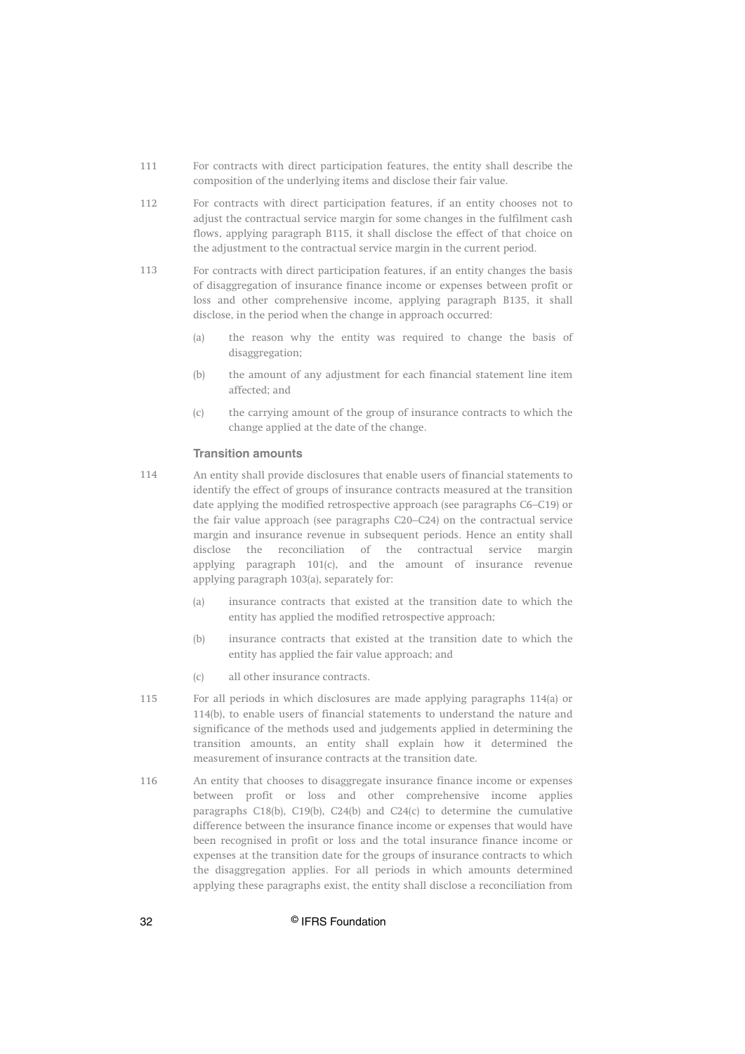- For contracts with direct participation features, the entity shall describe the composition of the underlying items and disclose their fair value. 111
- For contracts with direct participation features, if an entity chooses not to adjust the contractual service margin for some changes in the fulfilment cash flows, applying [paragraph B115](#page-71-0), it shall disclose the effect of that choice on the adjustment to the contractual service margin in the current period. 112
- For contracts with direct participation features, if an entity changes the basis of disaggregation of insurance finance income or expenses between profit or loss and other comprehensive income, applying paragraph B135, it shall disclose, in the period when the change in approach occurred: 113
	- (a) the reason why the entity was required to change the basis of disaggregation;
	- (b) the amount of any adjustment for each financial statement line item affected; and
	- (c) the carrying amount of the group of insurance contracts to which the change applied at the date of the change.

# **Transition amounts**

- An entity shall provide disclosures that enable users of financial statements to identify the effect of groups of insurance contracts measured at the transition date applying the modified retrospective approach (see [paragraphs C6–C19\)](#page-81-0) or the fair value approach (see [paragraphs C20–C24\)](#page-85-0) on the contractual service margin and insurance revenue in subsequent periods. Hence an entity shall disclose the reconciliation of the contractual service margin applying paragraph 101(c), and the amount of insurance revenue applying paragraph 103(a), separately for: 114
	- (a) insurance contracts that existed at the transition date to which the entity has applied the modified retrospective approach;
	- (b) insurance contracts that existed at the transition date to which the entity has applied the fair value approach; and
	- (c) all other insurance contracts.
- For all periods in which disclosures are made applying paragraphs 114(a) or 114(b), to enable users of financial statements to understand the nature and significance of the methods used and judgements applied in determining the transition amounts, an entity shall explain how it determined the measurement of insurance contracts at the transition date. 115
- An entity that chooses to disaggregate insurance finance income or expenses between profit or loss and other comprehensive income applies [paragraphs C18\(b\)](#page-84-0), C19(b), C24(b) and C24(c) to determine the cumulative difference between the insurance finance income or expenses that would have been recognised in profit or loss and the total insurance finance income or expenses at the transition date for the groups of insurance contracts to which the disaggregation applies. For all periods in which amounts determined applying these paragraphs exist, the entity shall disclose a reconciliation from 116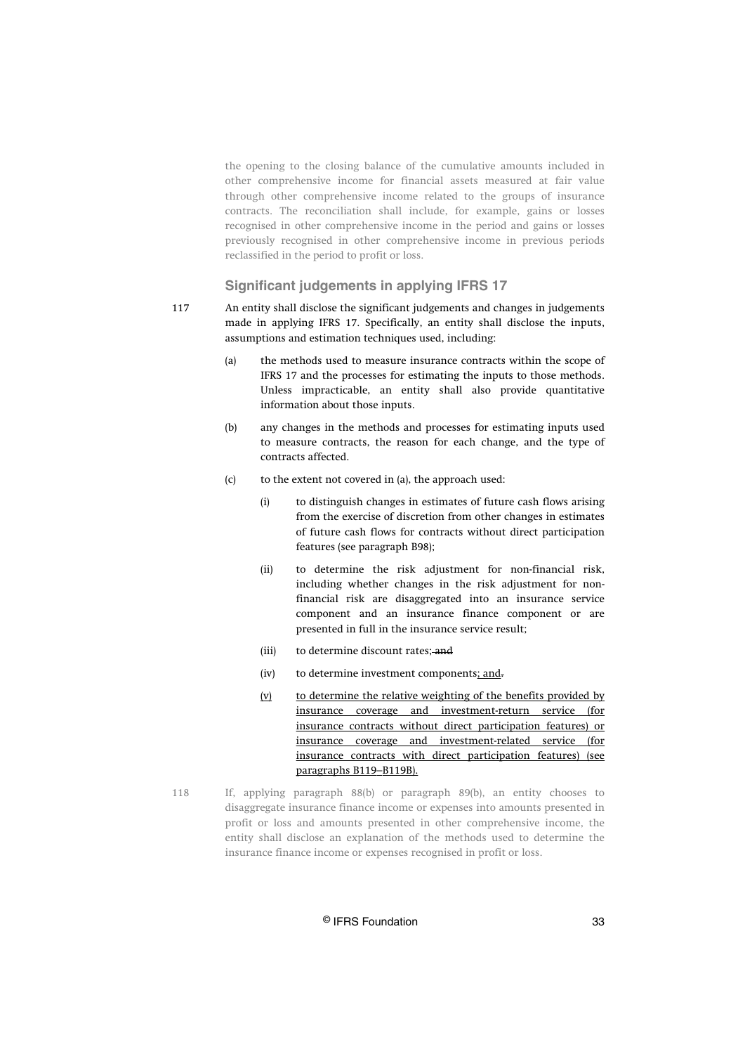<span id="page-32-0"></span>the opening to the closing balance of the cumulative amounts included in other comprehensive income for financial assets measured at fair value through other comprehensive income related to the groups of insurance contracts. The reconciliation shall include, for example, gains or losses recognised in other comprehensive income in the period and gains or losses previously recognised in other comprehensive income in previous periods reclassified in the period to profit or loss.

# **Significant judgements in applying IFRS 17**

- An entity shall disclose the significant judgements and changes in judgements made in applying IFRS 17. Specifically, an entity shall disclose the inputs, assumptions and estimation techniques used, including: 117
	- (a) the methods used to measure insurance contracts within the scope of IFRS 17 and the processes for estimating the inputs to those methods. Unless impracticable, an entity shall also provide quantitative information about those inputs.
	- (b) any changes in the methods and processes for estimating inputs used to measure contracts, the reason for each change, and the type of contracts affected.
	- (c) to the extent not covered in (a), the approach used:
		- (i) to distinguish changes in estimates of future cash flows arising from the exercise of discretion from other changes in estimates of future cash flows for contracts without direct participation features (see paragraph B98);
		- (ii) to determine the risk adjustment for non-financial risk, including whether changes in the risk adjustment for nonfinancial risk are disaggregated into an insurance service component and an insurance finance component or are presented in full in the insurance service result;
		- (iii) to determine discount rates; and
		- (iv) to determine investment components; and-
		- (v) to determine the relative weighting of the benefits provided by insurance coverage and investment-return service (for insurance contracts without direct participation features) or insurance coverage and investment-related service (for insurance contracts with direct participation features) (see paragraphs B119–B119B).
- If, applying paragraph 88(b) or paragraph 89(b), an entity chooses to disaggregate insurance finance income or expenses into amounts presented in profit or loss and amounts presented in other comprehensive income, the entity shall disclose an explanation of the methods used to determine the insurance finance income or expenses recognised in profit or loss. 118

#### © IFRS Foundation 33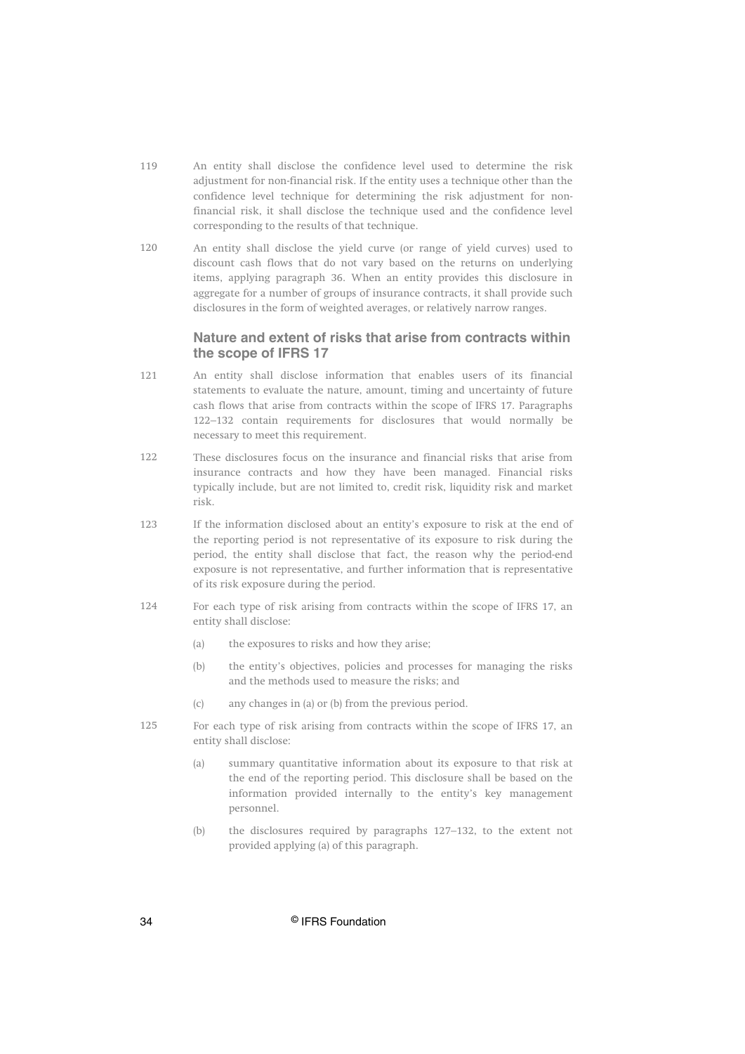- <span id="page-33-0"></span>An entity shall disclose the confidence level used to determine the risk adjustment for non-financial risk. If the entity uses a technique other than the confidence level technique for determining the risk adjustment for nonfinancial risk, it shall disclose the technique used and the confidence level corresponding to the results of that technique. 119
- An entity shall disclose the yield curve (or range of yield curves) used to discount cash flows that do not vary based on the returns on underlying items, applying [paragraph 36.](#page-11-0) When an entity provides this disclosure in aggregate for a number of groups of insurance contracts, it shall provide such disclosures in the form of weighted averages, or relatively narrow ranges. 120

# **Nature and extent of risks that arise from contracts within the scope of IFRS 17**

- An entity shall disclose information that enables users of its financial statements to evaluate the nature, amount, timing and uncertainty of future cash flows that arise from contracts within the scope of IFRS 17. Paragraphs 122–132 contain requirements for disclosures that would normally be necessary to meet this requirement. 121
- These disclosures focus on the insurance and financial risks that arise from insurance contracts and how they have been managed. Financial risks typically include, but are not limited to, credit risk, liquidity risk and market risk. 122
- If the information disclosed about an entity's exposure to risk at the end of the reporting period is not representative of its exposure to risk during the period, the entity shall disclose that fact, the reason why the period-end exposure is not representative, and further information that is representative of its risk exposure during the period. 123
- For each type of risk arising from contracts within the scope of IFRS 17, an entity shall disclose: 124
	- (a) the exposures to risks and how they arise;
	- (b) the entity's objectives, policies and processes for managing the risks and the methods used to measure the risks; and
	- (c) any changes in (a) or (b) from the previous period.
- For each type of risk arising from contracts within the scope of IFRS 17, an entity shall disclose: 125
	- (a) summary quantitative information about its exposure to that risk at the end of the reporting period. This disclosure shall be based on the information provided internally to the entity's key management personnel.
	- (b) the disclosures required by [paragraphs 127–132,](#page-34-0) to the extent not provided applying (a) of this paragraph.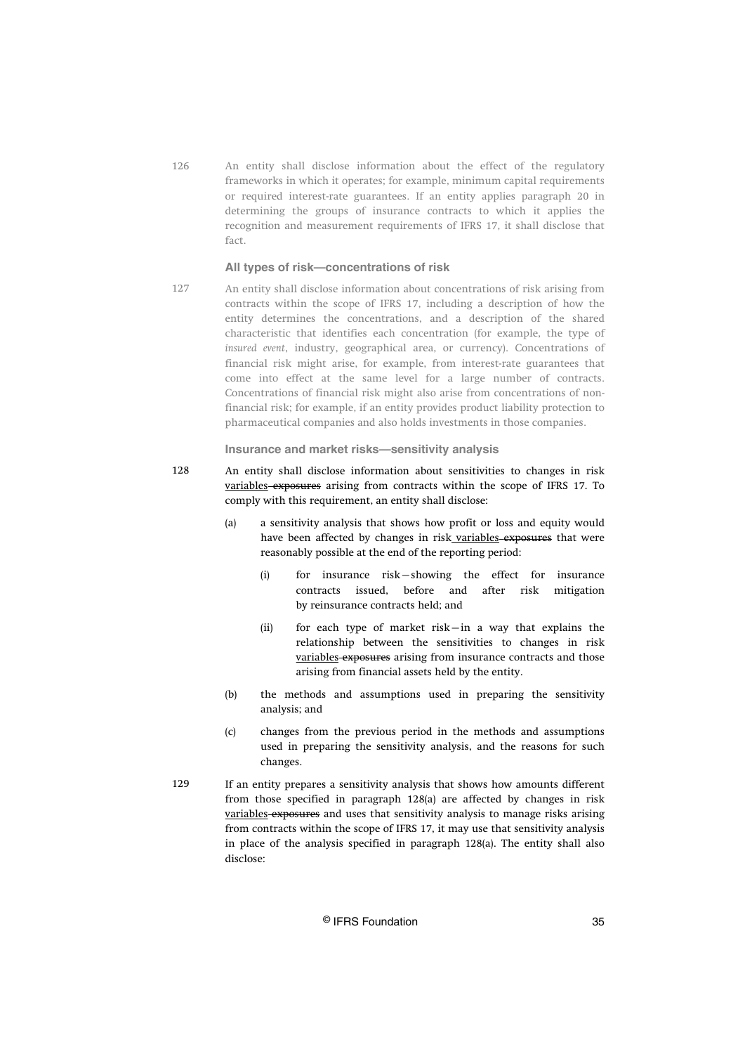<span id="page-34-0"></span>An entity shall disclose information about the effect of the regulatory frameworks in which it operates; for example, minimum capital requirements or required interest-rate guarantees. If an entity applies paragraph 20 in determining the groups of insurance contracts to which it applies the recognition and measurement requirements of IFRS 17, it shall disclose that fact. 126

# **All types of risk—concentrations of risk**

An entity shall disclose information about concentrations of risk arising from contracts within the scope of IFRS 17, including a description of how the entity determines the concentrations, and a description of the shared characteristic that identifies each concentration (for example, the type of *insured event*, industry, geographical area, or currency). Concentrations of financial risk might arise, for example, from interest-rate guarantees that come into effect at the same level for a large number of contracts. Concentrations of financial risk might also arise from concentrations of nonfinancial risk; for example, if an entity provides product liability protection to pharmaceutical companies and also holds investments in those companies. 127

**Insurance and market risks—sensitivity analysis**

- An entity shall disclose information about sensitivities to changes in risk variables exposures arising from contracts within the scope of IFRS 17. To comply with this requirement, an entity shall disclose: 128
	- (a) a sensitivity analysis that shows how profit or loss and equity would have been affected by changes in risk variables-exposures that were reasonably possible at the end of the reporting period:
		- (i) for insurance risk—showing the effect for insurance contracts issued, before and after risk mitigation by reinsurance contracts held; and
		- (ii) for each type of market risk—in a way that explains the relationship between the sensitivities to changes in risk variables exposures arising from insurance contracts and those arising from financial assets held by the entity.
	- (b) the methods and assumptions used in preparing the sensitivity analysis; and
	- (c) changes from the previous period in the methods and assumptions used in preparing the sensitivity analysis, and the reasons for such changes.
- If an entity prepares a sensitivity analysis that shows how amounts different from those specified in paragraph 128(a) are affected by changes in risk variables exposures and uses that sensitivity analysis to manage risks arising from contracts within the scope of IFRS 17, it may use that sensitivity analysis in place of the analysis specified in paragraph 128(a). The entity shall also disclose: 129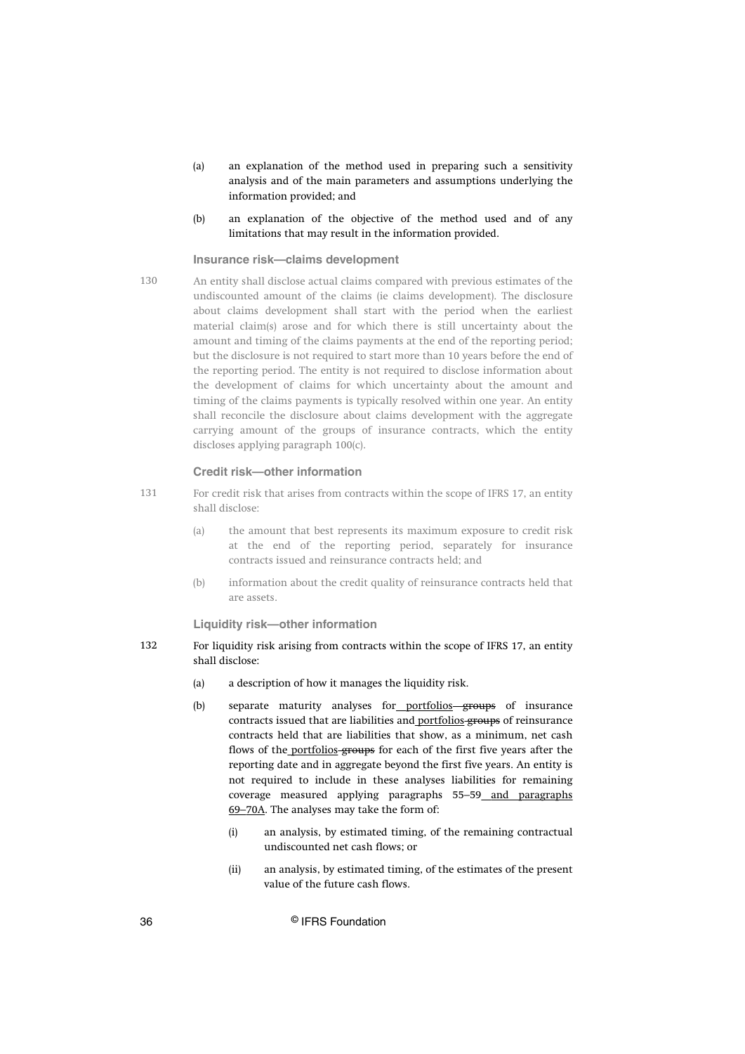- (a) an explanation of the method used in preparing such a sensitivity analysis and of the main parameters and assumptions underlying the information provided; and
- (b) an explanation of the objective of the method used and of any limitations that may result in the information provided.

#### **Insurance risk—claims development**

An entity shall disclose actual claims compared with previous estimates of the undiscounted amount of the claims (ie claims development). The disclosure about claims development shall start with the period when the earliest material claim(s) arose and for which there is still uncertainty about the amount and timing of the claims payments at the end of the reporting period; but the disclosure is not required to start more than 10 years before the end of the reporting period. The entity is not required to disclose information about the development of claims for which uncertainty about the amount and timing of the claims payments is typically resolved within one year. An entity shall reconcile the disclosure about claims development with the aggregate carrying amount of the groups of insurance contracts, which the entity discloses applying paragraph 100(c).

#### **Credit risk—other information**

- For credit risk that arises from contracts within the scope of IFRS 17, an entity shall disclose: 131
	- (a) the amount that best represents its maximum exposure to credit risk at the end of the reporting period, separately for insurance contracts issued and reinsurance contracts held; and
	- (b) information about the credit quality of reinsurance contracts held that are assets.

**Liquidity risk—other information**

- For liquidity risk arising from contracts within the scope of IFRS 17, an entity shall disclose:
	- (a) a description of how it manages the liquidity risk.
	- (b) separate maturity analyses for portfolios groups of insurance contracts issued that are liabilities and portfolios-groups of reinsurance contracts held that are liabilities that show, as a minimum, net cash flows of the portfolios groups for each of the first five years after the reporting date and in aggregate beyond the first five years. An entity is not required to include in these analyses liabilities for remaining coverage measured applying paragraphs 55–59 and paragraphs 69–70A. The analyses may take the form of:
		- (i) an analysis, by estimated timing, of the remaining contractual undiscounted net cash flows; or
		- (ii) an analysis, by estimated timing, of the estimates of the present value of the future cash flows.

130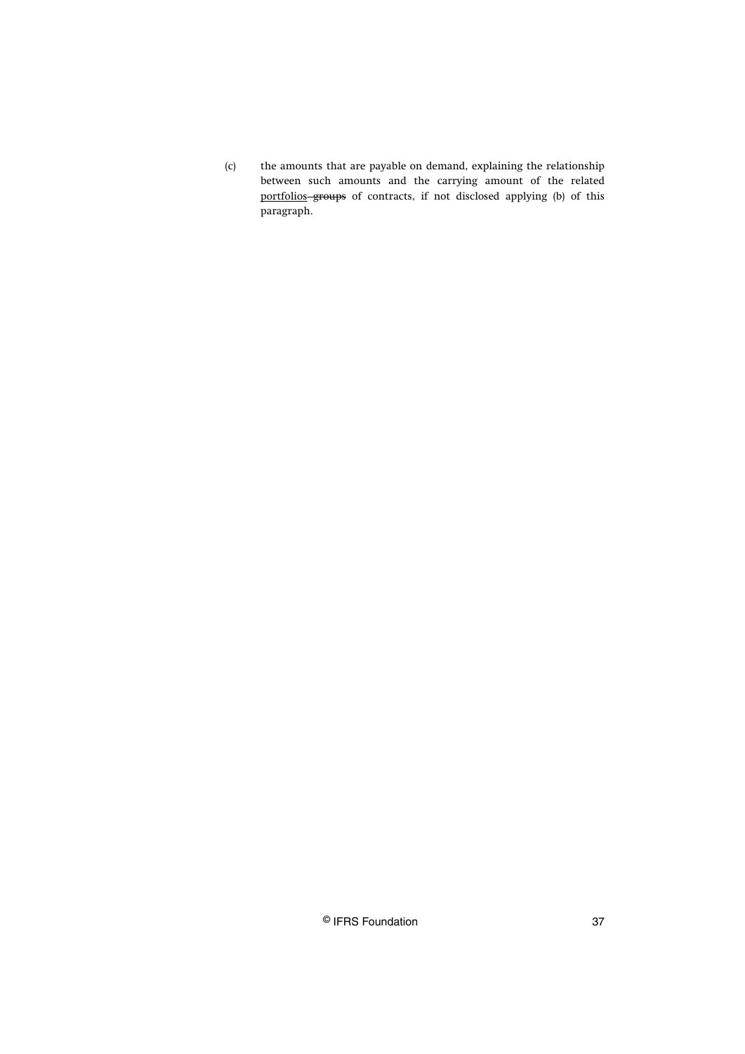(c) the amounts that are payable on demand, explaining the relationship between such amounts and the carrying amount of the related portfolios-groups of contracts, if not disclosed applying (b) of this paragraph.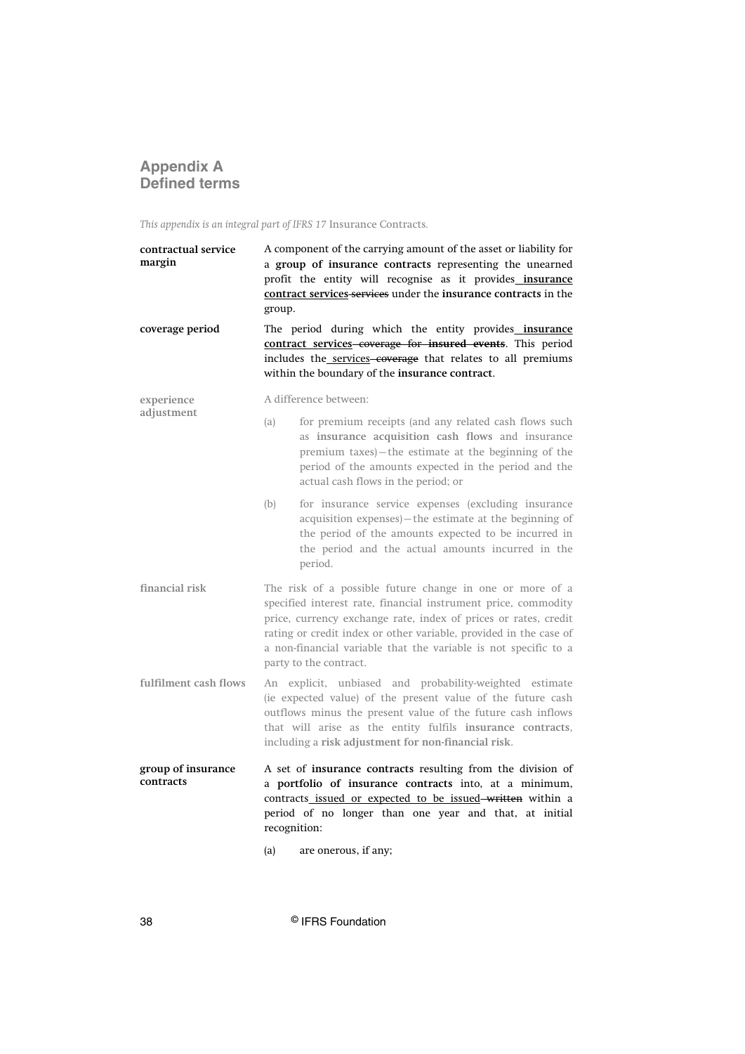# **Appendix A Defined terms**

# *This appendix is an integral part of IFRS 17* Insurance Contracts*.*

| contractual service<br>margin   | A component of the carrying amount of the asset or liability for<br>a group of insurance contracts representing the unearned<br>profit the entity will recognise as it provides_insurance<br>contract services services under the insurance contracts in the<br>group.                                                                                          |  |  |  |
|---------------------------------|-----------------------------------------------------------------------------------------------------------------------------------------------------------------------------------------------------------------------------------------------------------------------------------------------------------------------------------------------------------------|--|--|--|
| coverage period                 | The period during which the entity provides_insurance<br>contract services-coverage for insured events. This period<br>includes the services-coverage that relates to all premiums<br>within the boundary of the insurance contract.                                                                                                                            |  |  |  |
| experience                      | A difference between:                                                                                                                                                                                                                                                                                                                                           |  |  |  |
| adjustment                      | for premium receipts (and any related cash flows such<br>(a)<br>as insurance acquisition cash flows and insurance<br>premium taxes)-the estimate at the beginning of the<br>period of the amounts expected in the period and the<br>actual cash flows in the period; or                                                                                         |  |  |  |
|                                 | (b)<br>for insurance service expenses (excluding insurance<br>acquisition expenses)-the estimate at the beginning of<br>the period of the amounts expected to be incurred in<br>the period and the actual amounts incurred in the<br>period.                                                                                                                    |  |  |  |
| financial risk                  | The risk of a possible future change in one or more of a<br>specified interest rate, financial instrument price, commodity<br>price, currency exchange rate, index of prices or rates, credit<br>rating or credit index or other variable, provided in the case of<br>a non-financial variable that the variable is not specific to a<br>party to the contract. |  |  |  |
| fulfilment cash flows           | An explicit, unbiased and probability-weighted estimate<br>(ie expected value) of the present value of the future cash<br>outflows minus the present value of the future cash inflows<br>that will arise as the entity fulfils insurance contracts,<br>including a risk adjustment for non-financial risk.                                                      |  |  |  |
| group of insurance<br>contracts | A set of insurance contracts resulting from the division of<br>a portfolio of insurance contracts into, at a minimum,<br>contracts_issued_or_expected_to_be_issued-written_within_a<br>period of no longer than one year and that, at initial<br>recognition:                                                                                                   |  |  |  |

(a) are onerous, if any;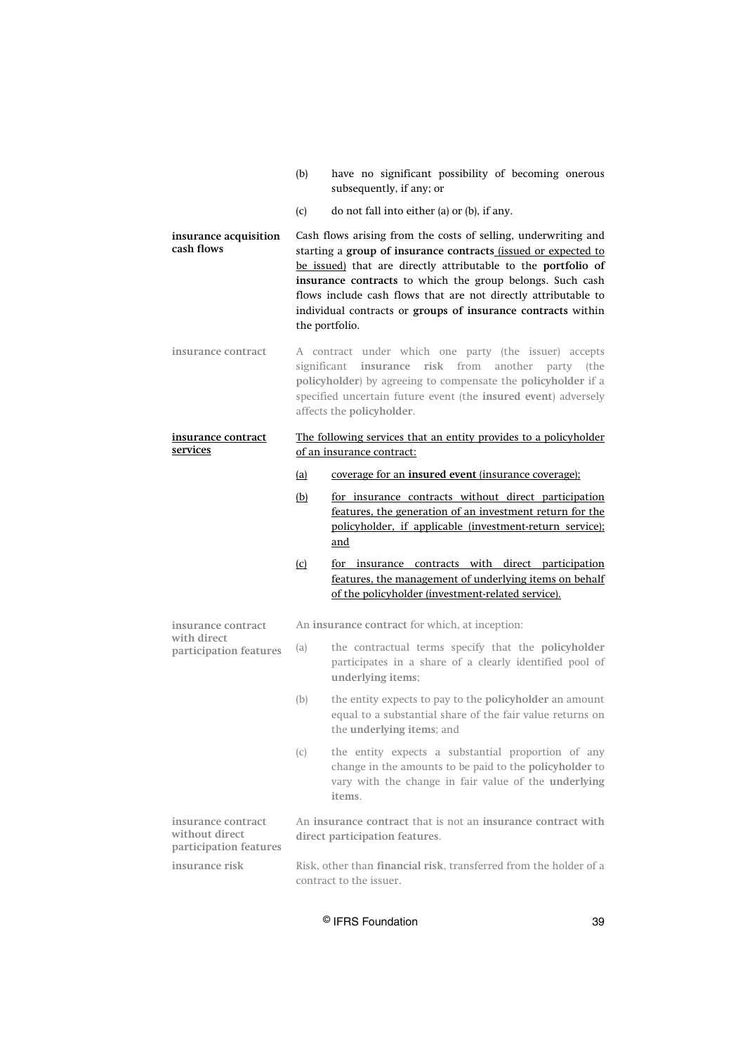- (b) have no significant possibility of becoming onerous subsequently, if any; or
- (c) do not fall into either (a) or (b), if any.

**insurance acquisition cash flows** Cash flows arising from the costs of selling, underwriting and starting a **group of insurance contracts** (issued or expected to be issued) that are directly attributable to the **portfolio of insurance contracts** to which the group belongs. Such cash flows include cash flows that are not directly attributable to individual contracts or **groups of insurance contracts** within the portfolio.

**insurance contract** A contract under which one party (the issuer) accepts significant **insurance risk** from another party (the **policyholder**) by agreeing to compensate the **policyholder** if a specified uncertain future event (the **insured event**) adversely affects the **policyholder**.

#### **insurance contract services** The following services that an entity provides to a policyholder of an insurance contract:

- (a) coverage for an **insured event** (insurance coverage);
- (b) for insurance contracts without direct participation features, the generation of an investment return for the policyholder, if applicable (investment-return service); and
- (c) for insurance contracts with direct participation features, the management of underlying items on behalf of the policyholder (investment-related service).

| insurance contract<br>with direct<br>participation features    | An insurance contract for which, at inception:                                                 |                                                                                                                                                                                        |  |  |
|----------------------------------------------------------------|------------------------------------------------------------------------------------------------|----------------------------------------------------------------------------------------------------------------------------------------------------------------------------------------|--|--|
|                                                                | (a)                                                                                            | the contractual terms specify that the policyholder<br>participates in a share of a clearly identified pool of<br>underlying items;                                                    |  |  |
|                                                                | (b)                                                                                            | the entity expects to pay to the policyholder an amount<br>equal to a substantial share of the fair value returns on<br>the underlying items; and                                      |  |  |
|                                                                | (c)                                                                                            | the entity expects a substantial proportion of any<br>change in the amounts to be paid to the policyholder to<br>vary with the change in fair value of the <b>underlying</b><br>items. |  |  |
| insurance contract<br>without direct<br>participation features | An insurance contract that is not an insurance contract with<br>direct participation features. |                                                                                                                                                                                        |  |  |
| insurance risk                                                 |                                                                                                | Risk, other than <b>financial risk</b> , transferred from the holder of a<br>contract to the issuer.                                                                                   |  |  |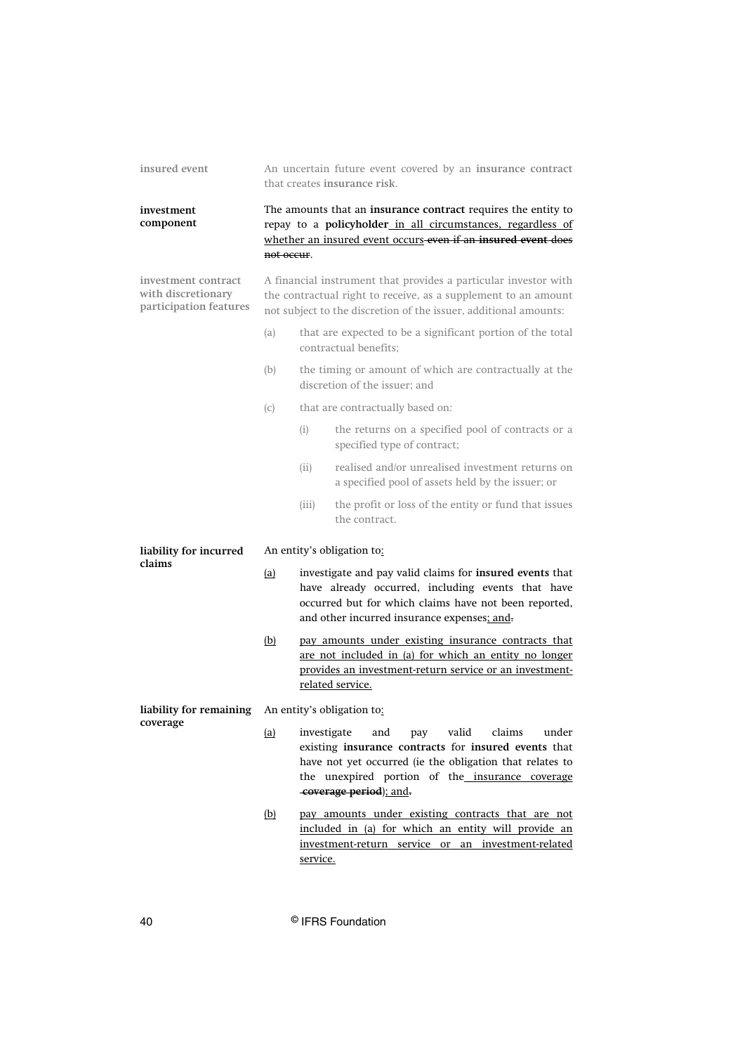| insured event                                                       | An uncertain future event covered by an insurance contract<br>that creates insurance risk.                                                                                                                  |                                                                                                                                                                                                                                                         |                                                                                                                                                                                                       |  |  |
|---------------------------------------------------------------------|-------------------------------------------------------------------------------------------------------------------------------------------------------------------------------------------------------------|---------------------------------------------------------------------------------------------------------------------------------------------------------------------------------------------------------------------------------------------------------|-------------------------------------------------------------------------------------------------------------------------------------------------------------------------------------------------------|--|--|
| investment<br>component                                             | The amounts that an insurance contract requires the entity to<br>repay to a policyholder in all circumstances, regardless of<br>whether an insured event occurs even if an insured event does<br>not occur. |                                                                                                                                                                                                                                                         |                                                                                                                                                                                                       |  |  |
| investment contract<br>with discretionary<br>participation features |                                                                                                                                                                                                             |                                                                                                                                                                                                                                                         | A financial instrument that provides a particular investor with<br>the contractual right to receive, as a supplement to an amount<br>not subject to the discretion of the issuer, additional amounts: |  |  |
|                                                                     | (a)                                                                                                                                                                                                         |                                                                                                                                                                                                                                                         | that are expected to be a significant portion of the total<br>contractual benefits;                                                                                                                   |  |  |
|                                                                     | (b)                                                                                                                                                                                                         | the timing or amount of which are contractually at the<br>discretion of the issuer; and                                                                                                                                                                 |                                                                                                                                                                                                       |  |  |
|                                                                     | (C)                                                                                                                                                                                                         | that are contractually based on:                                                                                                                                                                                                                        |                                                                                                                                                                                                       |  |  |
|                                                                     |                                                                                                                                                                                                             | (i)                                                                                                                                                                                                                                                     | the returns on a specified pool of contracts or a<br>specified type of contract;                                                                                                                      |  |  |
|                                                                     |                                                                                                                                                                                                             | (ii)                                                                                                                                                                                                                                                    | realised and/or unrealised investment returns on<br>a specified pool of assets held by the issuer; or                                                                                                 |  |  |
|                                                                     |                                                                                                                                                                                                             | (iii)                                                                                                                                                                                                                                                   | the profit or loss of the entity or fund that issues<br>the contract.                                                                                                                                 |  |  |
| liability for incurred                                              | An entity's obligation to:                                                                                                                                                                                  |                                                                                                                                                                                                                                                         |                                                                                                                                                                                                       |  |  |
| claims                                                              | (a)                                                                                                                                                                                                         | investigate and pay valid claims for insured events that<br>have already occurred, including events that have<br>occurred but for which claims have not been reported,<br>and other incurred insurance expenses; and-                                   |                                                                                                                                                                                                       |  |  |
|                                                                     | (b)                                                                                                                                                                                                         | pay amounts under existing insurance contracts that<br>are not included in (a) for which an entity no longer<br>provides an investment-return service or an investment-<br>related service.                                                             |                                                                                                                                                                                                       |  |  |
| liability for remaining                                             | An entity's obligation to:                                                                                                                                                                                  |                                                                                                                                                                                                                                                         |                                                                                                                                                                                                       |  |  |
| coverage                                                            | (a)                                                                                                                                                                                                         | valid<br>claims<br>investigate<br>and<br>pay<br>under<br>existing insurance contracts for insured events that<br>have not yet occurred (ie the obligation that relates to<br>the unexpired portion of the insurance coverage<br>-coverage period); and- |                                                                                                                                                                                                       |  |  |
|                                                                     | (b)                                                                                                                                                                                                         | service.                                                                                                                                                                                                                                                | pay amounts under existing contracts that are not<br>included in (a) for which an entity will provide an<br>investment-return service or an investment-related                                        |  |  |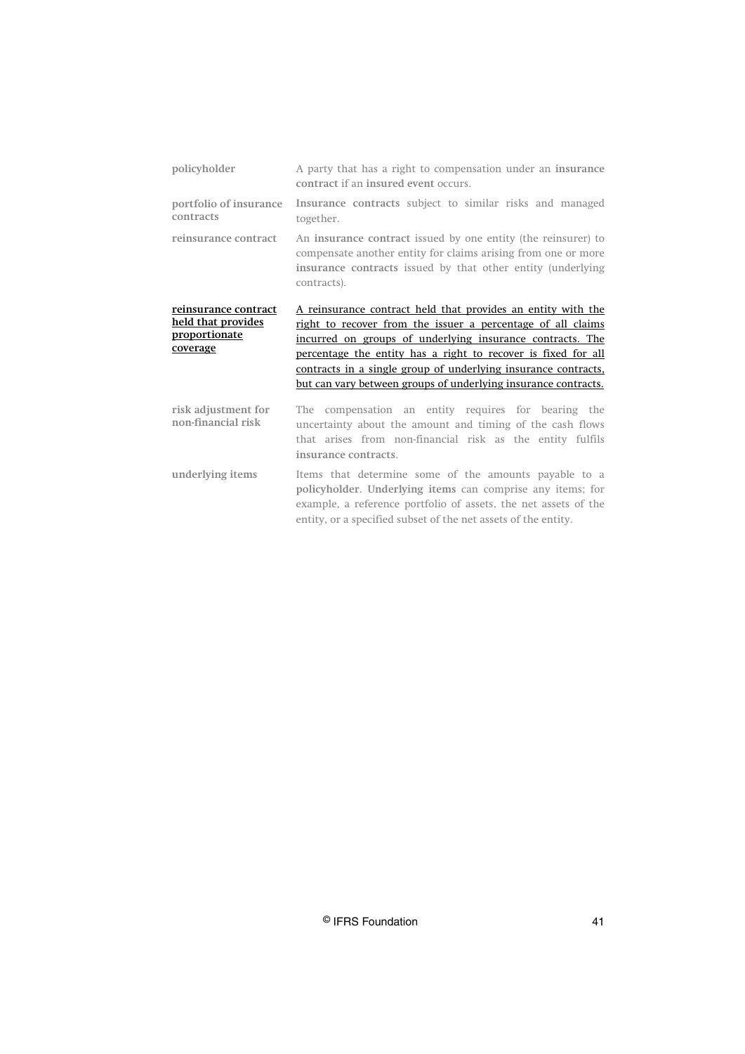| policyholder                                                            | A party that has a right to compensation under an insurance<br>contract if an insured event occurs.                                                                                                                                                                                                                                                                                           |
|-------------------------------------------------------------------------|-----------------------------------------------------------------------------------------------------------------------------------------------------------------------------------------------------------------------------------------------------------------------------------------------------------------------------------------------------------------------------------------------|
| portfolio of insurance<br>contracts                                     | Insurance contracts subject to similar risks and managed<br>together.                                                                                                                                                                                                                                                                                                                         |
| reinsurance contract                                                    | An insurance contract issued by one entity (the reinsurer) to<br>compensate another entity for claims arising from one or more<br>insurance contracts issued by that other entity (underlying<br>contracts).                                                                                                                                                                                  |
| reinsurance contract<br>held that provides<br>proportionate<br>coverage | A reinsurance contract held that provides an entity with the<br>right to recover from the issuer a percentage of all claims<br>incurred on groups of underlying insurance contracts. The<br>percentage the entity has a right to recover is fixed for all<br>contracts in a single group of underlying insurance contracts,<br>but can vary between groups of underlying insurance contracts. |
| risk adjustment for<br>non-financial risk                               | The compensation an entity requires for bearing the<br>uncertainty about the amount and timing of the cash flows<br>that arises from non-financial risk as the entity fulfils<br>insurance contracts.                                                                                                                                                                                         |
| underlying items                                                        | Items that determine some of the amounts payable to a<br>policyholder. Underlying items can comprise any items; for<br>example, a reference portfolio of assets, the net assets of the<br>entity, or a specified subset of the net assets of the entity.                                                                                                                                      |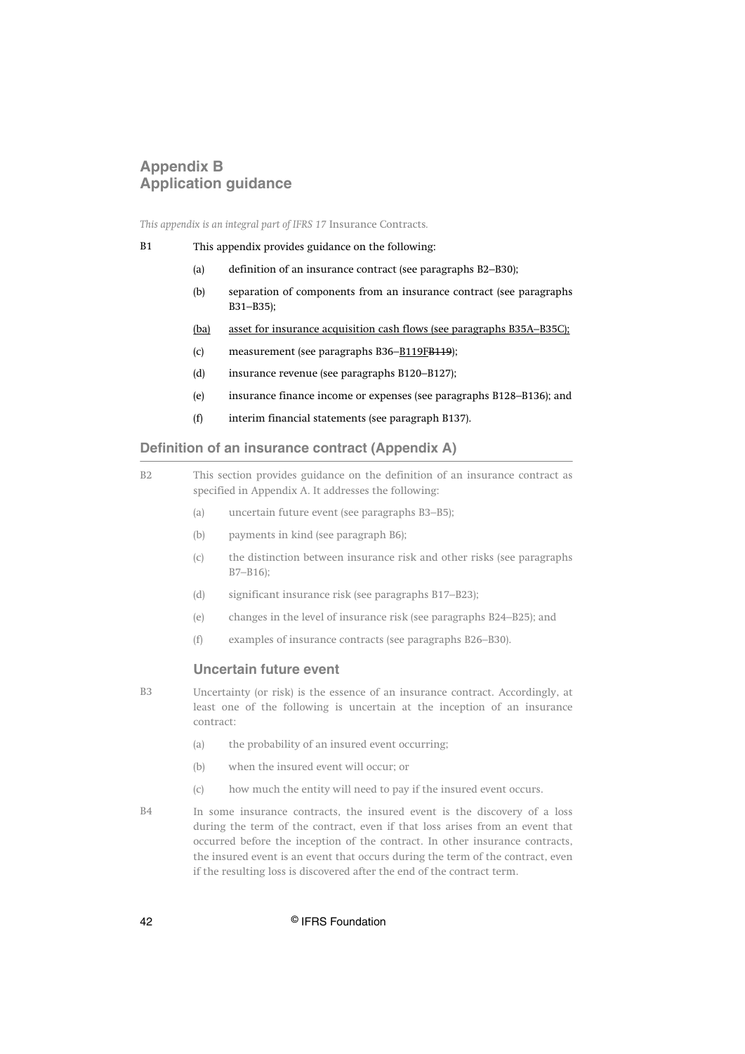# **Appendix B Application guidance**

 $B1$ 

*This appendix is an integral part of IFRS 17* Insurance Contracts*.*

This appendix provides guidance on the following:

- (a) definition of an insurance contract (see paragraphs B2–B30);
- (b) separation of components from an insurance contract (see paragraphs B31–B35);
- (ba) asset for insurance acquisition cash flows (see paragraphs B35A–B35C);
- (c) measurement (see paragraphs B36–B119FB119);
- (d) insurance revenue (see paragraphs B120–B127);
- (e) insurance finance income or expenses (see paragraphs B128–B136); and
- (f) interim financial statements (see paragraph B137).

# **Definition of an insurance contract (Appendix A)**

| B <sub>2</sub> | This section provides guidance on the definition of an insurance contract as<br>specified in Appendix A. It addresses the following:                                                                                                                                                                                                                                                                    |                                                                                        |  |  |
|----------------|---------------------------------------------------------------------------------------------------------------------------------------------------------------------------------------------------------------------------------------------------------------------------------------------------------------------------------------------------------------------------------------------------------|----------------------------------------------------------------------------------------|--|--|
|                | (a)                                                                                                                                                                                                                                                                                                                                                                                                     | uncertain future event (see paragraphs B3–B5);                                         |  |  |
|                | (b)                                                                                                                                                                                                                                                                                                                                                                                                     | payments in kind (see paragraph B6);                                                   |  |  |
|                | (c)                                                                                                                                                                                                                                                                                                                                                                                                     | the distinction between insurance risk and other risks (see paragraphs<br>$B7 - B16$ ; |  |  |
|                | (d)                                                                                                                                                                                                                                                                                                                                                                                                     | significant insurance risk (see paragraphs B17–B23);                                   |  |  |
|                | (e)                                                                                                                                                                                                                                                                                                                                                                                                     | changes in the level of insurance risk (see paragraphs B24-B25); and                   |  |  |
|                | (f)                                                                                                                                                                                                                                                                                                                                                                                                     | examples of insurance contracts (see paragraphs B26–B30).                              |  |  |
|                |                                                                                                                                                                                                                                                                                                                                                                                                         | Uncertain future event                                                                 |  |  |
| B <sub>3</sub> | Uncertainty (or risk) is the essence of an insurance contract. Accordingly, at<br>least one of the following is uncertain at the inception of an insurance<br>contract:                                                                                                                                                                                                                                 |                                                                                        |  |  |
|                | (a)                                                                                                                                                                                                                                                                                                                                                                                                     | the probability of an insured event occurring;                                         |  |  |
|                | (b)                                                                                                                                                                                                                                                                                                                                                                                                     | when the insured event will occur; or                                                  |  |  |
|                | (c)                                                                                                                                                                                                                                                                                                                                                                                                     | how much the entity will need to pay if the insured event occurs.                      |  |  |
| <b>B4</b>      | In some insurance contracts, the insured event is the discovery of a loss<br>during the term of the contract, even if that loss arises from an event that<br>occurred before the inception of the contract. In other insurance contracts,<br>the insured event is an event that occurs during the term of the contract, even<br>if the resulting loss is discovered after the end of the contract term. |                                                                                        |  |  |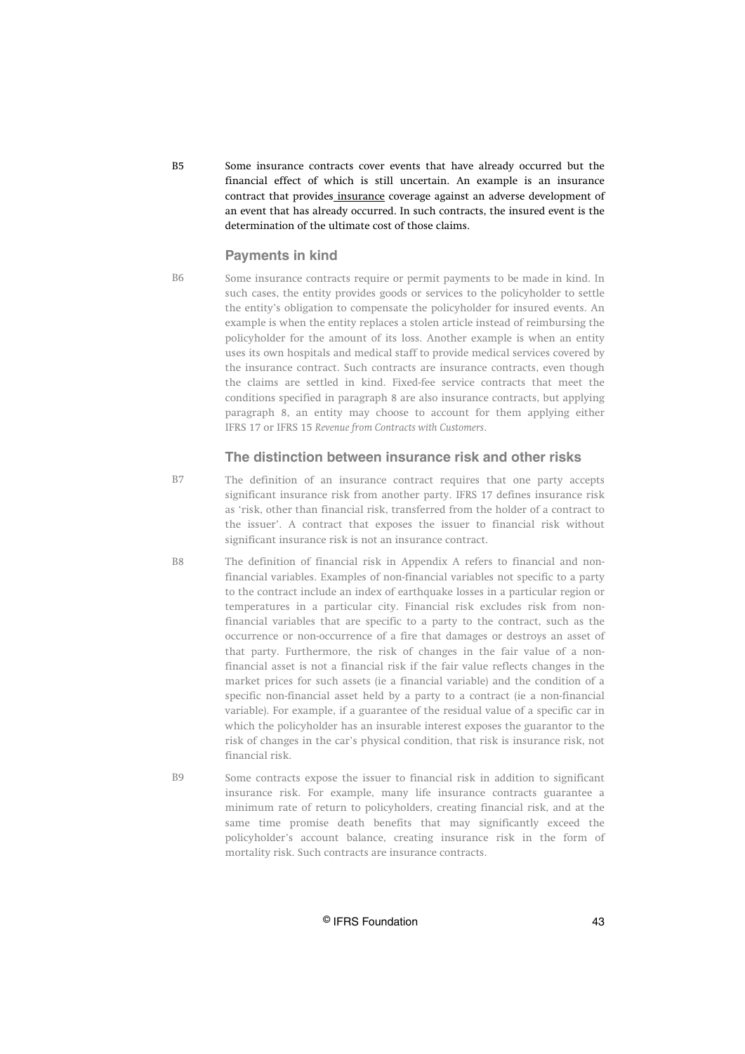<span id="page-42-0"></span>Some insurance contracts cover events that have already occurred but the financial effect of which is still uncertain. An example is an insurance contract that provides insurance coverage against an adverse development of an event that has already occurred. In such contracts, the insured event is the determination of the ultimate cost of those claims. B5

#### **Payments in kind**

B6

Some insurance contracts require or permit payments to be made in kind. In such cases, the entity provides goods or services to the policyholder to settle the entity's obligation to compensate the policyholder for insured events. An example is when the entity replaces a stolen article instead of reimbursing the policyholder for the amount of its loss. Another example is when an entity uses its own hospitals and medical staff to provide medical services covered by the insurance contract. Such contracts are insurance contracts, even though the claims are settled in kind. Fixed-fee service contracts that meet the conditions specified in paragraph 8 are also insurance contracts, but applying paragraph 8, an entity may choose to account for them applying either IFRS 17 or IFRS 15 *Revenue from Contracts with Customers*.

#### **The distinction between insurance risk and other risks**

- The definition of an insurance contract requires that one party accepts significant insurance risk from another party. IFRS 17 defines insurance risk as 'risk, other than financial risk, transferred from the holder of a contract to the issuer'. A contract that exposes the issuer to financial risk without significant insurance risk is not an insurance contract.  $R7$
- The definition of financial risk in Appendix A refers to financial and nonfinancial variables. Examples of non-financial variables not specific to a party to the contract include an index of earthquake losses in a particular region or temperatures in a particular city. Financial risk excludes risk from nonfinancial variables that are specific to a party to the contract, such as the occurrence or non-occurrence of a fire that damages or destroys an asset of that party. Furthermore, the risk of changes in the fair value of a nonfinancial asset is not a financial risk if the fair value reflects changes in the market prices for such assets (ie a financial variable) and the condition of a specific non-financial asset held by a party to a contract (ie a non-financial variable). For example, if a guarantee of the residual value of a specific car in which the policyholder has an insurable interest exposes the guarantor to the risk of changes in the car's physical condition, that risk is insurance risk, not financial risk. **R**<sub>8</sub>
- Some contracts expose the issuer to financial risk in addition to significant insurance risk. For example, many life insurance contracts guarantee a minimum rate of return to policyholders, creating financial risk, and at the same time promise death benefits that may significantly exceed the policyholder's account balance, creating insurance risk in the form of mortality risk. Such contracts are insurance contracts. R<sub>9</sub>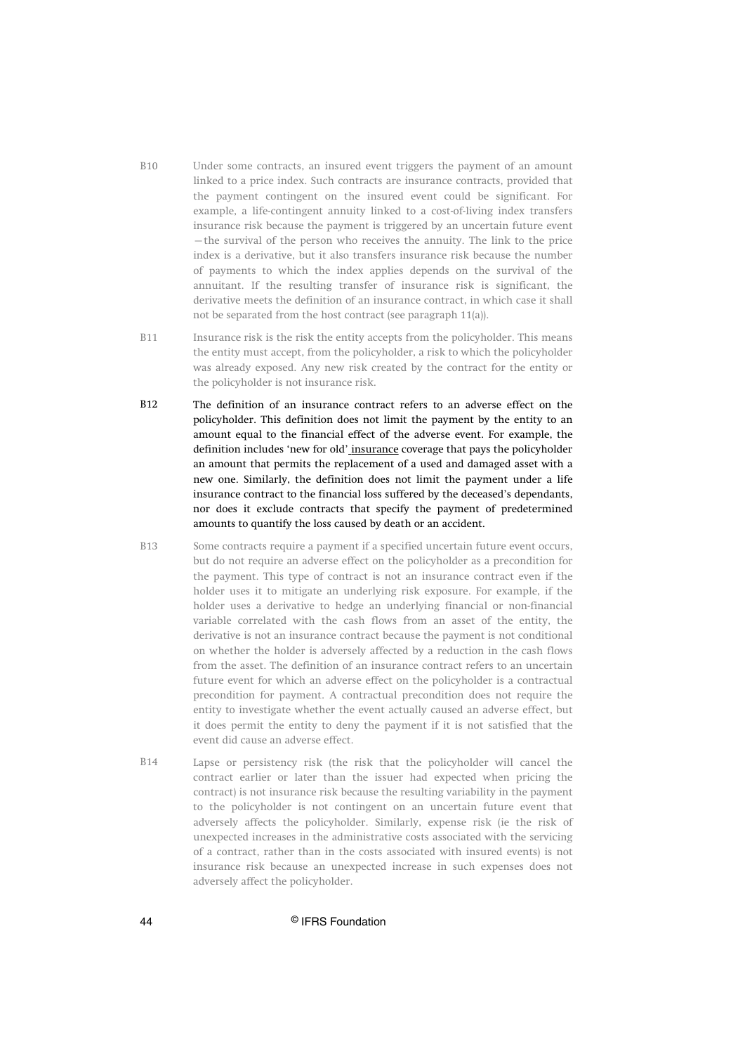- Under some contracts, an insured event triggers the payment of an amount linked to a price index. Such contracts are insurance contracts, provided that the payment contingent on the insured event could be significant. For example, a life-contingent annuity linked to a cost-of-living index transfers insurance risk because the payment is triggered by an uncertain future event —the survival of the person who receives the annuity. The link to the price index is a derivative, but it also transfers insurance risk because the number of payments to which the index applies depends on the survival of the annuitant. If the resulting transfer of insurance risk is significant, the derivative meets the definition of an insurance contract, in which case it shall not be separated from the host contract (see paragraph 11(a)). B10
- Insurance risk is the risk the entity accepts from the policyholder. This means the entity must accept, from the policyholder, a risk to which the policyholder was already exposed. Any new risk created by the contract for the entity or the policyholder is not insurance risk. B11
- The definition of an insurance contract refers to an adverse effect on the policyholder. This definition does not limit the payment by the entity to an amount equal to the financial effect of the adverse event. For example, the definition includes 'new for old' insurance coverage that pays the policyholder an amount that permits the replacement of a used and damaged asset with a new one. Similarly, the definition does not limit the payment under a life insurance contract to the financial loss suffered by the deceased's dependants, nor does it exclude contracts that specify the payment of predetermined amounts to quantify the loss caused by death or an accident. B12
- Some contracts require a payment if a specified uncertain future event occurs, but do not require an adverse effect on the policyholder as a precondition for the payment. This type of contract is not an insurance contract even if the holder uses it to mitigate an underlying risk exposure. For example, if the holder uses a derivative to hedge an underlying financial or non-financial variable correlated with the cash flows from an asset of the entity, the derivative is not an insurance contract because the payment is not conditional on whether the holder is adversely affected by a reduction in the cash flows from the asset. The definition of an insurance contract refers to an uncertain future event for which an adverse effect on the policyholder is a contractual precondition for payment. A contractual precondition does not require the entity to investigate whether the event actually caused an adverse effect, but it does permit the entity to deny the payment if it is not satisfied that the event did cause an adverse effect. B13
- Lapse or persistency risk (the risk that the policyholder will cancel the contract earlier or later than the issuer had expected when pricing the contract) is not insurance risk because the resulting variability in the payment to the policyholder is not contingent on an uncertain future event that adversely affects the policyholder. Similarly, expense risk (ie the risk of unexpected increases in the administrative costs associated with the servicing of a contract, rather than in the costs associated with insured events) is not insurance risk because an unexpected increase in such expenses does not adversely affect the policyholder. B14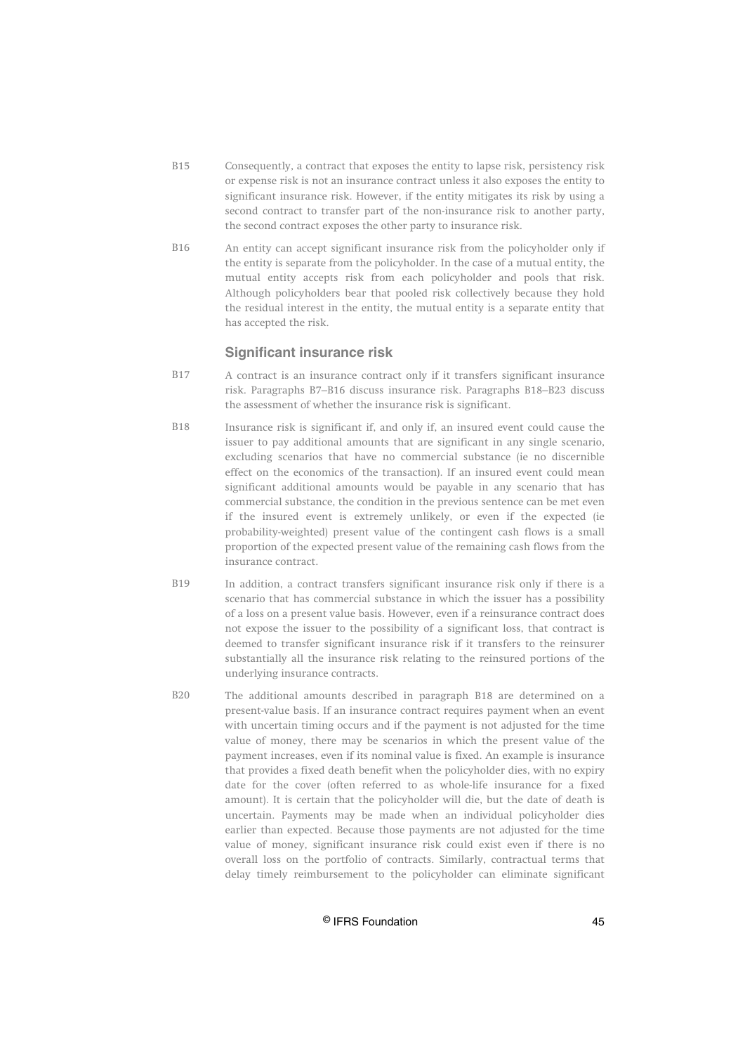- <span id="page-44-0"></span>Consequently, a contract that exposes the entity to lapse risk, persistency risk or expense risk is not an insurance contract unless it also exposes the entity to significant insurance risk. However, if the entity mitigates its risk by using a second contract to transfer part of the non-insurance risk to another party, the second contract exposes the other party to insurance risk. B15
- An entity can accept significant insurance risk from the policyholder only if the entity is separate from the policyholder. In the case of a mutual entity, the mutual entity accepts risk from each policyholder and pools that risk. Although policyholders bear that pooled risk collectively because they hold the residual interest in the entity, the mutual entity is a separate entity that has accepted the risk. B16

## **Significant insurance risk**

- A contract is an insurance contract only if it transfers significant insurance risk. [Paragraphs B7–B16](#page-42-0) discuss insurance risk. Paragraphs B18–B23 discuss the assessment of whether the insurance risk is significant. B17
- Insurance risk is significant if, and only if, an insured event could cause the issuer to pay additional amounts that are significant in any single scenario, excluding scenarios that have no commercial substance (ie no discernible effect on the economics of the transaction). If an insured event could mean significant additional amounts would be payable in any scenario that has commercial substance, the condition in the previous sentence can be met even if the insured event is extremely unlikely, or even if the expected (ie probability-weighted) present value of the contingent cash flows is a small proportion of the expected present value of the remaining cash flows from the insurance contract. B18
- In addition, a contract transfers significant insurance risk only if there is a scenario that has commercial substance in which the issuer has a possibility of a loss on a present value basis. However, even if a reinsurance contract does not expose the issuer to the possibility of a significant loss, that contract is deemed to transfer significant insurance risk if it transfers to the reinsurer substantially all the insurance risk relating to the reinsured portions of the underlying insurance contracts. B19
- The additional amounts described in paragraph B18 are determined on a present-value basis. If an insurance contract requires payment when an event with uncertain timing occurs and if the payment is not adjusted for the time value of money, there may be scenarios in which the present value of the payment increases, even if its nominal value is fixed. An example is insurance that provides a fixed death benefit when the policyholder dies, with no expiry date for the cover (often referred to as whole-life insurance for a fixed amount). It is certain that the policyholder will die, but the date of death is uncertain. Payments may be made when an individual policyholder dies earlier than expected. Because those payments are not adjusted for the time value of money, significant insurance risk could exist even if there is no overall loss on the portfolio of contracts. Similarly, contractual terms that delay timely reimbursement to the policyholder can eliminate significant B20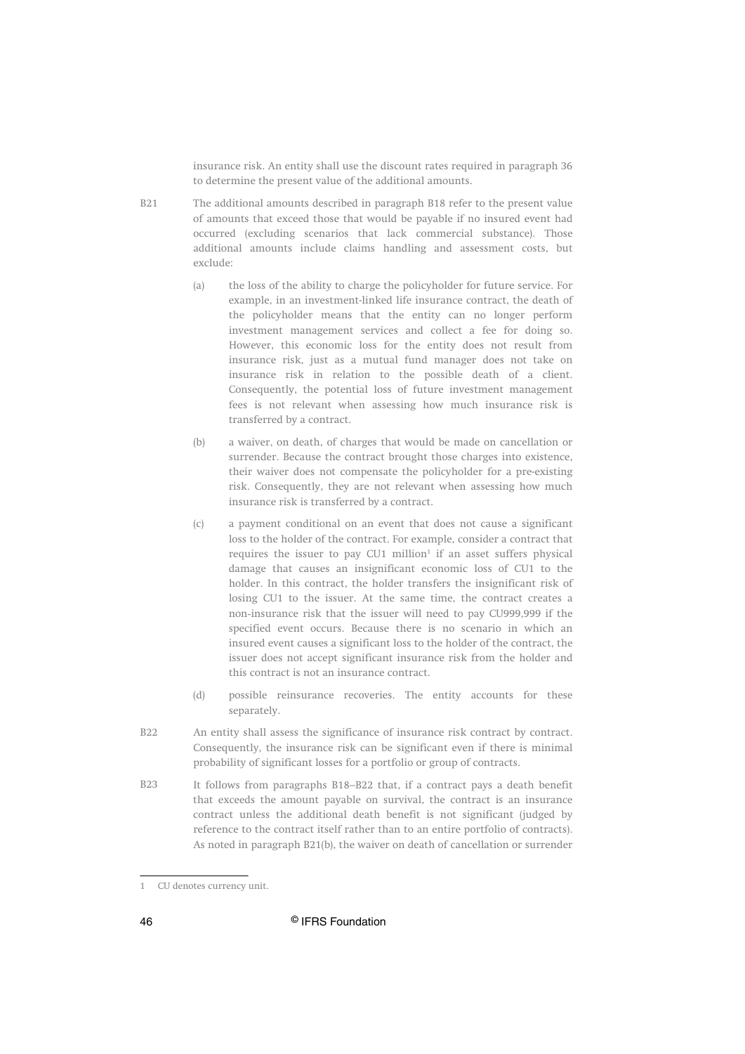insurance risk. An entity shall use the discount rates required in paragraph 36 to determine the present value of the additional amounts.

- The additional amounts described in paragraph B18 refer to the present value of amounts that exceed those that would be payable if no insured event had occurred (excluding scenarios that lack commercial substance). Those additional amounts include claims handling and assessment costs, but exclude:  $R21$ 
	- (a) the loss of the ability to charge the policyholder for future service. For example, in an investment-linked life insurance contract, the death of the policyholder means that the entity can no longer perform investment management services and collect a fee for doing so. However, this economic loss for the entity does not result from insurance risk, just as a mutual fund manager does not take on insurance risk in relation to the possible death of a client. Consequently, the potential loss of future investment management fees is not relevant when assessing how much insurance risk is transferred by a contract.
	- (b) a waiver, on death, of charges that would be made on cancellation or surrender. Because the contract brought those charges into existence, their waiver does not compensate the policyholder for a pre-existing risk. Consequently, they are not relevant when assessing how much insurance risk is transferred by a contract.
	- (c) a payment conditional on an event that does not cause a significant loss to the holder of the contract. For example, consider a contract that requires the issuer to pay CU1 million<sup>1</sup> if an asset suffers physical damage that causes an insignificant economic loss of CU1 to the holder. In this contract, the holder transfers the insignificant risk of losing CU1 to the issuer. At the same time, the contract creates a non‑insurance risk that the issuer will need to pay CU999,999 if the specified event occurs. Because there is no scenario in which an insured event causes a significant loss to the holder of the contract, the issuer does not accept significant insurance risk from the holder and this contract is not an insurance contract.
	- (d) possible reinsurance recoveries. The entity accounts for these separately.
- An entity shall assess the significance of insurance risk contract by contract. Consequently, the insurance risk can be significant even if there is minimal probability of significant losses for a portfolio or group of contracts. B22
- It follows from paragraphs B18–B22 that, if a contract pays a death benefit that exceeds the amount payable on survival, the contract is an insurance contract unless the additional death benefit is not significant (judged by reference to the contract itself rather than to an entire portfolio of contracts). As noted in paragraph B21(b), the waiver on death of cancellation or surrender B23

<sup>1</sup> CU denotes currency unit.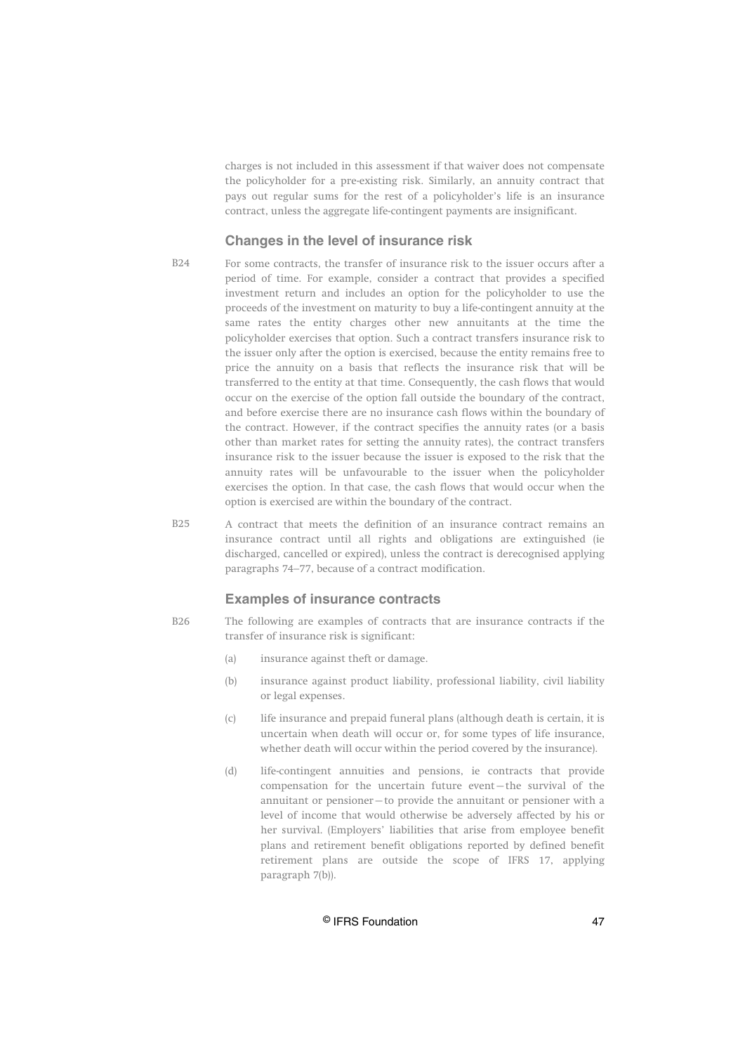<span id="page-46-0"></span>charges is not included in this assessment if that waiver does not compensate the policyholder for a pre-existing risk. Similarly, an annuity contract that pays out regular sums for the rest of a policyholder's life is an insurance contract, unless the aggregate life-contingent payments are insignificant.

#### **Changes in the level of insurance risk**

B24

For some contracts, the transfer of insurance risk to the issuer occurs after a period of time. For example, consider a contract that provides a specified investment return and includes an option for the policyholder to use the proceeds of the investment on maturity to buy a life-contingent annuity at the same rates the entity charges other new annuitants at the time the policyholder exercises that option. Such a contract transfers insurance risk to the issuer only after the option is exercised, because the entity remains free to price the annuity on a basis that reflects the insurance risk that will be transferred to the entity at that time. Consequently, the cash flows that would occur on the exercise of the option fall outside the boundary of the contract, and before exercise there are no insurance cash flows within the boundary of the contract. However, if the contract specifies the annuity rates (or a basis other than market rates for setting the annuity rates), the contract transfers insurance risk to the issuer because the issuer is exposed to the risk that the annuity rates will be unfavourable to the issuer when the policyholder exercises the option. In that case, the cash flows that would occur when the option is exercised are within the boundary of the contract.

A contract that meets the definition of an insurance contract remains an insurance contract until all rights and obligations are extinguished (ie discharged, cancelled or expired), unless the contract is derecognised applying [paragraphs 74–77,](#page-22-0) because of a contract modification. B25

# **Examples of insurance contracts**

- The following are examples of contracts that are insurance contracts if the transfer of insurance risk is significant: B26
	- (a) insurance against theft or damage.
	- (b) insurance against product liability, professional liability, civil liability or legal expenses.
	- (c) life insurance and prepaid funeral plans (although death is certain, it is uncertain when death will occur or, for some types of life insurance, whether death will occur within the period covered by the insurance).
	- (d) life-contingent annuities and pensions, ie contracts that provide compensation for the uncertain future event—the survival of the annuitant or pensioner—to provide the annuitant or pensioner with a level of income that would otherwise be adversely affected by his or her survival. (Employers' liabilities that arise from employee benefit plans and retirement benefit obligations reported by defined benefit retirement plans are outside the scope of IFRS 17, applying paragraph 7(b)).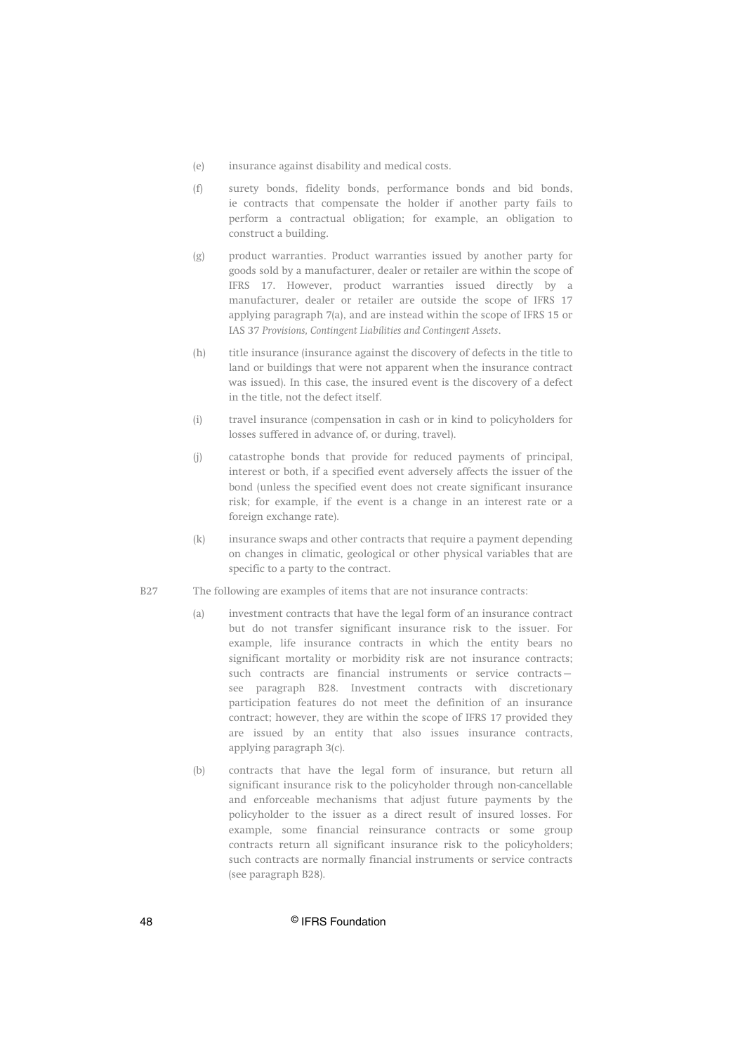- (e) insurance against disability and medical costs.
- (f) surety bonds, fidelity bonds, performance bonds and bid bonds, ie contracts that compensate the holder if another party fails to perform a contractual obligation; for example, an obligation to construct a building.
- (g) product warranties. Product warranties issued by another party for goods sold by a manufacturer, dealer or retailer are within the scope of IFRS 17. However, product warranties issued directly by a manufacturer, dealer or retailer are outside the scope of IFRS 17 applying paragraph 7(a), and are instead within the scope of IFRS 15 or IAS 37 *Provisions, Contingent Liabilities and Contingent Assets*.
- (h) title insurance (insurance against the discovery of defects in the title to land or buildings that were not apparent when the insurance contract was issued). In this case, the insured event is the discovery of a defect in the title, not the defect itself.
- (i) travel insurance (compensation in cash or in kind to policyholders for losses suffered in advance of, or during, travel).
- (j) catastrophe bonds that provide for reduced payments of principal, interest or both, if a specified event adversely affects the issuer of the bond (unless the specified event does not create significant insurance risk; for example, if the event is a change in an interest rate or a foreign exchange rate).
- (k) insurance swaps and other contracts that require a payment depending on changes in climatic, geological or other physical variables that are specific to a party to the contract.
- The following are examples of items that are not insurance contracts: B27
	- (a) investment contracts that have the legal form of an insurance contract but do not transfer significant insurance risk to the issuer. For example, life insurance contracts in which the entity bears no significant mortality or morbidity risk are not insurance contracts; such contracts are financial instruments or service contracts see paragraph B28. Investment contracts with discretionary participation features do not meet the definition of an insurance contract; however, they are within the scope of IFRS 17 provided they are issued by an entity that also issues insurance contracts, applying [paragraph 3\(c\).](#page-2-0)
	- (b) contracts that have the legal form of insurance, but return all significant insurance risk to the policyholder through non-cancellable and enforceable mechanisms that adjust future payments by the policyholder to the issuer as a direct result of insured losses. For example, some financial reinsurance contracts or some group contracts return all significant insurance risk to the policyholders; such contracts are normally financial instruments or service contracts (see paragraph B28).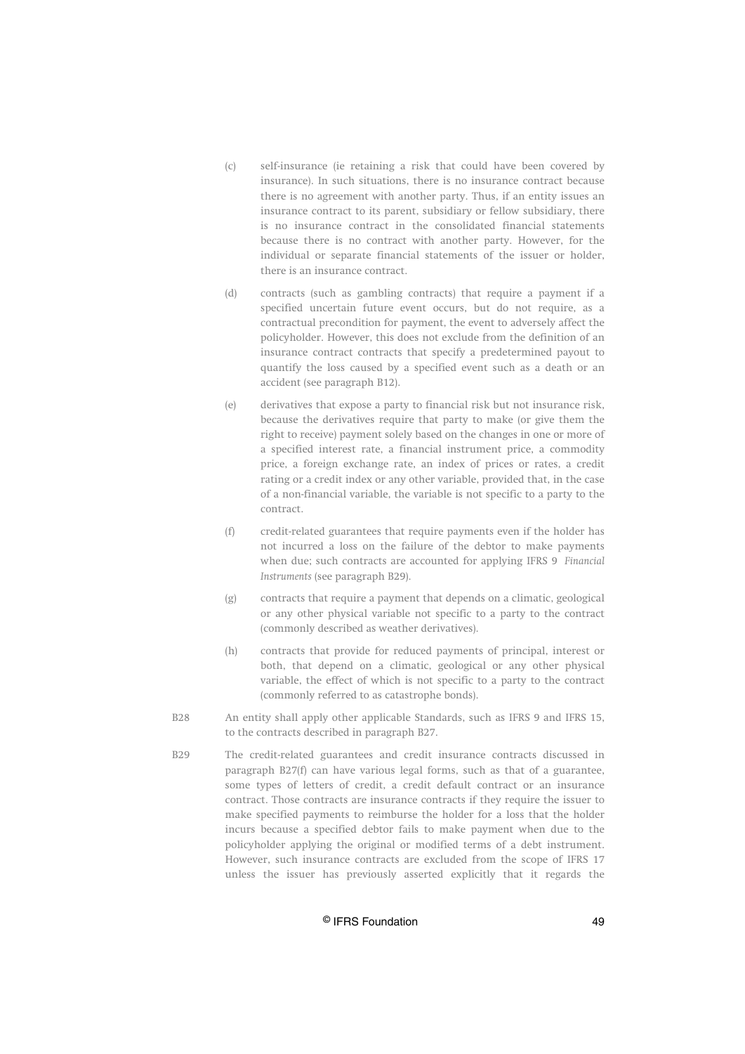- (c) self-insurance (ie retaining a risk that could have been covered by insurance). In such situations, there is no insurance contract because there is no agreement with another party. Thus, if an entity issues an insurance contract to its parent, subsidiary or fellow subsidiary, there is no insurance contract in the consolidated financial statements because there is no contract with another party. However, for the individual or separate financial statements of the issuer or holder, there is an insurance contract.
- (d) contracts (such as gambling contracts) that require a payment if a specified uncertain future event occurs, but do not require, as a contractual precondition for payment, the event to adversely affect the policyholder. However, this does not exclude from the definition of an insurance contract contracts that specify a predetermined payout to quantify the loss caused by a specified event such as a death or an accident (see paragraph B12).
- (e) derivatives that expose a party to financial risk but not insurance risk, because the derivatives require that party to make (or give them the right to receive) payment solely based on the changes in one or more of a specified interest rate, a financial instrument price, a commodity price, a foreign exchange rate, an index of prices or rates, a credit rating or a credit index or any other variable, provided that, in the case of a non-financial variable, the variable is not specific to a party to the contract.
- (f) credit-related guarantees that require payments even if the holder has not incurred a loss on the failure of the debtor to make payments when due; such contracts are accounted for applying IFRS 9 *Financial Instruments* (see paragraph B29).
- (g) contracts that require a payment that depends on a climatic, geological or any other physical variable not specific to a party to the contract (commonly described as weather derivatives).
- (h) contracts that provide for reduced payments of principal, interest or both, that depend on a climatic, geological or any other physical variable, the effect of which is not specific to a party to the contract (commonly referred to as catastrophe bonds).
- An entity shall apply other applicable Standards, such as IFRS 9 and IFRS 15, to the contracts described in paragraph B27. B28
- The credit-related guarantees and credit insurance contracts discussed in paragraph B27(f) can have various legal forms, such as that of a guarantee, some types of letters of credit, a credit default contract or an insurance contract. Those contracts are insurance contracts if they require the issuer to make specified payments to reimburse the holder for a loss that the holder incurs because a specified debtor fails to make payment when due to the policyholder applying the original or modified terms of a debt instrument. However, such insurance contracts are excluded from the scope of IFRS 17 unless the issuer has previously asserted explicitly that it regards the B29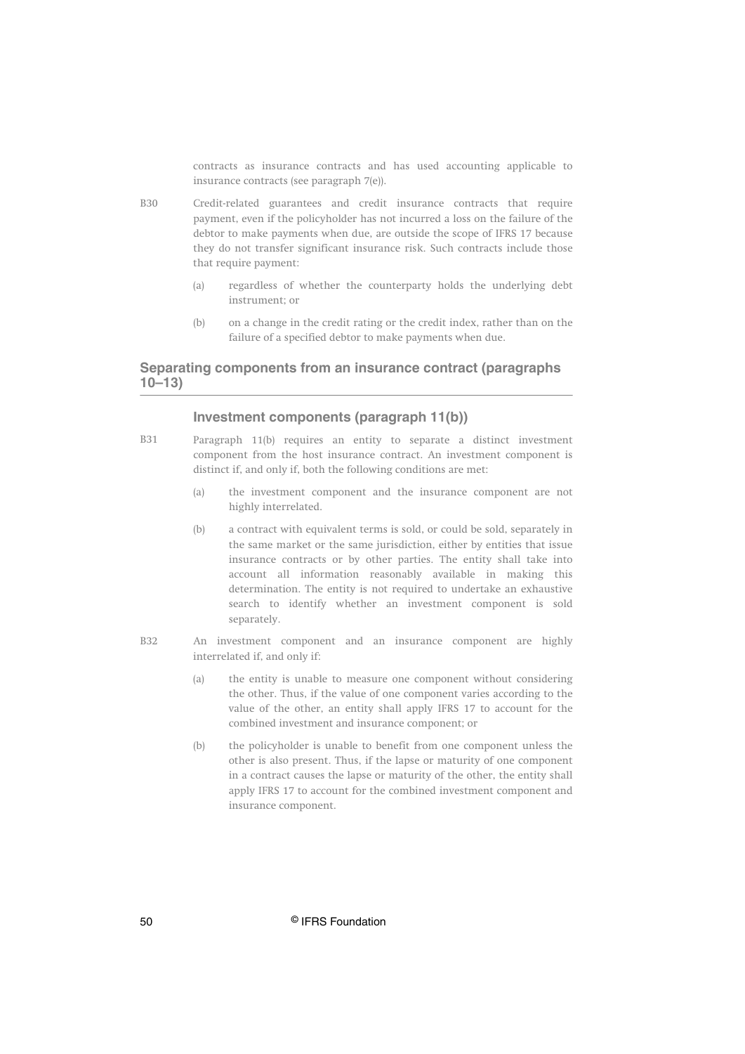contracts as insurance contracts and has used accounting applicable to insurance contracts (see paragraph 7(e)).

- Credit-related guarantees and credit insurance contracts that require payment, even if the policyholder has not incurred a loss on the failure of the debtor to make payments when due, are outside the scope of IFRS 17 because they do not transfer significant insurance risk. Such contracts include those that require payment:  $B30$ 
	- (a) regardless of whether the counterparty holds the underlying debt instrument; or
	- (b) on a change in the credit rating or the credit index, rather than on the failure of a specified debtor to make payments when due.

# **Separating components from an insurance contract ([paragraphs](#page-4-0) [10–13\)](#page-4-0)**

## **Investment components (paragraph 11(b))**

- Paragraph 11(b) requires an entity to separate a distinct investment component from the host insurance contract. An investment component is distinct if, and only if, both the following conditions are met: B31
	- (a) the investment component and the insurance component are not highly interrelated.
	- (b) a contract with equivalent terms is sold, or could be sold, separately in the same market or the same jurisdiction, either by entities that issue insurance contracts or by other parties. The entity shall take into account all information reasonably available in making this determination. The entity is not required to undertake an exhaustive search to identify whether an investment component is sold separately.
- An investment component and an insurance component are highly interrelated if, and only if: B32
	- (a) the entity is unable to measure one component without considering the other. Thus, if the value of one component varies according to the value of the other, an entity shall apply IFRS 17 to account for the combined investment and insurance component; or
	- (b) the policyholder is unable to benefit from one component unless the other is also present. Thus, if the lapse or maturity of one component in a contract causes the lapse or maturity of the other, the entity shall apply IFRS 17 to account for the combined investment component and insurance component.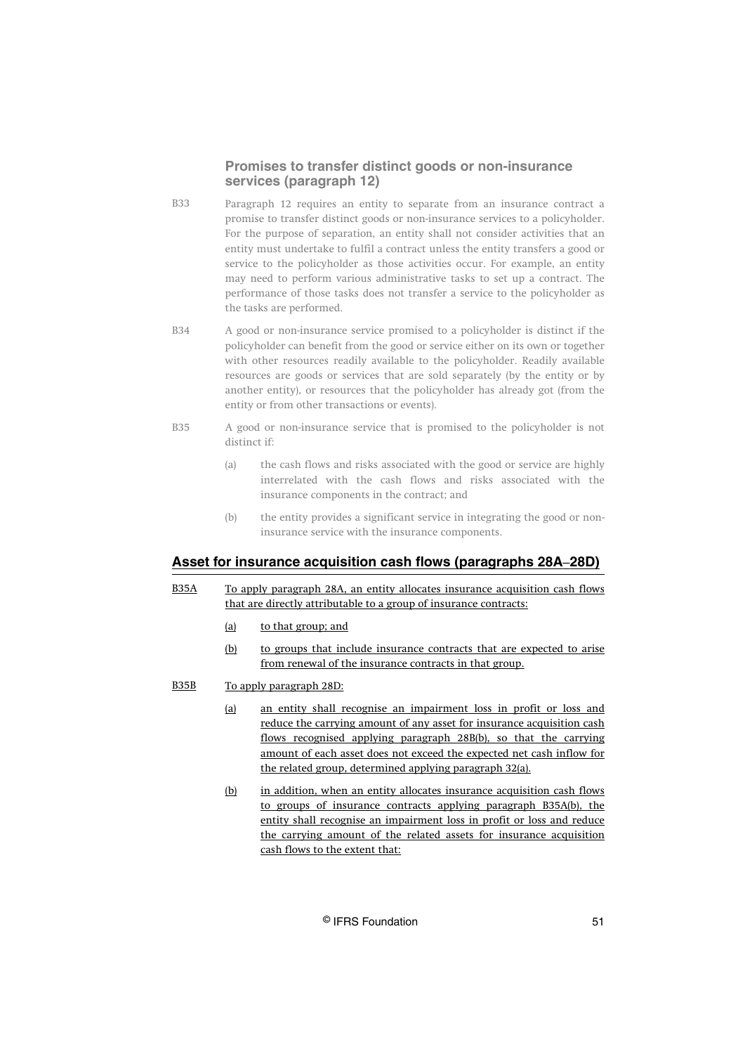# **Promises to transfer distinct goods or non-insurance services (paragraph 12)**

- Paragraph 12 requires an entity to separate from an insurance contract a promise to transfer distinct goods or non-insurance services to a policyholder. For the purpose of separation, an entity shall not consider activities that an entity must undertake to fulfil a contract unless the entity transfers a good or service to the policyholder as those activities occur. For example, an entity may need to perform various administrative tasks to set up a contract. The performance of those tasks does not transfer a service to the policyholder as the tasks are performed. B33
- A good or non-insurance service promised to a policyholder is distinct if the policyholder can benefit from the good or service either on its own or together with other resources readily available to the policyholder. Readily available resources are goods or services that are sold separately (by the entity or by another entity), or resources that the policyholder has already got (from the entity or from other transactions or events). B34
- A good or non-insurance service that is promised to the policyholder is not distinct if: B35
	- (a) the cash flows and risks associated with the good or service are highly interrelated with the cash flows and risks associated with the insurance components in the contract; and
	- (b) the entity provides a significant service in integrating the good or noninsurance service with the insurance components.

# Asset for insurance acquisition cash flows (paragraphs 28A–28D)

- To apply paragraph 28A, an entity allocates insurance acquisition cash flows that are directly attributable to a group of insurance contracts: B35A
	- (a) to that group; and
	- (b) to groups that include insurance contracts that are expected to arise from renewal of the insurance contracts in that group.
- To apply paragraph 28D: B35B
	- (a) an entity shall recognise an impairment loss in profit or loss and reduce the carrying amount of any asset for insurance acquisition cash flows recognised applying paragraph 28B(b), so that the carrying amount of each asset does not exceed the expected net cash inflow for the related group, determined applying paragraph 32(a).
	- (b) in addition, when an entity allocates insurance acquisition cash flows to groups of insurance contracts applying paragraph B35A(b), the entity shall recognise an impairment loss in profit or loss and reduce the carrying amount of the related assets for insurance acquisition cash flows to the extent that: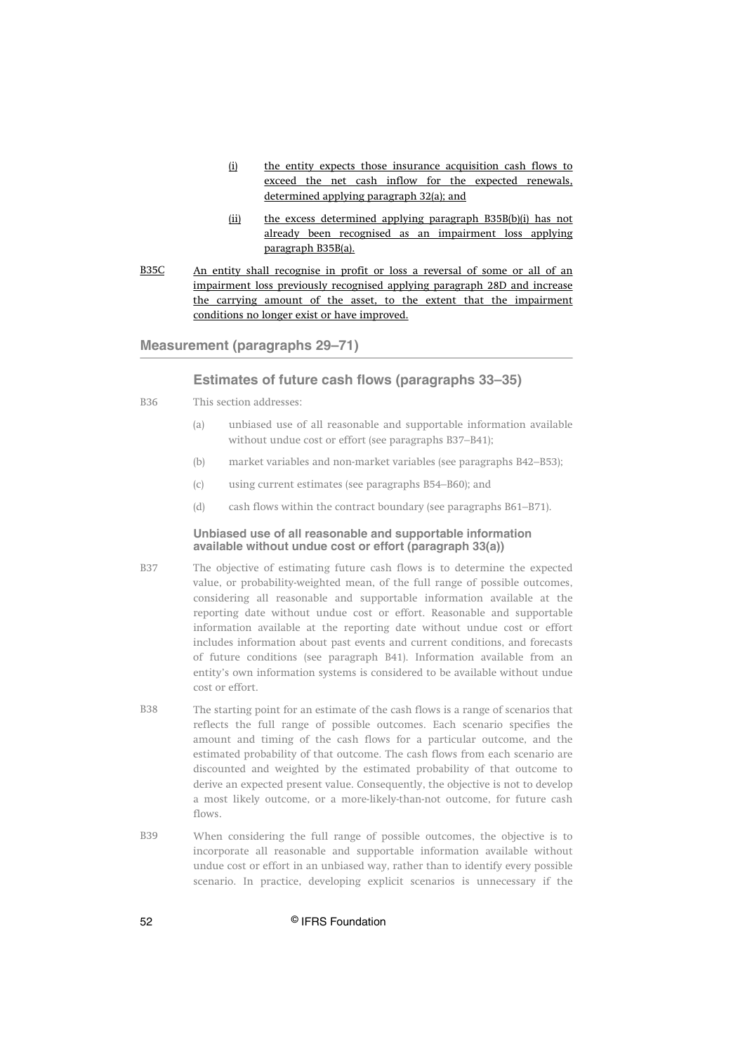- (i) the entity expects those insurance acquisition cash flows to exceed the net cash inflow for the expected renewals, determined applying paragraph 32(a); and
- (ii) the excess determined applying paragraph B35B(b)(i) has not already been recognised as an impairment loss applying paragraph B35B(a).
- An entity shall recognise in profit or loss a reversal of some or all of an impairment loss previously recognised applying paragraph 28D and increase the carrying amount of the asset, to the extent that the impairment conditions no longer exist or have improved. B35C

#### **Measurement ([paragraphs 29–71](#page-9-0))**

# **Estimates of future cash flows ([paragraphs 33–35](#page-9-0))**

- This section addresses: B36
	- (a) unbiased use of all reasonable and supportable information available without undue cost or effort (see paragraphs B37–B41);
	- (b) market variables and non-market variables (see [paragraphs B42–B53\)](#page-53-0);
	- (c) using current estimates (see [paragraphs B54–B60](#page-55-0)); and
	- (d) cash flows within the contract boundary (see [paragraphs B61–B71](#page-56-0)).

#### **Unbiased use of all reasonable and supportable information available without undue cost or effort ([paragraph 33\(a\)\)](#page-9-0)**

- The objective of estimating future cash flows is to determine the expected value, or probability-weighted mean, of the full range of possible outcomes, considering all reasonable and supportable information available at the reporting date without undue cost or effort. Reasonable and supportable information available at the reporting date without undue cost or effort includes information about past events and current conditions, and forecasts of future conditions (see paragraph B41). Information available from an entity's own information systems is considered to be available without undue cost or effort. B37
- The starting point for an estimate of the cash flows is a range of scenarios that reflects the full range of possible outcomes. Each scenario specifies the amount and timing of the cash flows for a particular outcome, and the estimated probability of that outcome. The cash flows from each scenario are discounted and weighted by the estimated probability of that outcome to derive an expected present value. Consequently, the objective is not to develop a most likely outcome, or a more-likely-than-not outcome, for future cash flows. B38
- When considering the full range of possible outcomes, the objective is to incorporate all reasonable and supportable information available without undue cost or effort in an unbiased way, rather than to identify every possible scenario. In practice, developing explicit scenarios is unnecessary if the B39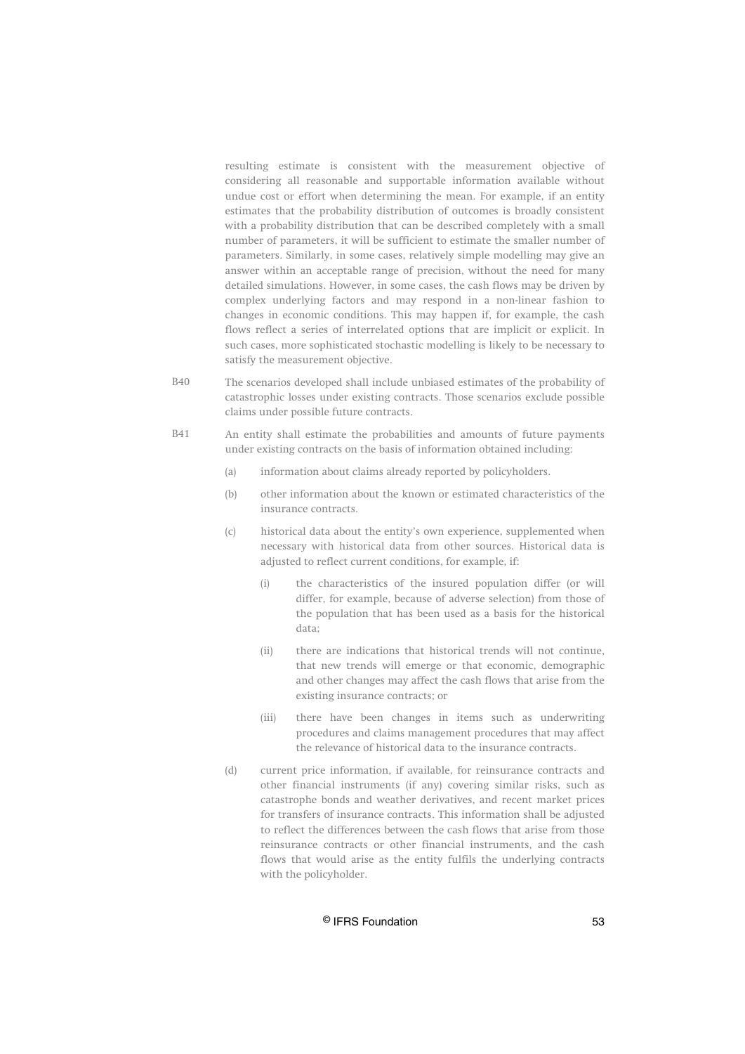resulting estimate is consistent with the measurement objective of considering all reasonable and supportable information available without undue cost or effort when determining the mean. For example, if an entity estimates that the probability distribution of outcomes is broadly consistent with a probability distribution that can be described completely with a small number of parameters, it will be sufficient to estimate the smaller number of parameters. Similarly, in some cases, relatively simple modelling may give an answer within an acceptable range of precision, without the need for many detailed simulations. However, in some cases, the cash flows may be driven by complex underlying factors and may respond in a non-linear fashion to changes in economic conditions. This may happen if, for example, the cash flows reflect a series of interrelated options that are implicit or explicit. In such cases, more sophisticated stochastic modelling is likely to be necessary to satisfy the measurement objective.

- The scenarios developed shall include unbiased estimates of the probability of catastrophic losses under existing contracts. Those scenarios exclude possible claims under possible future contracts. R<sub>40</sub>
- An entity shall estimate the probabilities and amounts of future payments under existing contracts on the basis of information obtained including: B41
	- (a) information about claims already reported by policyholders.
	- (b) other information about the known or estimated characteristics of the insurance contracts.
	- (c) historical data about the entity's own experience, supplemented when necessary with historical data from other sources. Historical data is adjusted to reflect current conditions, for example, if:
		- (i) the characteristics of the insured population differ (or will differ, for example, because of adverse selection) from those of the population that has been used as a basis for the historical data;
		- (ii) there are indications that historical trends will not continue, that new trends will emerge or that economic, demographic and other changes may affect the cash flows that arise from the existing insurance contracts; or
		- (iii) there have been changes in items such as underwriting procedures and claims management procedures that may affect the relevance of historical data to the insurance contracts.
	- (d) current price information, if available, for reinsurance contracts and other financial instruments (if any) covering similar risks, such as catastrophe bonds and weather derivatives, and recent market prices for transfers of insurance contracts. This information shall be adjusted to reflect the differences between the cash flows that arise from those reinsurance contracts or other financial instruments, and the cash flows that would arise as the entity fulfils the underlying contracts with the policyholder.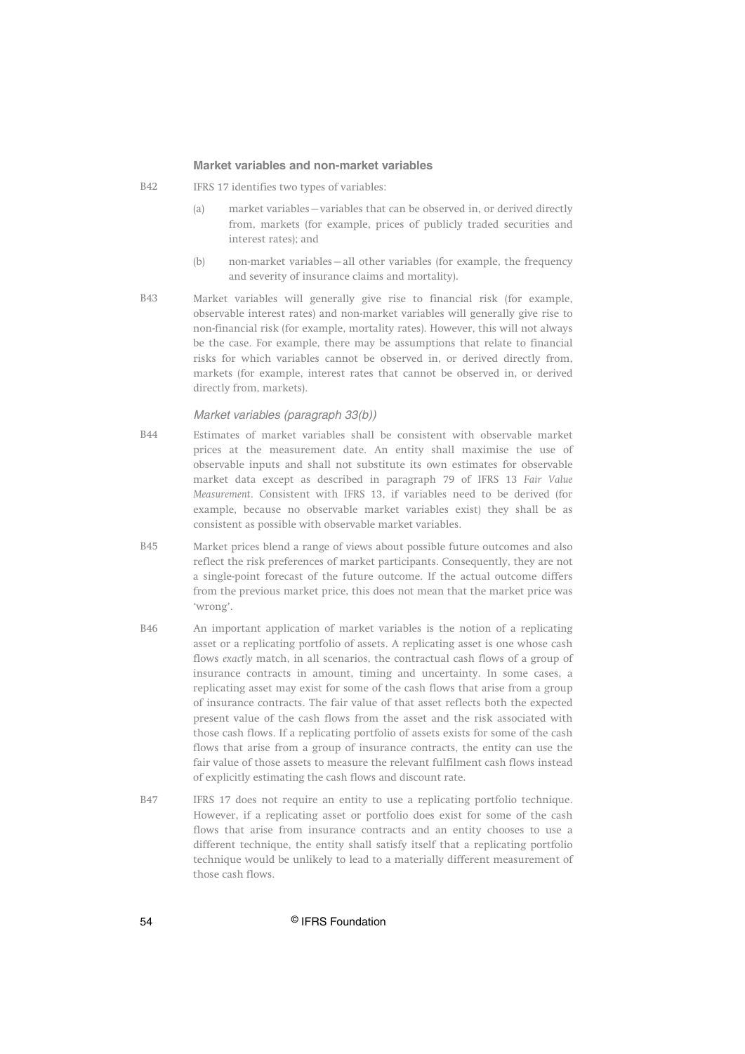#### **Market variables and non-market variables**

- <span id="page-53-0"></span>IFRS 17 identifies two types of variables: B42
	- (a) market variables—variables that can be observed in, or derived directly from, markets (for example, prices of publicly traded securities and interest rates); and
	- (b) non-market variables—all other variables (for example, the frequency and severity of insurance claims and mortality).
- Market variables will generally give rise to financial risk (for example, observable interest rates) and non-market variables will generally give rise to non-financial risk (for example, mortality rates). However, this will not always be the case. For example, there may be assumptions that relate to financial risks for which variables cannot be observed in, or derived directly from, markets (for example, interest rates that cannot be observed in, or derived directly from, markets). B43

#### Market variables ([paragraph 33\(b\)](#page-9-0))

- Estimates of market variables shall be consistent with observable market prices at the measurement date. An entity shall maximise the use of observable inputs and shall not substitute its own estimates for observable market data except as described in paragraph 79 of IFRS 13 *Fair Value Measurement*. Consistent with IFRS 13, if variables need to be derived (for example, because no observable market variables exist) they shall be as consistent as possible with observable market variables. B44
- Market prices blend a range of views about possible future outcomes and also reflect the risk preferences of market participants. Consequently, they are not a single-point forecast of the future outcome. If the actual outcome differs from the previous market price, this does not mean that the market price was 'wrong'. B45
- An important application of market variables is the notion of a replicating asset or a replicating portfolio of assets. A replicating asset is one whose cash flows *exactly* match, in all scenarios, the contractual cash flows of a group of insurance contracts in amount, timing and uncertainty. In some cases, a replicating asset may exist for some of the cash flows that arise from a group of insurance contracts. The fair value of that asset reflects both the expected present value of the cash flows from the asset and the risk associated with those cash flows. If a replicating portfolio of assets exists for some of the cash flows that arise from a group of insurance contracts, the entity can use the fair value of those assets to measure the relevant fulfilment cash flows instead of explicitly estimating the cash flows and discount rate.  $B46$
- IFRS 17 does not require an entity to use a replicating portfolio technique. However, if a replicating asset or portfolio does exist for some of the cash flows that arise from insurance contracts and an entity chooses to use a different technique, the entity shall satisfy itself that a replicating portfolio technique would be unlikely to lead to a materially different measurement of those cash flows. B47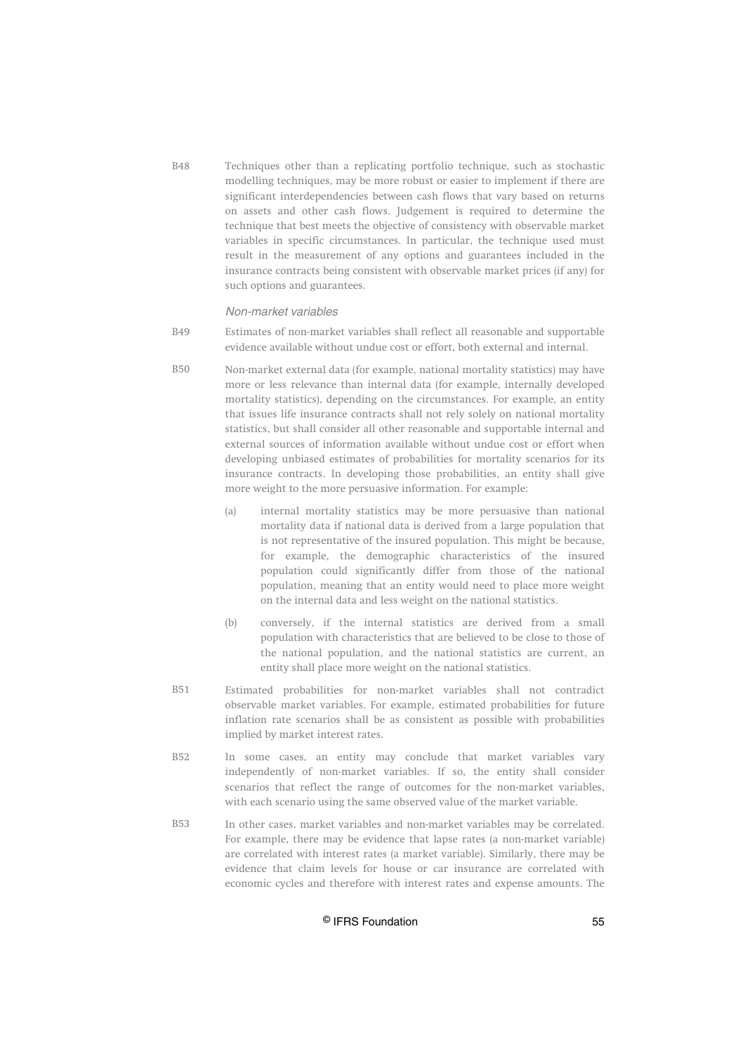<span id="page-54-0"></span>Techniques other than a replicating portfolio technique, such as stochastic modelling techniques, may be more robust or easier to implement if there are significant interdependencies between cash flows that vary based on returns on assets and other cash flows. Judgement is required to determine the technique that best meets the objective of consistency with observable market variables in specific circumstances. In particular, the technique used must result in the measurement of any options and guarantees included in the insurance contracts being consistent with observable market prices (if any) for such options and guarantees. B48

#### Non-market variables

- Estimates of non-market variables shall reflect all reasonable and supportable evidence available without undue cost or effort, both external and internal. B49
- Non-market external data (for example, national mortality statistics) may have more or less relevance than internal data (for example, internally developed mortality statistics), depending on the circumstances. For example, an entity that issues life insurance contracts shall not rely solely on national mortality statistics, but shall consider all other reasonable and supportable internal and external sources of information available without undue cost or effort when developing unbiased estimates of probabilities for mortality scenarios for its insurance contracts. In developing those probabilities, an entity shall give more weight to the more persuasive information. For example: B50
	- (a) internal mortality statistics may be more persuasive than national mortality data if national data is derived from a large population that is not representative of the insured population. This might be because, for example, the demographic characteristics of the insured population could significantly differ from those of the national population, meaning that an entity would need to place more weight on the internal data and less weight on the national statistics.
	- (b) conversely, if the internal statistics are derived from a small population with characteristics that are believed to be close to those of the national population, and the national statistics are current, an entity shall place more weight on the national statistics.
- Estimated probabilities for non-market variables shall not contradict observable market variables. For example, estimated probabilities for future inflation rate scenarios shall be as consistent as possible with probabilities implied by market interest rates. B51
- In some cases, an entity may conclude that market variables vary independently of non-market variables. If so, the entity shall consider scenarios that reflect the range of outcomes for the non-market variables, with each scenario using the same observed value of the market variable. B52
- In other cases, market variables and non-market variables may be correlated. For example, there may be evidence that lapse rates (a non-market variable) are correlated with interest rates (a market variable). Similarly, there may be evidence that claim levels for house or car insurance are correlated with economic cycles and therefore with interest rates and expense amounts. The B53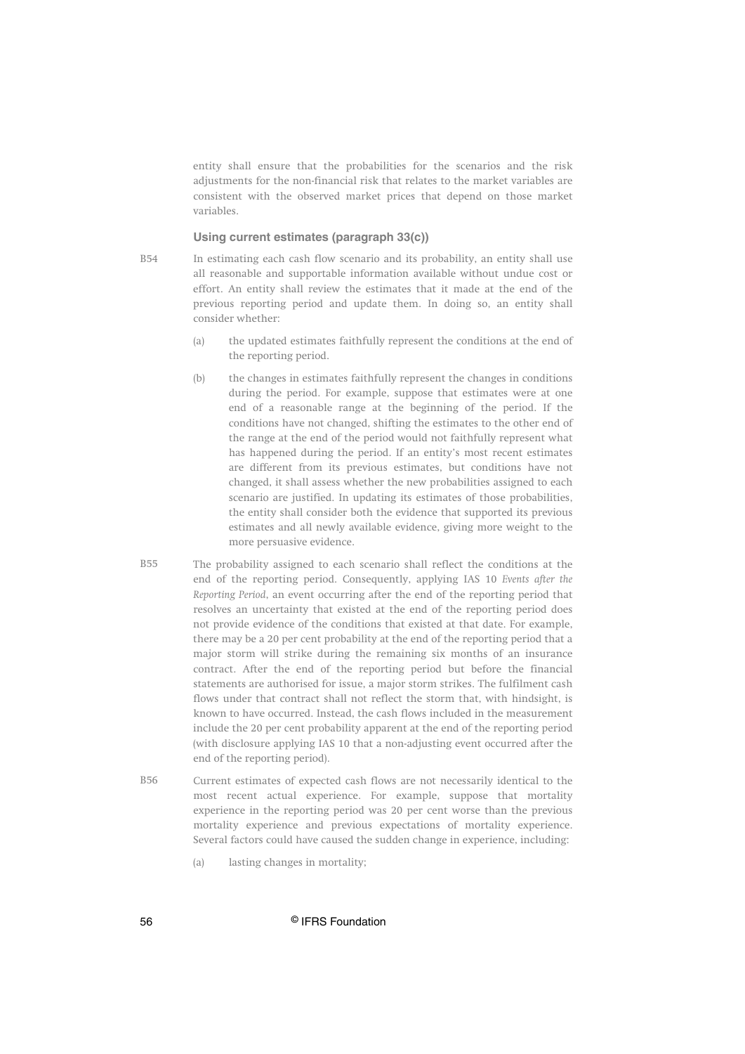<span id="page-55-0"></span>entity shall ensure that the probabilities for the scenarios and the risk adjustments for the non-financial risk that relates to the market variables are consistent with the observed market prices that depend on those market variables.

#### **Using current estimates ([paragraph 33\(c\)\)](#page-9-0)**

In estimating each cash flow scenario and its probability, an entity shall use all reasonable and supportable information available without undue cost or effort. An entity shall review the estimates that it made at the end of the previous reporting period and update them. In doing so, an entity shall consider whether: **B54** 

- (a) the updated estimates faithfully represent the conditions at the end of the reporting period.
- (b) the changes in estimates faithfully represent the changes in conditions during the period. For example, suppose that estimates were at one end of a reasonable range at the beginning of the period. If the conditions have not changed, shifting the estimates to the other end of the range at the end of the period would not faithfully represent what has happened during the period. If an entity's most recent estimates are different from its previous estimates, but conditions have not changed, it shall assess whether the new probabilities assigned to each scenario are justified. In updating its estimates of those probabilities, the entity shall consider both the evidence that supported its previous estimates and all newly available evidence, giving more weight to the more persuasive evidence.
- The probability assigned to each scenario shall reflect the conditions at the end of the reporting period. Consequently, applying IAS 10 *Events after the Reporting Period*, an event occurring after the end of the reporting period that resolves an uncertainty that existed at the end of the reporting period does not provide evidence of the conditions that existed at that date. For example, there may be a 20 per cent probability at the end of the reporting period that a major storm will strike during the remaining six months of an insurance contract. After the end of the reporting period but before the financial statements are authorised for issue, a major storm strikes. The fulfilment cash flows under that contract shall not reflect the storm that, with hindsight, is known to have occurred. Instead, the cash flows included in the measurement include the 20 per cent probability apparent at the end of the reporting period (with disclosure applying IAS 10 that a non-adjusting event occurred after the end of the reporting period). B55
- Current estimates of expected cash flows are not necessarily identical to the most recent actual experience. For example, suppose that mortality experience in the reporting period was 20 per cent worse than the previous mortality experience and previous expectations of mortality experience. Several factors could have caused the sudden change in experience, including: B56
	- (a) lasting changes in mortality;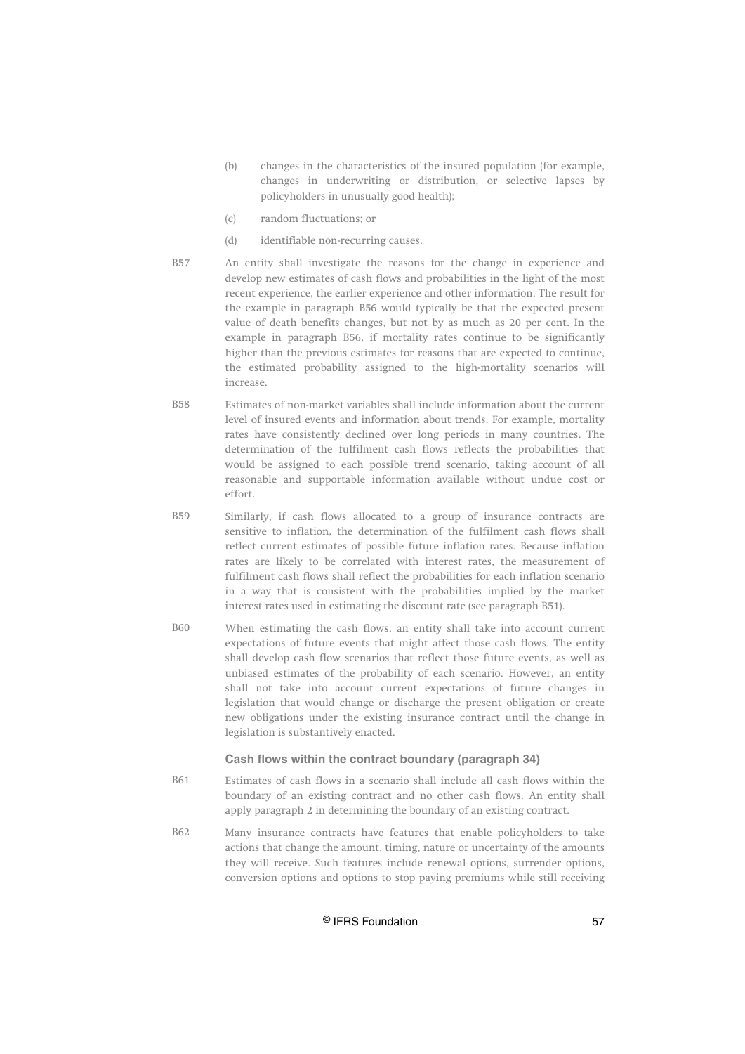- <span id="page-56-0"></span>(b) changes in the characteristics of the insured population (for example, changes in underwriting or distribution, or selective lapses by policyholders in unusually good health);
- (c) random fluctuations; or
- (d) identifiable non-recurring causes.
- An entity shall investigate the reasons for the change in experience and develop new estimates of cash flows and probabilities in the light of the most recent experience, the earlier experience and other information. The result for the example in paragraph B56 would typically be that the expected present value of death benefits changes, but not by as much as 20 per cent. In the example in paragraph B56, if mortality rates continue to be significantly higher than the previous estimates for reasons that are expected to continue, the estimated probability assigned to the high-mortality scenarios will increase. B57
- Estimates of non-market variables shall include information about the current level of insured events and information about trends. For example, mortality rates have consistently declined over long periods in many countries. The determination of the fulfilment cash flows reflects the probabilities that would be assigned to each possible trend scenario, taking account of all reasonable and supportable information available without undue cost or effort. B58
- Similarly, if cash flows allocated to a group of insurance contracts are sensitive to inflation, the determination of the fulfilment cash flows shall reflect current estimates of possible future inflation rates. Because inflation rates are likely to be correlated with interest rates, the measurement of fulfilment cash flows shall reflect the probabilities for each inflation scenario in a way that is consistent with the probabilities implied by the market interest rates used in estimating the discount rate (see paragraph B51). B59
- When estimating the cash flows, an entity shall take into account current expectations of future events that might affect those cash flows. The entity shall develop cash flow scenarios that reflect those future events, as well as unbiased estimates of the probability of each scenario. However, an entity shall not take into account current expectations of future changes in legislation that would change or discharge the present obligation or create new obligations under the existing insurance contract until the change in legislation is substantively enacted.  $B60$

#### **Cash flows within the contract boundary (paragraph 34)**

- Estimates of cash flows in a scenario shall include all cash flows within the boundary of an existing contract and no other cash flows. An entity shall apply paragraph 2 in determining the boundary of an existing contract. B61
- Many insurance contracts have features that enable policyholders to take actions that change the amount, timing, nature or uncertainty of the amounts they will receive. Such features include renewal options, surrender options, conversion options and options to stop paying premiums while still receiving B62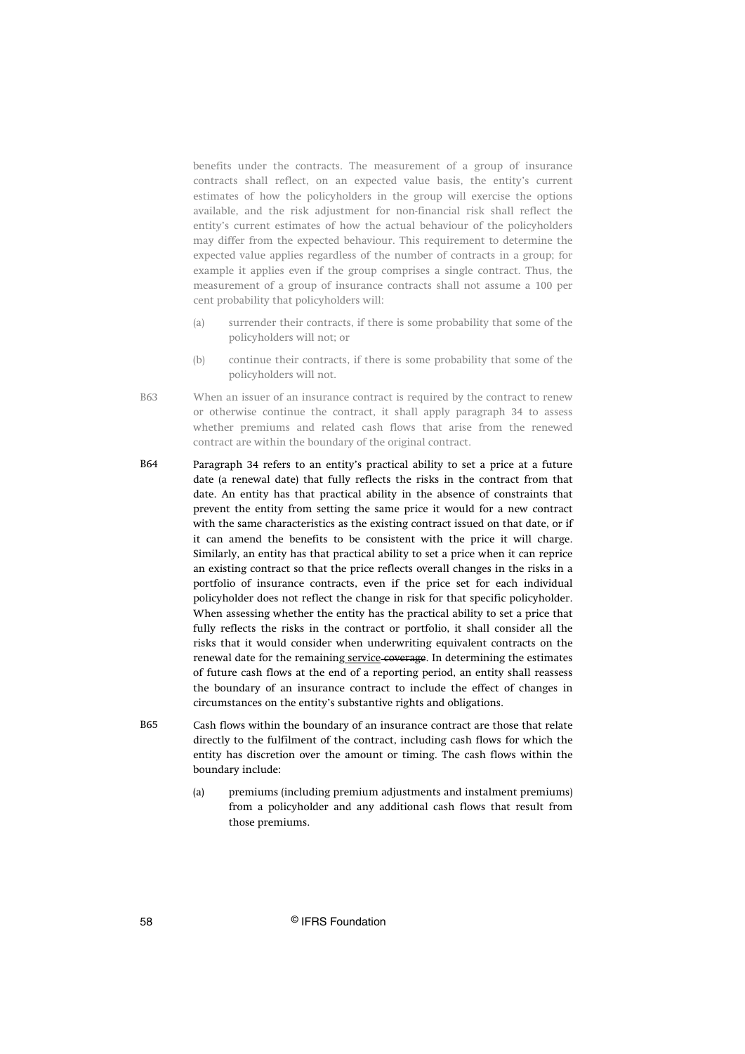benefits under the contracts. The measurement of a group of insurance contracts shall reflect, on an expected value basis, the entity's current estimates of how the policyholders in the group will exercise the options available, and the risk adjustment for non-financial risk shall reflect the entity's current estimates of how the actual behaviour of the policyholders may differ from the expected behaviour. This requirement to determine the expected value applies regardless of the number of contracts in a group; for example it applies even if the group comprises a single contract. Thus, the measurement of a group of insurance contracts shall not assume a 100 per cent probability that policyholders will:

- (a) surrender their contracts, if there is some probability that some of the policyholders will not; or
- (b) continue their contracts, if there is some probability that some of the policyholders will not.
- When an issuer of an insurance contract is required by the contract to renew or otherwise continue the contract, it shall apply paragraph 34 to assess whether premiums and related cash flows that arise from the renewed contract are within the boundary of the original contract. B63
- Paragraph 34 refers to an entity's practical ability to set a price at a future date (a renewal date) that fully reflects the risks in the contract from that date. An entity has that practical ability in the absence of constraints that prevent the entity from setting the same price it would for a new contract with the same characteristics as the existing contract issued on that date, or if it can amend the benefits to be consistent with the price it will charge. Similarly, an entity has that practical ability to set a price when it can reprice an existing contract so that the price reflects overall changes in the risks in a portfolio of insurance contracts, even if the price set for each individual policyholder does not reflect the change in risk for that specific policyholder. When assessing whether the entity has the practical ability to set a price that fully reflects the risks in the contract or portfolio, it shall consider all the risks that it would consider when underwriting equivalent contracts on the renewal date for the remaining service-coverage. In determining the estimates of future cash flows at the end of a reporting period, an entity shall reassess the boundary of an insurance contract to include the effect of changes in circumstances on the entity's substantive rights and obligations. B64
- Cash flows within the boundary of an insurance contract are those that relate directly to the fulfilment of the contract, including cash flows for which the entity has discretion over the amount or timing. The cash flows within the boundary include: B65
	- (a) premiums (including premium adjustments and instalment premiums) from a policyholder and any additional cash flows that result from those premiums.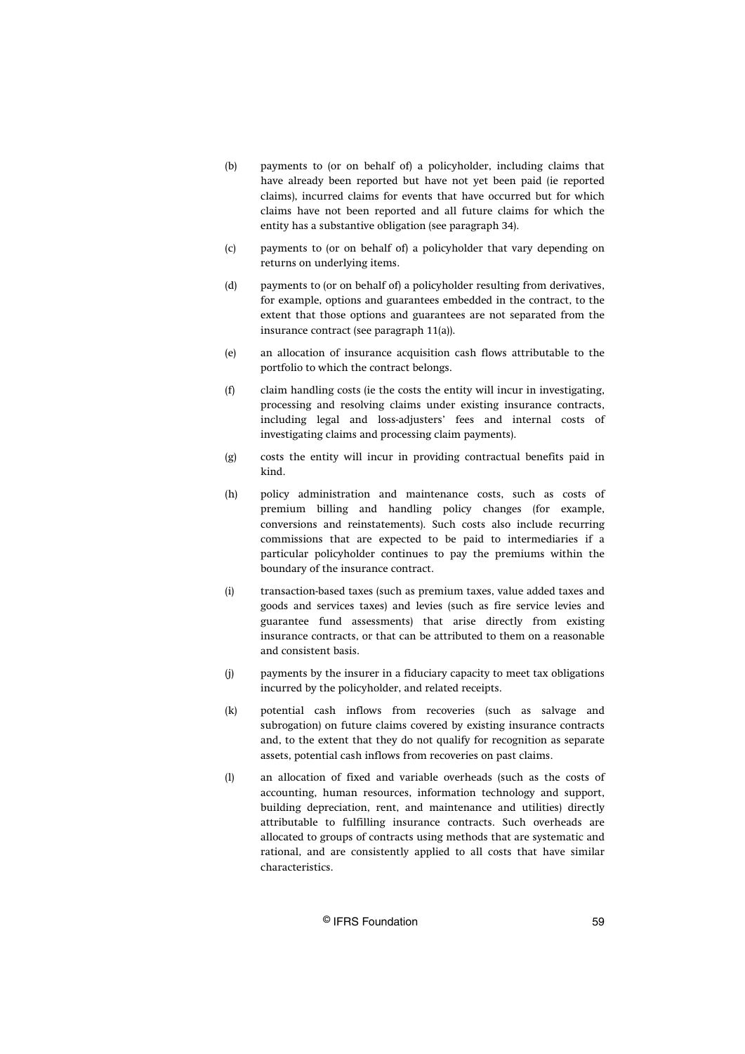- (b) payments to (or on behalf of) a policyholder, including claims that have already been reported but have not yet been paid (ie reported claims), incurred claims for events that have occurred but for which claims have not been reported and all future claims for which the entity has a substantive obligation (see paragraph 34).
- (c) payments to (or on behalf of) a policyholder that vary depending on returns on underlying items.
- (d) payments to (or on behalf of) a policyholder resulting from derivatives, for example, options and guarantees embedded in the contract, to the extent that those options and guarantees are not separated from the insurance contract (see paragraph 11(a)).
- (e) an allocation of insurance acquisition cash flows attributable to the portfolio to which the contract belongs.
- (f) claim handling costs (ie the costs the entity will incur in investigating, processing and resolving claims under existing insurance contracts, including legal and loss-adjusters' fees and internal costs of investigating claims and processing claim payments).
- (g) costs the entity will incur in providing contractual benefits paid in kind.
- (h) policy administration and maintenance costs, such as costs of premium billing and handling policy changes (for example, conversions and reinstatements). Such costs also include recurring commissions that are expected to be paid to intermediaries if a particular policyholder continues to pay the premiums within the boundary of the insurance contract.
- (i) transaction-based taxes (such as premium taxes, value added taxes and goods and services taxes) and levies (such as fire service levies and guarantee fund assessments) that arise directly from existing insurance contracts, or that can be attributed to them on a reasonable and consistent basis.
- (j) payments by the insurer in a fiduciary capacity to meet tax obligations incurred by the policyholder, and related receipts.
- (k) potential cash inflows from recoveries (such as salvage and subrogation) on future claims covered by existing insurance contracts and, to the extent that they do not qualify for recognition as separate assets, potential cash inflows from recoveries on past claims.
- (l) an allocation of fixed and variable overheads (such as the costs of accounting, human resources, information technology and support, building depreciation, rent, and maintenance and utilities) directly attributable to fulfilling insurance contracts. Such overheads are allocated to groups of contracts using methods that are systematic and rational, and are consistently applied to all costs that have similar characteristics.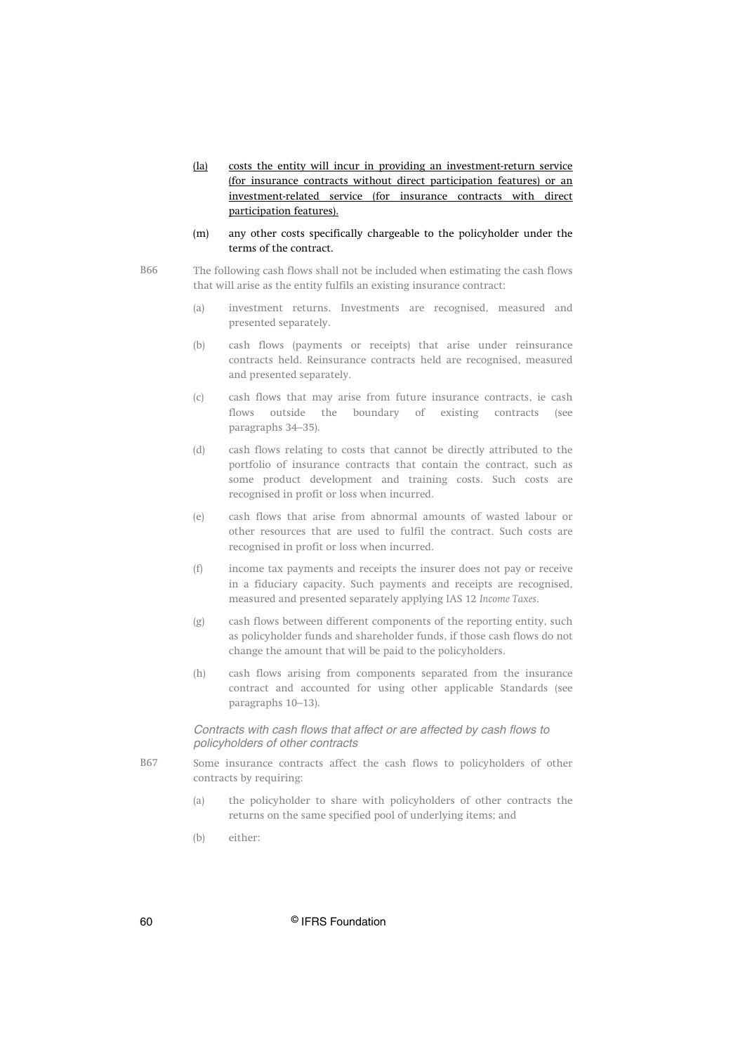- <span id="page-59-0"></span>(la) costs the entity will incur in providing an investment-return service (for insurance contracts without direct participation features) or an investment-related service (for insurance contracts with direct participation features).
- (m) any other costs specifically chargeable to the policyholder under the terms of the contract.
- The following cash flows shall not be included when estimating the cash flows that will arise as the entity fulfils an existing insurance contract: B66
	- (a) investment returns. Investments are recognised, measured and presented separately.
	- (b) cash flows (payments or receipts) that arise under reinsurance contracts held. Reinsurance contracts held are recognised, measured and presented separately.
	- (c) cash flows that may arise from future insurance contracts, ie cash flows outside the boundary of existing contracts (see paragraphs 34–35).
	- (d) cash flows relating to costs that cannot be directly attributed to the portfolio of insurance contracts that contain the contract, such as some product development and training costs. Such costs are recognised in profit or loss when incurred.
	- (e) cash flows that arise from abnormal amounts of wasted labour or other resources that are used to fulfil the contract. Such costs are recognised in profit or loss when incurred.
	- (f) income tax payments and receipts the insurer does not pay or receive in a fiduciary capacity. Such payments and receipts are recognised, measured and presented separately applying IAS 12 *Income Taxes*.
	- (g) cash flows between different components of the reporting entity, such as policyholder funds and shareholder funds, if those cash flows do not change the amount that will be paid to the policyholders.
	- (h) cash flows arising from components separated from the insurance contract and accounted for using other applicable Standards (see [paragraphs 10–13](#page-4-0)).

Contracts with cash flows that affect or are affected by cash flows to policyholders of other contracts

- Some insurance contracts affect the cash flows to policyholders of other contracts by requiring: B67
	- (a) the policyholder to share with policyholders of other contracts the returns on the same specified pool of underlying items; and
	- (b) either: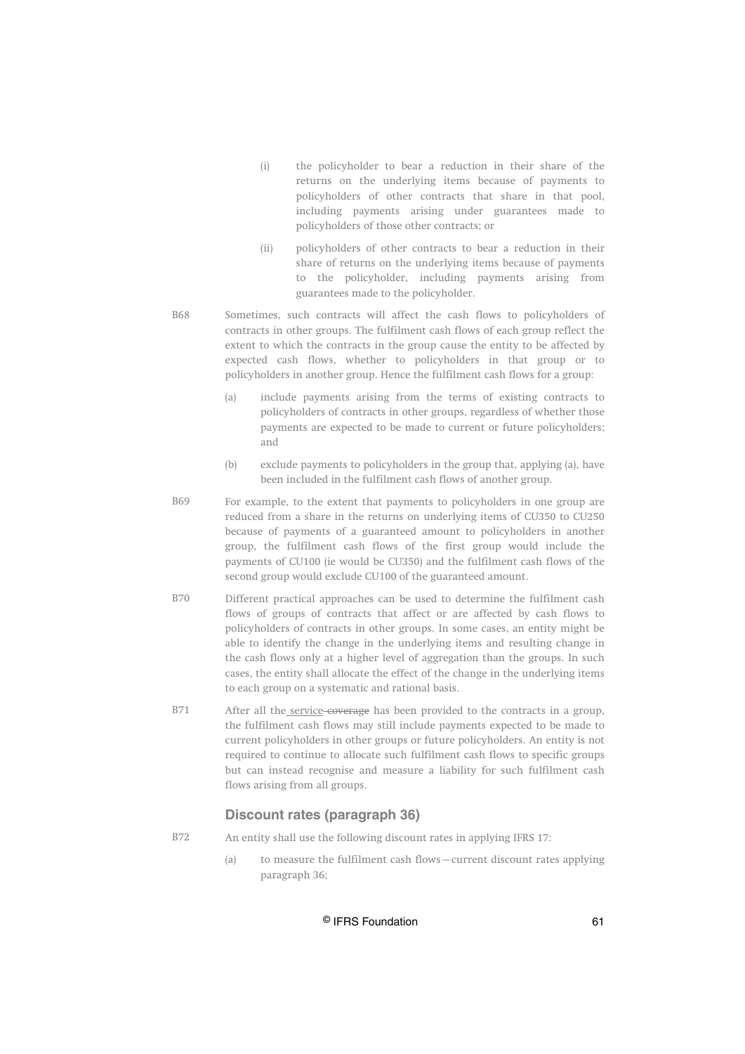- <span id="page-60-0"></span>(i) the policyholder to bear a reduction in their share of the returns on the underlying items because of payments to policyholders of other contracts that share in that pool, including payments arising under guarantees made to policyholders of those other contracts; or
- (ii) policyholders of other contracts to bear a reduction in their share of returns on the underlying items because of payments to the policyholder, including payments arising from guarantees made to the policyholder.
- Sometimes, such contracts will affect the cash flows to policyholders of contracts in other groups. The fulfilment cash flows of each group reflect the extent to which the contracts in the group cause the entity to be affected by expected cash flows, whether to policyholders in that group or to policyholders in another group. Hence the fulfilment cash flows for a group: **B68** 
	- (a) include payments arising from the terms of existing contracts to policyholders of contracts in other groups, regardless of whether those payments are expected to be made to current or future policyholders; and
	- (b) exclude payments to policyholders in the group that, applying (a), have been included in the fulfilment cash flows of another group.
- For example, to the extent that payments to policyholders in one group are reduced from a share in the returns on underlying items of CU350 to CU250 because of payments of a guaranteed amount to policyholders in another group, the fulfilment cash flows of the first group would include the payments of CU100 (ie would be CU350) and the fulfilment cash flows of the second group would exclude CU100 of the guaranteed amount.  $R69$
- Different practical approaches can be used to determine the fulfilment cash flows of groups of contracts that affect or are affected by cash flows to policyholders of contracts in other groups. In some cases, an entity might be able to identify the change in the underlying items and resulting change in the cash flows only at a higher level of aggregation than the groups. In such cases, the entity shall allocate the effect of the change in the underlying items to each group on a systematic and rational basis. B70
- After all the service-coverage has been provided to the contracts in a group, the fulfilment cash flows may still include payments expected to be made to current policyholders in other groups or future policyholders. An entity is not required to continue to allocate such fulfilment cash flows to specific groups but can instead recognise and measure a liability for such fulfilment cash flows arising from all groups. B71

## **Discount rates [\(paragraph 36](#page-11-0))**

- An entity shall use the following discount rates in applying IFRS 17: B72
	- (a) to measure the fulfilment cash flows—current discount rates applying [paragraph 36](#page-11-0);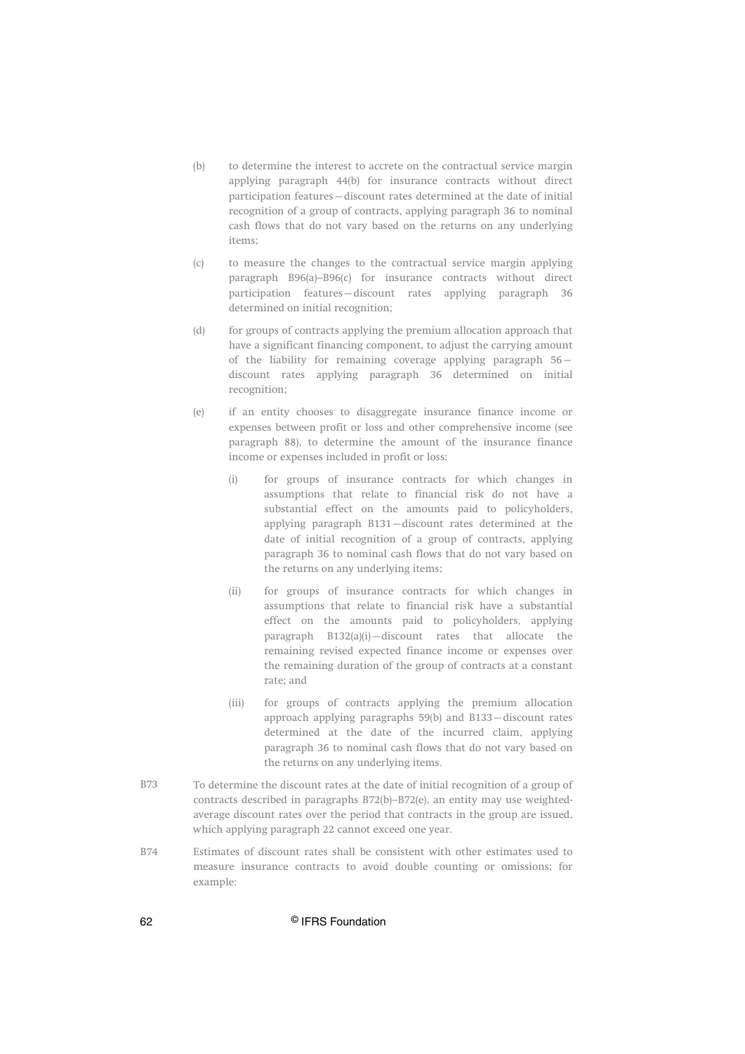- (b) to determine the interest to accrete on the contractual service margin applying paragraph 44(b) for insurance contracts without direct participation features—discount rates determined at the date of initial recognition of a group of contracts, applying paragraph 36 to nominal cash flows that do not vary based on the returns on any underlying items;
- (c) to measure the changes to the contractual service margin applying [paragraph B96\(a\)–B96\(c\)](#page-67-0) for insurance contracts without direct participation features—discount rates applying paragraph 36 determined on initial recognition;
- (d) for groups of contracts applying the premium allocation approach that have a significant financing component, to adjust the carrying amount of the liability for remaining coverage applying paragraph 56 discount rates applying paragraph 36 determined on initial recognition;
- (e) if an entity chooses to disaggregate insurance finance income or expenses between profit or loss and other comprehensive income (see paragraph 88), to determine the amount of the insurance finance income or expenses included in profit or loss:
	- (i) for groups of insurance contracts for which changes in assumptions that relate to financial risk do not have a substantial effect on the amounts paid to policyholders, applying paragraph B131—discount rates determined at the date of initial recognition of a group of contracts, applying paragraph 36 to nominal cash flows that do not vary based on the returns on any underlying items;
	- (ii) for groups of insurance contracts for which changes in assumptions that relate to financial risk have a substantial effect on the amounts paid to policyholders, applying paragraph B132(a)(i)—discount rates that allocate the remaining revised expected finance income or expenses over the remaining duration of the group of contracts at a constant rate; and
	- (iii) for groups of contracts applying the premium allocation approach applying paragraphs 59(b) and B133—discount rates determined at the date of the incurred claim, applying paragraph 36 to nominal cash flows that do not vary based on the returns on any underlying items.
- To determine the discount rates at the date of initial recognition of a group of contracts described in [paragraphs B72\(b\)–B72\(e\)](#page-60-0), an entity may use weightedaverage discount rates over the period that contracts in the group are issued, which applying paragraph 22 cannot exceed one year. B73
- Estimates of discount rates shall be consistent with other estimates used to measure insurance contracts to avoid double counting or omissions; for example: B74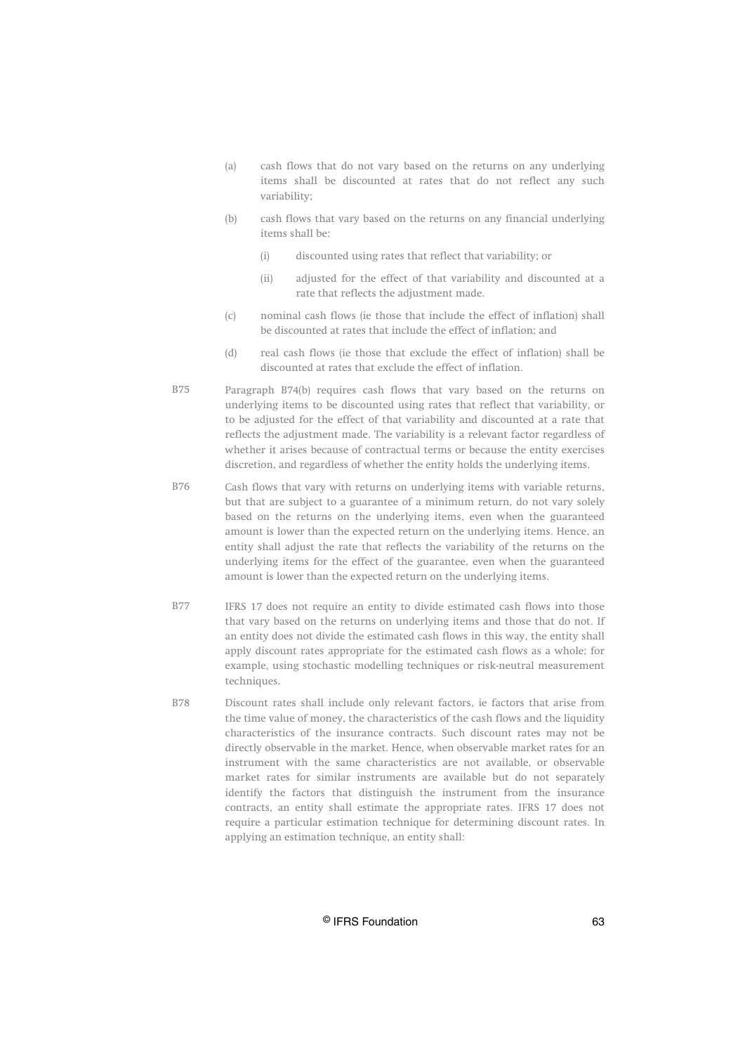- (a) cash flows that do not vary based on the returns on any underlying items shall be discounted at rates that do not reflect any such variability;
- (b) cash flows that vary based on the returns on any financial underlying items shall be:
	- (i) discounted using rates that reflect that variability; or
	- (ii) adjusted for the effect of that variability and discounted at a rate that reflects the adjustment made.
- (c) nominal cash flows (ie those that include the effect of inflation) shall be discounted at rates that include the effect of inflation; and
- (d) real cash flows (ie those that exclude the effect of inflation) shall be discounted at rates that exclude the effect of inflation.
- Paragraph B74(b) requires cash flows that vary based on the returns on underlying items to be discounted using rates that reflect that variability, or to be adjusted for the effect of that variability and discounted at a rate that reflects the adjustment made. The variability is a relevant factor regardless of whether it arises because of contractual terms or because the entity exercises discretion, and regardless of whether the entity holds the underlying items. B75
- Cash flows that vary with returns on underlying items with variable returns, but that are subject to a guarantee of a minimum return, do not vary solely based on the returns on the underlying items, even when the guaranteed amount is lower than the expected return on the underlying items. Hence, an entity shall adjust the rate that reflects the variability of the returns on the underlying items for the effect of the guarantee, even when the guaranteed amount is lower than the expected return on the underlying items. B76
- IFRS 17 does not require an entity to divide estimated cash flows into those that vary based on the returns on underlying items and those that do not. If an entity does not divide the estimated cash flows in this way, the entity shall apply discount rates appropriate for the estimated cash flows as a whole; for example, using stochastic modelling techniques or risk-neutral measurement techniques. B77
- Discount rates shall include only relevant factors, ie factors that arise from the time value of money, the characteristics of the cash flows and the liquidity characteristics of the insurance contracts. Such discount rates may not be directly observable in the market. Hence, when observable market rates for an instrument with the same characteristics are not available, or observable market rates for similar instruments are available but do not separately identify the factors that distinguish the instrument from the insurance contracts, an entity shall estimate the appropriate rates. IFRS 17 does not require a particular estimation technique for determining discount rates. In applying an estimation technique, an entity shall: B78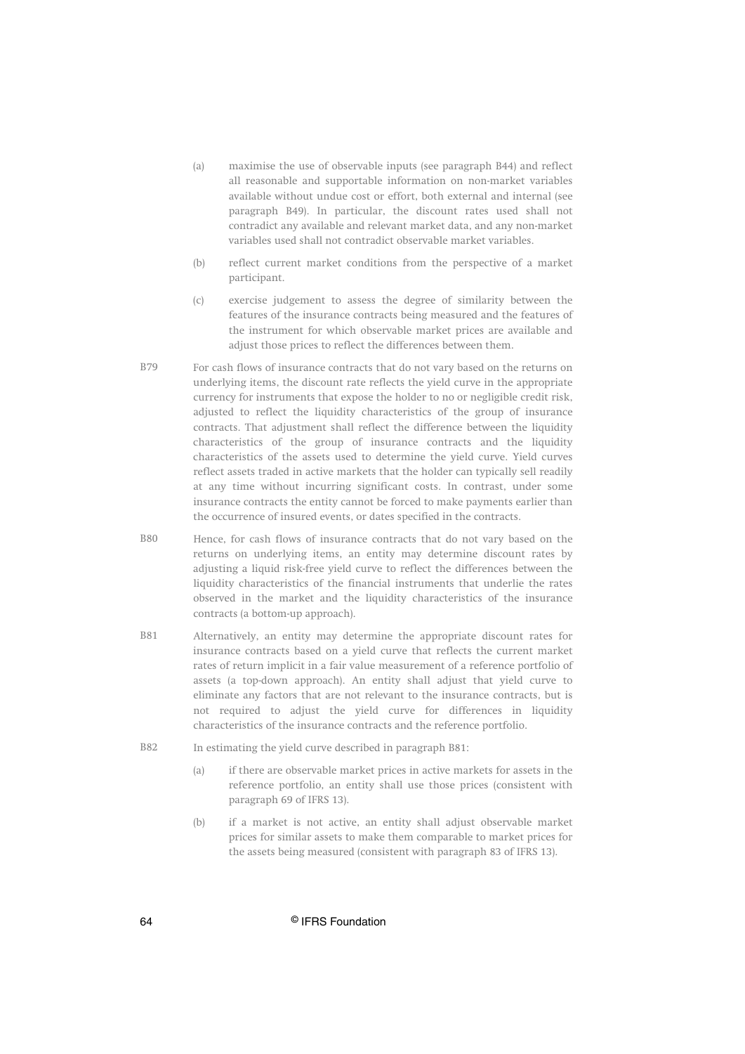- (a) maximise the use of observable inputs (see [paragraph B44](#page-53-0)) and reflect all reasonable and supportable information on non-market variables available without undue cost or effort, both external and internal (see [paragraph B49\)](#page-54-0). In particular, the discount rates used shall not contradict any available and relevant market data, and any non-market variables used shall not contradict observable market variables.
- (b) reflect current market conditions from the perspective of a market participant.
- (c) exercise judgement to assess the degree of similarity between the features of the insurance contracts being measured and the features of the instrument for which observable market prices are available and adjust those prices to reflect the differences between them.
- For cash flows of insurance contracts that do not vary based on the returns on underlying items, the discount rate reflects the yield curve in the appropriate currency for instruments that expose the holder to no or negligible credit risk, adjusted to reflect the liquidity characteristics of the group of insurance contracts. That adjustment shall reflect the difference between the liquidity characteristics of the group of insurance contracts and the liquidity characteristics of the assets used to determine the yield curve. Yield curves reflect assets traded in active markets that the holder can typically sell readily at any time without incurring significant costs. In contrast, under some insurance contracts the entity cannot be forced to make payments earlier than the occurrence of insured events, or dates specified in the contracts. B79
- Hence, for cash flows of insurance contracts that do not vary based on the returns on underlying items, an entity may determine discount rates by adjusting a liquid risk-free yield curve to reflect the differences between the liquidity characteristics of the financial instruments that underlie the rates observed in the market and the liquidity characteristics of the insurance contracts (a bottom-up approach). B80
- Alternatively, an entity may determine the appropriate discount rates for insurance contracts based on a yield curve that reflects the current market rates of return implicit in a fair value measurement of a reference portfolio of assets (a top-down approach). An entity shall adjust that yield curve to eliminate any factors that are not relevant to the insurance contracts, but is not required to adjust the yield curve for differences in liquidity characteristics of the insurance contracts and the reference portfolio. B81
- In estimating the yield curve described in paragraph B81: B82
	- (a) if there are observable market prices in active markets for assets in the reference portfolio, an entity shall use those prices (consistent with paragraph 69 of IFRS 13).
	- (b) if a market is not active, an entity shall adjust observable market prices for similar assets to make them comparable to market prices for the assets being measured (consistent with paragraph 83 of IFRS 13).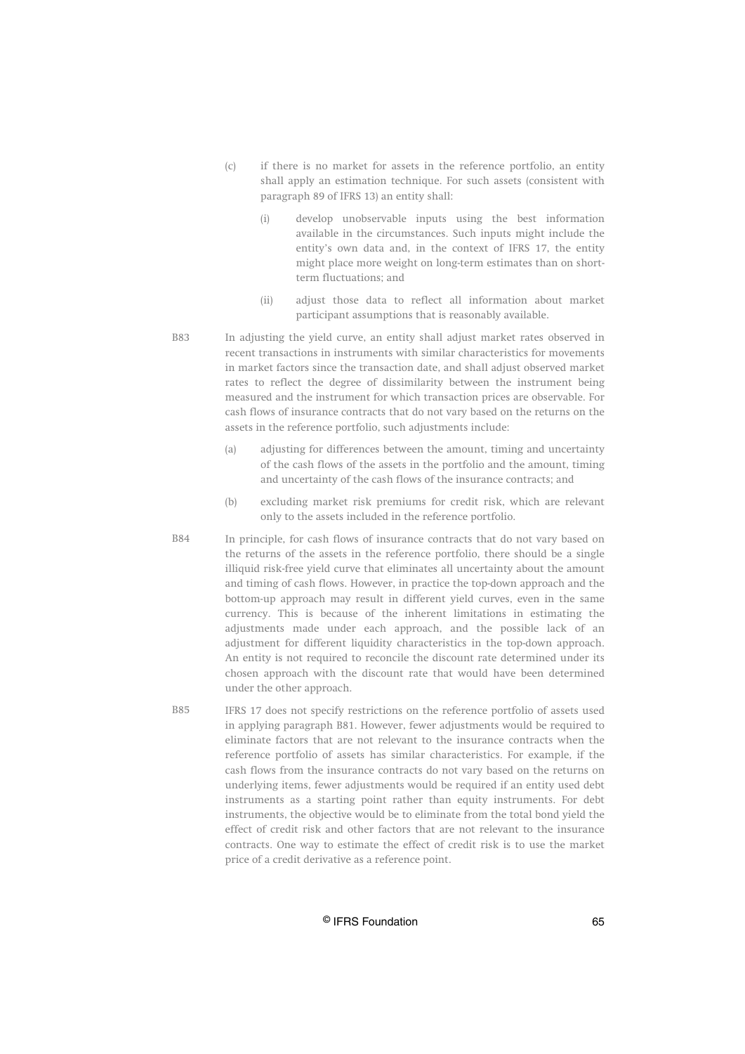- (c) if there is no market for assets in the reference portfolio, an entity shall apply an estimation technique. For such assets (consistent with paragraph 89 of IFRS 13) an entity shall:
	- (i) develop unobservable inputs using the best information available in the circumstances. Such inputs might include the entity's own data and, in the context of IFRS 17, the entity might place more weight on long-term estimates than on shortterm fluctuations; and
	- (ii) adjust those data to reflect all information about market participant assumptions that is reasonably available.
- In adjusting the yield curve, an entity shall adjust market rates observed in recent transactions in instruments with similar characteristics for movements in market factors since the transaction date, and shall adjust observed market rates to reflect the degree of dissimilarity between the instrument being measured and the instrument for which transaction prices are observable. For cash flows of insurance contracts that do not vary based on the returns on the assets in the reference portfolio, such adjustments include:
	- (a) adjusting for differences between the amount, timing and uncertainty of the cash flows of the assets in the portfolio and the amount, timing and uncertainty of the cash flows of the insurance contracts; and
	- (b) excluding market risk premiums for credit risk, which are relevant only to the assets included in the reference portfolio.
- In principle, for cash flows of insurance contracts that do not vary based on the returns of the assets in the reference portfolio, there should be a single illiquid risk-free yield curve that eliminates all uncertainty about the amount and timing of cash flows. However, in practice the top-down approach and the bottom-up approach may result in different yield curves, even in the same currency. This is because of the inherent limitations in estimating the adjustments made under each approach, and the possible lack of an adjustment for different liquidity characteristics in the top-down approach. An entity is not required to reconcile the discount rate determined under its chosen approach with the discount rate that would have been determined under the other approach. B84
- IFRS 17 does not specify restrictions on the reference portfolio of assets used in applying paragraph B81. However, fewer adjustments would be required to eliminate factors that are not relevant to the insurance contracts when the reference portfolio of assets has similar characteristics. For example, if the cash flows from the insurance contracts do not vary based on the returns on underlying items, fewer adjustments would be required if an entity used debt instruments as a starting point rather than equity instruments. For debt instruments, the objective would be to eliminate from the total bond yield the effect of credit risk and other factors that are not relevant to the insurance contracts. One way to estimate the effect of credit risk is to use the market price of a credit derivative as a reference point. B85

© IFRS Foundation 65

**B83**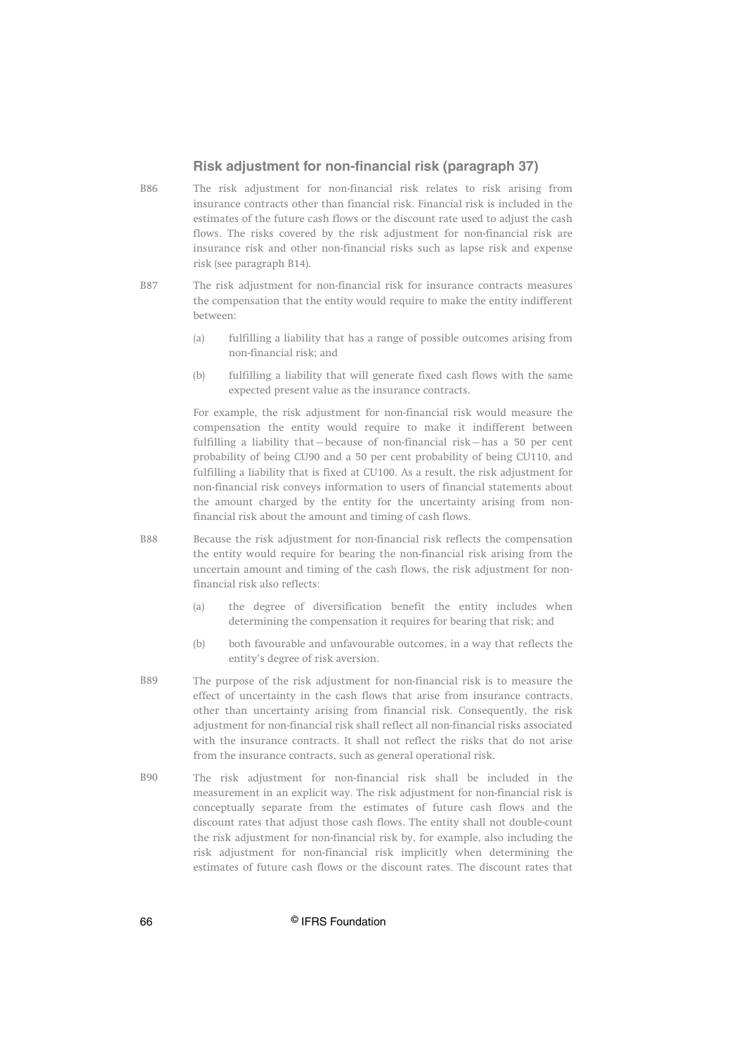# **Risk adjustment for non-financial risk ([paragraph 37\)](#page-11-0)**

- The risk adjustment for non-financial risk relates to risk arising from insurance contracts other than financial risk. Financial risk is included in the estimates of the future cash flows or the discount rate used to adjust the cash flows. The risks covered by the risk adjustment for non-financial risk are insurance risk and other non-financial risks such as lapse risk and expense risk (see paragraph B14). B86
- The risk adjustment for non-financial risk for insurance contracts measures the compensation that the entity would require to make the entity indifferent between: **B87** 
	- (a) fulfilling a liability that has a range of possible outcomes arising from non-financial risk; and
	- (b) fulfilling a liability that will generate fixed cash flows with the same expected present value as the insurance contracts.

For example, the risk adjustment for non-financial risk would measure the compensation the entity would require to make it indifferent between fulfilling a liability that—because of non-financial risk—has a 50 per cent probability of being CU90 and a 50 per cent probability of being CU110, and fulfilling a liability that is fixed at CU100. As a result, the risk adjustment for non-financial risk conveys information to users of financial statements about the amount charged by the entity for the uncertainty arising from nonfinancial risk about the amount and timing of cash flows.

- Because the risk adjustment for non-financial risk reflects the compensation the entity would require for bearing the non-financial risk arising from the uncertain amount and timing of the cash flows, the risk adjustment for nonfinancial risk also reflects: B88
	- (a) the degree of diversification benefit the entity includes when determining the compensation it requires for bearing that risk; and
	- (b) both favourable and unfavourable outcomes, in a way that reflects the entity's degree of risk aversion.
- The purpose of the risk adjustment for non-financial risk is to measure the effect of uncertainty in the cash flows that arise from insurance contracts, other than uncertainty arising from financial risk. Consequently, the risk adjustment for non-financial risk shall reflect all non-financial risks associated with the insurance contracts. It shall not reflect the risks that do not arise from the insurance contracts, such as general operational risk. **B89**
- The risk adjustment for non-financial risk shall be included in the measurement in an explicit way. The risk adjustment for non-financial risk is conceptually separate from the estimates of future cash flows and the discount rates that adjust those cash flows. The entity shall not double-count the risk adjustment for non-financial risk by, for example, also including the risk adjustment for non-financial risk implicitly when determining the estimates of future cash flows or the discount rates. The discount rates that  $B90$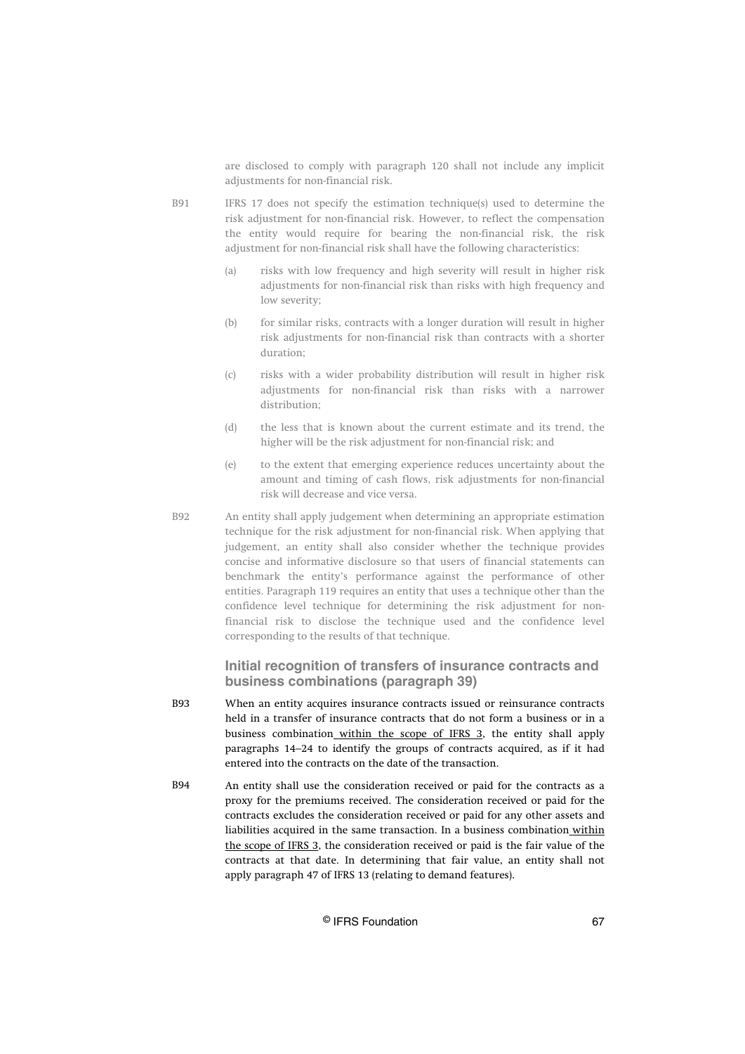are disclosed to comply with paragraph 120 shall not include any implicit adjustments for non-financial risk.

- IFRS 17 does not specify the estimation technique(s) used to determine the risk adjustment for non-financial risk. However, to reflect the compensation the entity would require for bearing the non-financial risk, the risk adjustment for non-financial risk shall have the following characteristics: B91
	- (a) risks with low frequency and high severity will result in higher risk adjustments for non-financial risk than risks with high frequency and low severity;
	- (b) for similar risks, contracts with a longer duration will result in higher risk adjustments for non-financial risk than contracts with a shorter duration;
	- (c) risks with a wider probability distribution will result in higher risk adjustments for non-financial risk than risks with a narrower distribution;
	- (d) the less that is known about the current estimate and its trend, the higher will be the risk adjustment for non-financial risk; and
	- (e) to the extent that emerging experience reduces uncertainty about the amount and timing of cash flows, risk adjustments for non-financial risk will decrease and vice versa.
- An entity shall apply judgement when determining an appropriate estimation technique for the risk adjustment for non-financial risk. When applying that judgement, an entity shall also consider whether the technique provides concise and informative disclosure so that users of financial statements can benchmark the entity's performance against the performance of other entities. Paragraph 119 requires an entity that uses a technique other than the confidence level technique for determining the risk adjustment for nonfinancial risk to disclose the technique used and the confidence level corresponding to the results of that technique. B92

# **Initial recognition of transfers of insurance contracts and business combinations (paragraph 39)**

- When an entity acquires insurance contracts issued or reinsurance contracts held in a transfer of insurance contracts that do not form a business or in a business combination within the scope of IFRS 3, the entity shall apply paragraphs 14–24 to identify the groups of contracts acquired, as if it had entered into the contracts on the date of the transaction. B93
- An entity shall use the consideration received or paid for the contracts as a proxy for the premiums received. The consideration received or paid for the contracts excludes the consideration received or paid for any other assets and liabilities acquired in the same transaction. In a business combination within the scope of IFRS 3, the consideration received or paid is the fair value of the contracts at that date. In determining that fair value, an entity shall not apply paragraph 47 of IFRS 13 (relating to demand features). B94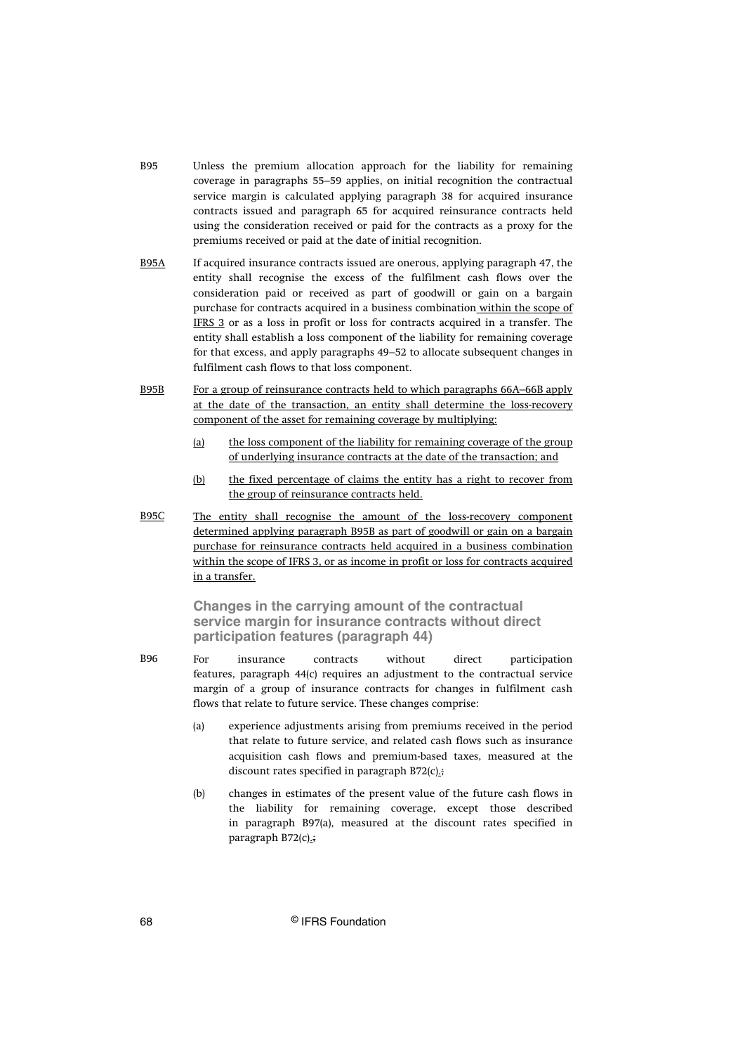- <span id="page-67-0"></span>Unless the premium allocation approach for the liability for remaining coverage in paragraphs 55–59 applies, on initial recognition the contractual service margin is calculated applying paragraph 38 for acquired insurance contracts issued and paragraph 65 for acquired reinsurance contracts held using the consideration received or paid for the contracts as a proxy for the premiums received or paid at the date of initial recognition. B95
- If acquired insurance contracts issued are onerous, applying paragraph 47, the entity shall recognise the excess of the fulfilment cash flows over the consideration paid or received as part of goodwill or gain on a bargain purchase for contracts acquired in a business combination within the scope of IFRS 3 or as a loss in profit or loss for contracts acquired in a transfer. The entity shall establish a loss component of the liability for remaining coverage for that excess, and apply paragraphs 49–52 to allocate subsequent changes in fulfilment cash flows to that loss component. B95A
- For a group of reinsurance contracts held to which paragraphs 66A–66B apply at the date of the transaction, an entity shall determine the loss-recovery component of the asset for remaining coverage by multiplying: B95B
	- (a) the loss component of the liability for remaining coverage of the group of underlying insurance contracts at the date of the transaction; and
	- (b) the fixed percentage of claims the entity has a right to recover from the group of reinsurance contracts held.
- The entity shall recognise the amount of the loss-recovery component determined applying paragraph B95B as part of goodwill or gain on a bargain purchase for reinsurance contracts held acquired in a business combination within the scope of IFRS 3, or as income in profit or loss for contracts acquired in a transfer. B95C

**Changes in the carrying amount of the contractual service margin for insurance contracts without direct participation features (paragraph 44)**

- For insurance contracts without direct participation features, paragraph 44(c) requires an adjustment to the contractual service margin of a group of insurance contracts for changes in fulfilment cash flows that relate to future service. These changes comprise: B96
	- (a) experience adjustments arising from premiums received in the period that relate to future service, and related cash flows such as insurance acquisition cash flows and premium-based taxes, measured at the discount rates specified in paragraph  $B72(c)$ .;
	- (b) changes in estimates of the present value of the future cash flows in the liability for remaining coverage, except those described in paragraph B97(a), measured at the discount rates specified in paragraph B72(c)<sub>-5</sub>;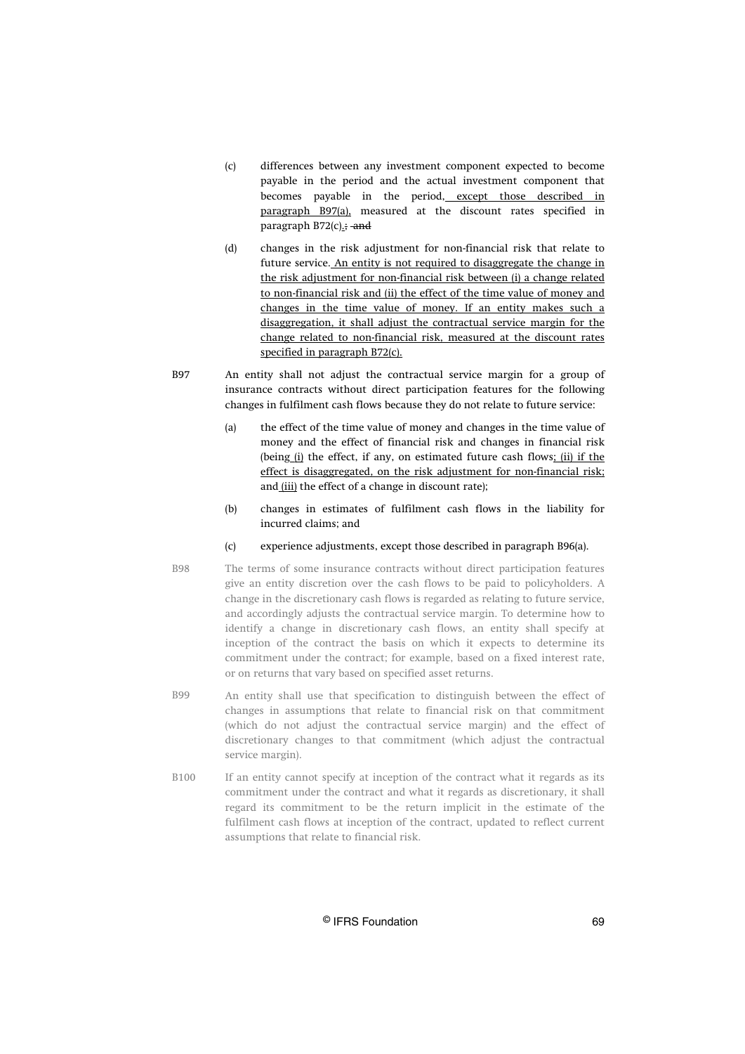- (c) differences between any investment component expected to become payable in the period and the actual investment component that becomes payable in the period, except those described in paragraph B97(a), measured at the discount rates specified in paragraph  $B72(c)$ .; and
- (d) changes in the risk adjustment for non-financial risk that relate to future service. An entity is not required to disaggregate the change in the risk adjustment for non-financial risk between (i) a change related to non-financial risk and (ii) the effect of the time value of money and changes in the time value of money. If an entity makes such a disaggregation, it shall adjust the contractual service margin for the change related to non-financial risk, measured at the discount rates specified in paragraph B72(c).
- An entity shall not adjust the contractual service margin for a group of insurance contracts without direct participation features for the following changes in fulfilment cash flows because they do not relate to future service: **B97** 
	- (a) the effect of the time value of money and changes in the time value of money and the effect of financial risk and changes in financial risk (being (i) the effect, if any, on estimated future cash flows; (ii) if the effect is disaggregated, on the risk adjustment for non-financial risk; and (iii) the effect of a change in discount rate);
	- (b) changes in estimates of fulfilment cash flows in the liability for incurred claims; and
	- (c) experience adjustments, except those described in paragraph B96(a).
- The terms of some insurance contracts without direct participation features give an entity discretion over the cash flows to be paid to policyholders. A change in the discretionary cash flows is regarded as relating to future service, and accordingly adjusts the contractual service margin. To determine how to identify a change in discretionary cash flows, an entity shall specify at inception of the contract the basis on which it expects to determine its commitment under the contract; for example, based on a fixed interest rate, or on returns that vary based on specified asset returns. B98
- An entity shall use that specification to distinguish between the effect of changes in assumptions that relate to financial risk on that commitment (which do not adjust the contractual service margin) and the effect of discretionary changes to that commitment (which adjust the contractual service margin). R<sub>99</sub>
- If an entity cannot specify at inception of the contract what it regards as its commitment under the contract and what it regards as discretionary, it shall regard its commitment to be the return implicit in the estimate of the fulfilment cash flows at inception of the contract, updated to reflect current assumptions that relate to financial risk. B100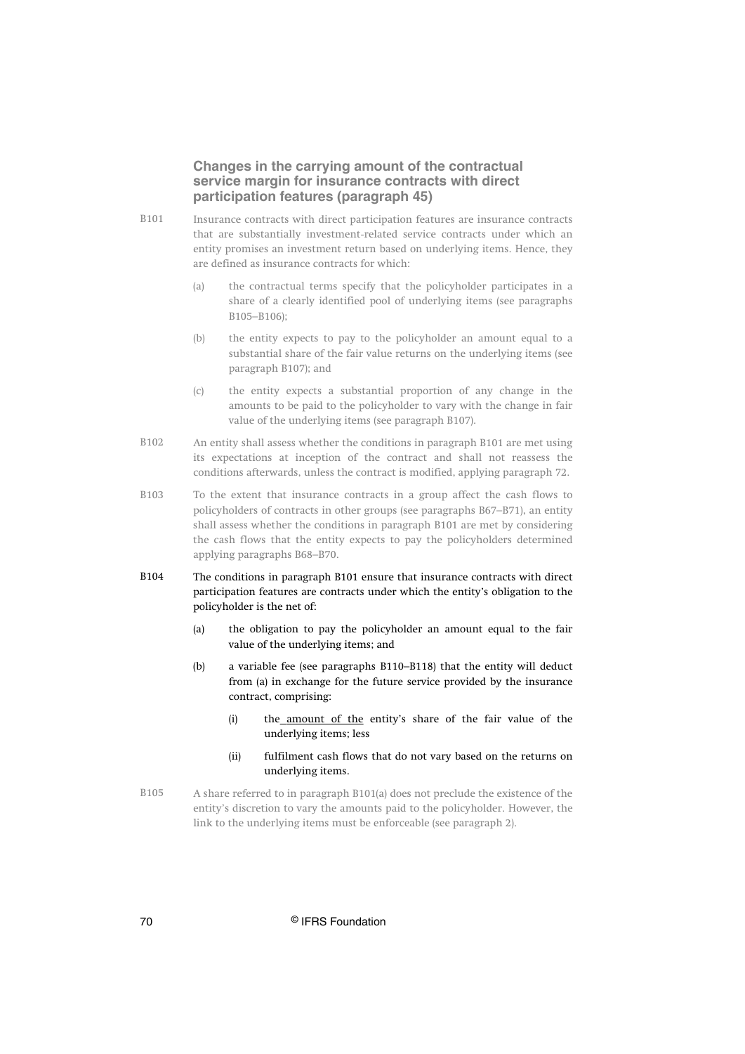# <span id="page-69-0"></span>**Changes in the carrying amount of the contractual service margin for insurance contracts with direct participation features (paragraph 45)**

- Insurance contracts with direct participation features are insurance contracts that are substantially investment‑related service contracts under which an entity promises an investment return based on underlying items. Hence, they are defined as insurance contracts for which: B101
	- (a) the contractual terms specify that the policyholder participates in a share of a clearly identified pool of underlying items (see paragraphs B105–B106);
	- (b) the entity expects to pay to the policyholder an amount equal to a substantial share of the fair value returns on the underlying items (see paragraph B107); and
	- (c) the entity expects a substantial proportion of any change in the amounts to be paid to the policyholder to vary with the change in fair value of the underlying items (see paragraph B107).
- An entity shall assess whether the conditions in paragraph B101 are met using its expectations at inception of the contract and shall not reassess the conditions afterwards, unless the contract is modified, applying [paragraph 72](#page-21-0). B102
- To the extent that insurance contracts in a group affect the cash flows to policyholders of contracts in other groups (see [paragraphs B67–B71\)](#page-59-0), an entity shall assess whether the conditions in paragraph B101 are met by considering the cash flows that the entity expects to pay the policyholders determined applying paragraphs B68–B70. B103
- The conditions in paragraph B101 ensure that insurance contracts with direct participation features are contracts under which the entity's obligation to the policyholder is the net of: B104
	- (a) the obligation to pay the policyholder an amount equal to the fair value of the underlying items; and
	- (b) a variable fee (see paragraphs B110–B118) that the entity will deduct from (a) in exchange for the future service provided by the insurance contract, comprising:
		- (i) the amount of the entity's share of the fair value of the underlying items; less
		- (ii) fulfilment cash flows that do not vary based on the returns on underlying items.
- A share referred to in paragraph B101(a) does not preclude the existence of the entity's discretion to vary the amounts paid to the policyholder. However, the link to the underlying items must be enforceable (see paragraph 2). B105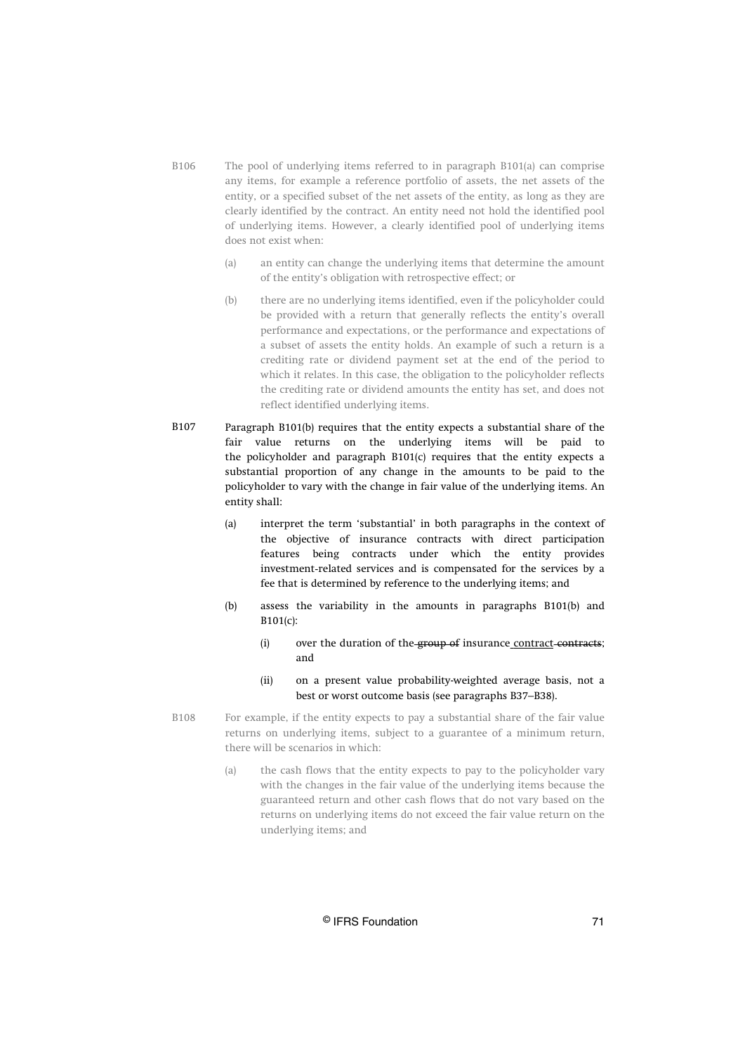- The pool of underlying items referred to in [paragraph B101\(a\)](#page-69-0) can comprise any items, for example a reference portfolio of assets, the net assets of the entity, or a specified subset of the net assets of the entity, as long as they are clearly identified by the contract. An entity need not hold the identified pool of underlying items. However, a clearly identified pool of underlying items does not exist when: B106
	- (a) an entity can change the underlying items that determine the amount of the entity's obligation with retrospective effect; or
	- (b) there are no underlying items identified, even if the policyholder could be provided with a return that generally reflects the entity's overall performance and expectations, or the performance and expectations of a subset of assets the entity holds. An example of such a return is a crediting rate or dividend payment set at the end of the period to which it relates. In this case, the obligation to the policyholder reflects the crediting rate or dividend amounts the entity has set, and does not reflect identified underlying items.
- Paragraph B101(b) requires that the entity expects a substantial share of the fair value returns on the underlying items will be paid to the policyholder and paragraph B101(c) requires that the entity expects a substantial proportion of any change in the amounts to be paid to the policyholder to vary with the change in fair value of the underlying items. An entity shall: B107
	- (a) interpret the term 'substantial' in both paragraphs in the context of the objective of insurance contracts with direct participation features being contracts under which the entity provides investment‑related services and is compensated for the services by a fee that is determined by reference to the underlying items; and
	- (b) assess the variability in the amounts in paragraphs B101(b) and B101(c):
		- (i) over the duration of the-group of insurance contract-contracts; and
		- (ii) on a present value probability-weighted average basis, not a best or worst outcome basis (see paragraphs B37–B38).
- For example, if the entity expects to pay a substantial share of the fair value returns on underlying items, subject to a guarantee of a minimum return, there will be scenarios in which: B108
	- (a) the cash flows that the entity expects to pay to the policyholder vary with the changes in the fair value of the underlying items because the guaranteed return and other cash flows that do not vary based on the returns on underlying items do not exceed the fair value return on the underlying items; and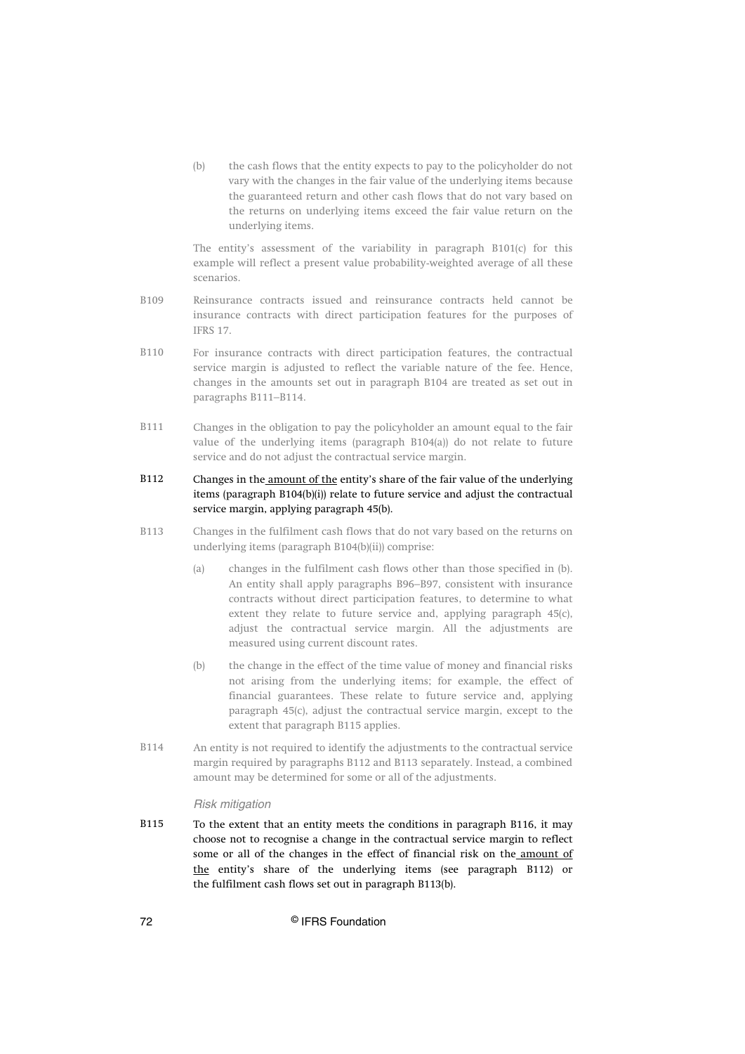(b) the cash flows that the entity expects to pay to the policyholder do not vary with the changes in the fair value of the underlying items because the guaranteed return and other cash flows that do not vary based on the returns on underlying items exceed the fair value return on the underlying items.

The entity's assessment of the variability in [paragraph B101\(c\)](#page-69-0) for this example will reflect a present value probability-weighted average of all these scenarios.

- Reinsurance contracts issued and reinsurance contracts held cannot be insurance contracts with direct participation features for the purposes of IFRS 17. B109
- For insurance contracts with direct participation features, the contractual service margin is adjusted to reflect the variable nature of the fee. Hence, changes in the amounts set out in paragraph B104 are treated as set out in paragraphs B111–B114. B110
- Changes in the obligation to pay the policyholder an amount equal to the fair value of the underlying items (paragraph B104(a)) do not relate to future service and do not adjust the contractual service margin. B111
- Changes in the amount of the entity's share of the fair value of the underlying items (paragraph B104(b)(i)) relate to future service and adjust the contractual service margin, applying paragraph 45(b). B112
- Changes in the fulfilment cash flows that do not vary based on the returns on underlying items (paragraph B104(b)(ii)) comprise: B113
	- (a) changes in the fulfilment cash flows other than those specified in (b). An entity shall apply [paragraphs B96–B97](#page-67-0), consistent with insurance contracts without direct participation features, to determine to what extent they relate to future service and, applying paragraph 45(c), adjust the contractual service margin. All the adjustments are measured using current discount rates.
	- (b) the change in the effect of the time value of money and financial risks not arising from the underlying items; for example, the effect of financial guarantees. These relate to future service and, applying paragraph 45(c), adjust the contractual service margin, except to the extent that paragraph B115 applies.
- An entity is not required to identify the adjustments to the contractual service margin required by paragraphs B112 and B113 separately. Instead, a combined amount may be determined for some or all of the adjustments. B114

#### Risk mitigation

To the extent that an entity meets the conditions in paragraph B116, it may choose not to recognise a change in the contractual service margin to reflect some or all of the changes in the effect of financial risk on the amount of the entity's share of the underlying items (see paragraph B112) or the fulfilment cash flows set out in paragraph B113(b). B115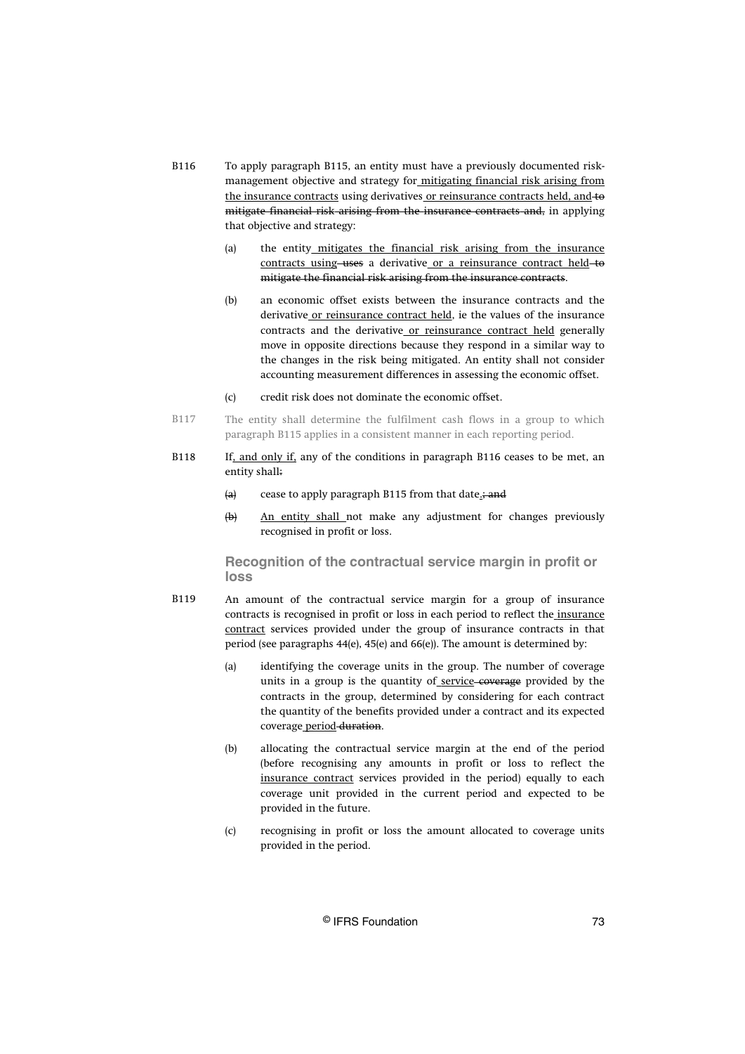- <span id="page-72-0"></span>To apply paragraph B115, an entity must have a previously documented riskmanagement objective and strategy for mitigating financial risk arising from the insurance contracts using derivatives or reinsurance contracts held, and to mitigate financial risk arising from the insurance contracts and, in applying that objective and strategy: B116
	- (a) the entity mitigates the financial risk arising from the insurance contracts using-uses a derivative or a reinsurance contract held-to mitigate the financial risk arising from the insurance contracts.
	- (b) an economic offset exists between the insurance contracts and the derivative or reinsurance contract held, ie the values of the insurance contracts and the derivative or reinsurance contract held generally move in opposite directions because they respond in a similar way to the changes in the risk being mitigated. An entity shall not consider accounting measurement differences in assessing the economic offset.
	- (c) credit risk does not dominate the economic offset.
- The entity shall determine the fulfilment cash flows in a group to which [paragraph B115](#page-71-0) applies in a consistent manner in each reporting period. B117
- If, and only if, any of the conditions in paragraph B116 ceases to be met, an entity shall: B118
	- (a) cease to apply paragraph B115 from that date<sub>s</sub>; and
	- (b) An entity shall not make any adjustment for changes previously recognised in profit or loss.

**Recognition of the contractual service margin in profit or loss**

- An amount of the contractual service margin for a group of insurance contracts is recognised in profit or loss in each period to reflect the insurance contract services provided under the group of insurance contracts in that period (see paragraphs 44(e), 45(e) and 66(e)). The amount is determined by: B119
	- (a) identifying the coverage units in the group. The number of coverage units in a group is the quantity of service–coverage provided by the contracts in the group, determined by considering for each contract the quantity of the benefits provided under a contract and its expected coverage period duration.
	- (b) allocating the contractual service margin at the end of the period (before recognising any amounts in profit or loss to reflect the insurance contract services provided in the period) equally to each coverage unit provided in the current period and expected to be provided in the future.
	- (c) recognising in profit or loss the amount allocated to coverage units provided in the period.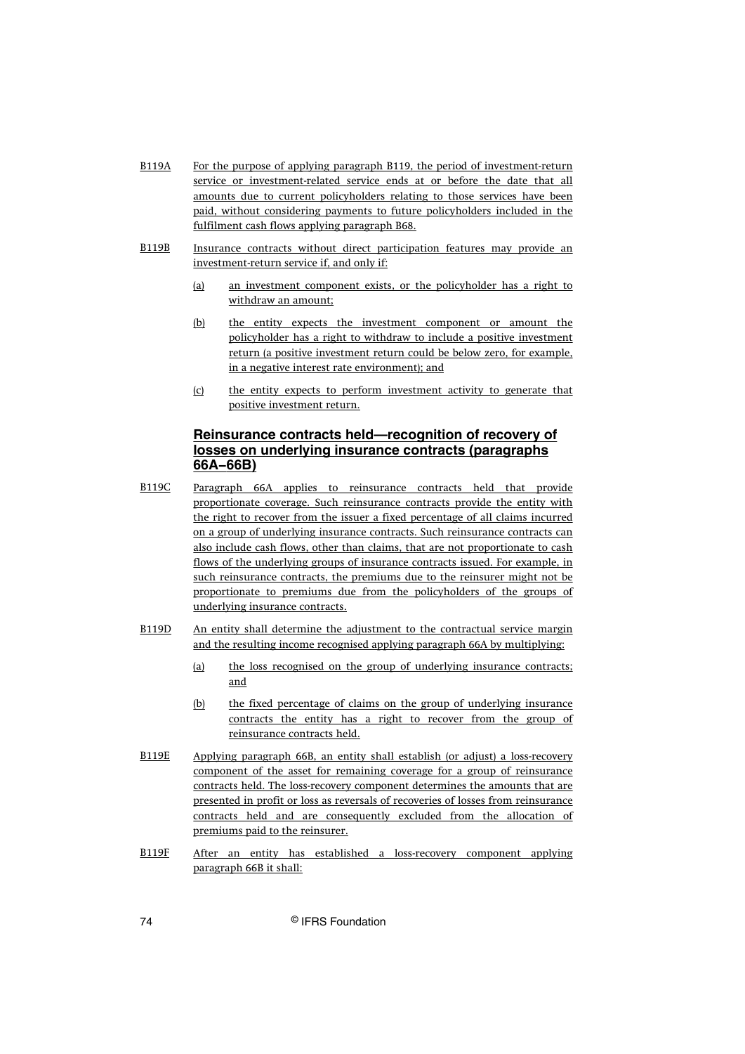- For the purpose of applying paragraph B119, the period of investment-return service or investment-related service ends at or before the date that all amounts due to current policyholders relating to those services have been paid, without considering payments to future policyholders included in the fulfilment cash flows applying paragraph B68. B119A
- Insurance contracts without direct participation features may provide an investment-return service if, and only if: B119B
	- (a) an investment component exists, or the policyholder has a right to withdraw an amount;
	- (b) the entity expects the investment component or amount the policyholder has a right to withdraw to include a positive investment return (a positive investment return could be below zero, for example, in a negative interest rate environment); and
	- (c) the entity expects to perform investment activity to generate that positive investment return.

# **Reinsurance contracts held—recognition of recovery of losses on underlying insurance contracts (paragraphs 66A−66B)**

- Paragraph 66A applies to reinsurance contracts held that provide proportionate coverage. Such reinsurance contracts provide the entity with the right to recover from the issuer a fixed percentage of all claims incurred on a group of underlying insurance contracts. Such reinsurance contracts can also include cash flows, other than claims, that are not proportionate to cash flows of the underlying groups of insurance contracts issued. For example, in such reinsurance contracts, the premiums due to the reinsurer might not be proportionate to premiums due from the policyholders of the groups of underlying insurance contracts. B119C
- An entity shall determine the adjustment to the contractual service margin and the resulting income recognised applying paragraph 66A by multiplying: B119D
	- (a) the loss recognised on the group of underlying insurance contracts; and
	- (b) the fixed percentage of claims on the group of underlying insurance contracts the entity has a right to recover from the group of reinsurance contracts held.
- Applying paragraph 66B, an entity shall establish (or adjust) a loss-recovery component of the asset for remaining coverage for a group of reinsurance contracts held. The loss-recovery component determines the amounts that are presented in profit or loss as reversals of recoveries of losses from reinsurance contracts held and are consequently excluded from the allocation of premiums paid to the reinsurer. B119E
- After an entity has established a loss-recovery component applying paragraph 66B it shall: B119F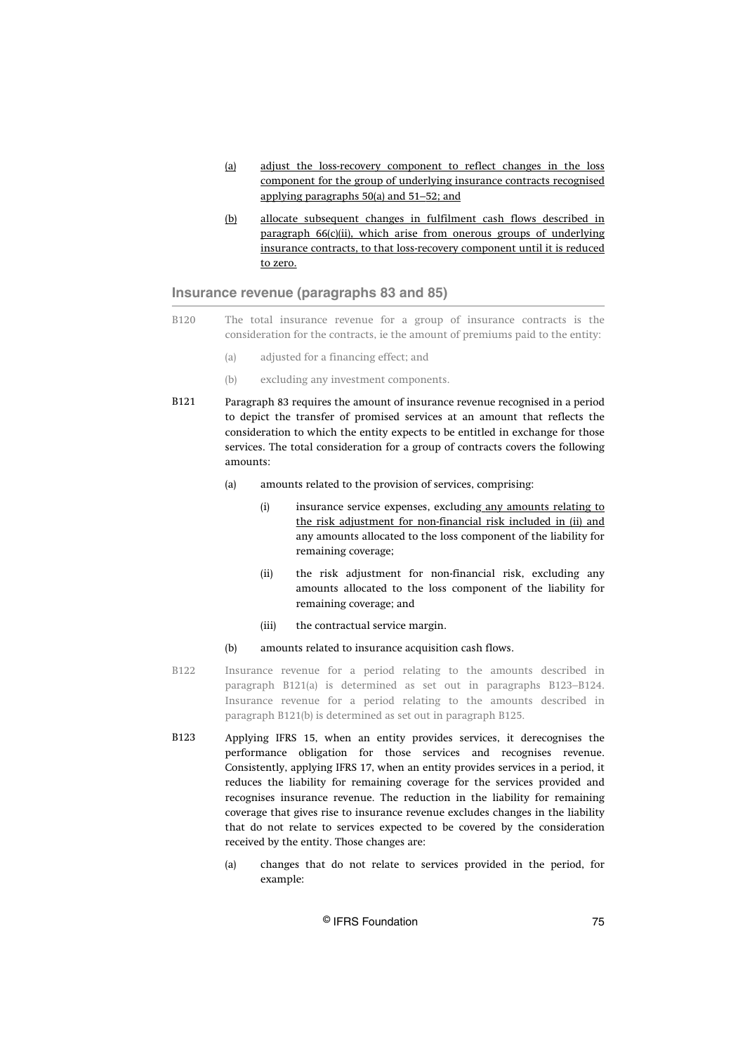- (a) adjust the loss-recovery component to reflect changes in the loss component for the group of underlying insurance contracts recognised applying paragraphs 50(a) and 51–52; and
- (b) allocate subsequent changes in fulfilment cash flows described in paragraph 66(c)(ii), which arise from onerous groups of underlying insurance contracts, to that loss-recovery component until it is reduced to zero.

## **Insurance revenue [\(paragraphs 83](#page-24-0) and 85)**

- The total insurance revenue for a group of insurance contracts is the consideration for the contracts, ie the amount of premiums paid to the entity: B120
	- (a) adjusted for a financing effect; and
	- (b) excluding any investment components.
- Paragraph 83 requires the amount of insurance revenue recognised in a period to depict the transfer of promised services at an amount that reflects the consideration to which the entity expects to be entitled in exchange for those services. The total consideration for a group of contracts covers the following amounts: B121
	- (a) amounts related to the provision of services, comprising:
		- (i) insurance service expenses, excluding any amounts relating to the risk adjustment for non-financial risk included in (ii) and any amounts allocated to the loss component of the liability for remaining coverage;
		- (ii) the risk adjustment for non-financial risk, excluding any amounts allocated to the loss component of the liability for remaining coverage; and
		- (iii) the contractual service margin.

### (b) amounts related to insurance acquisition cash flows.

- Insurance revenue for a period relating to the amounts described in paragraph B121(a) is determined as set out in paragraphs B123–B124. Insurance revenue for a period relating to the amounts described in paragraph B121(b) is determined as set out in paragraph B125. B122
- Applying IFRS 15, when an entity provides services, it derecognises the performance obligation for those services and recognises revenue. Consistently, applying IFRS 17, when an entity provides services in a period, it reduces the liability for remaining coverage for the services provided and recognises insurance revenue. The reduction in the liability for remaining coverage that gives rise to insurance revenue excludes changes in the liability that do not relate to services expected to be covered by the consideration received by the entity. Those changes are: B123
	- (a) changes that do not relate to services provided in the period, for example: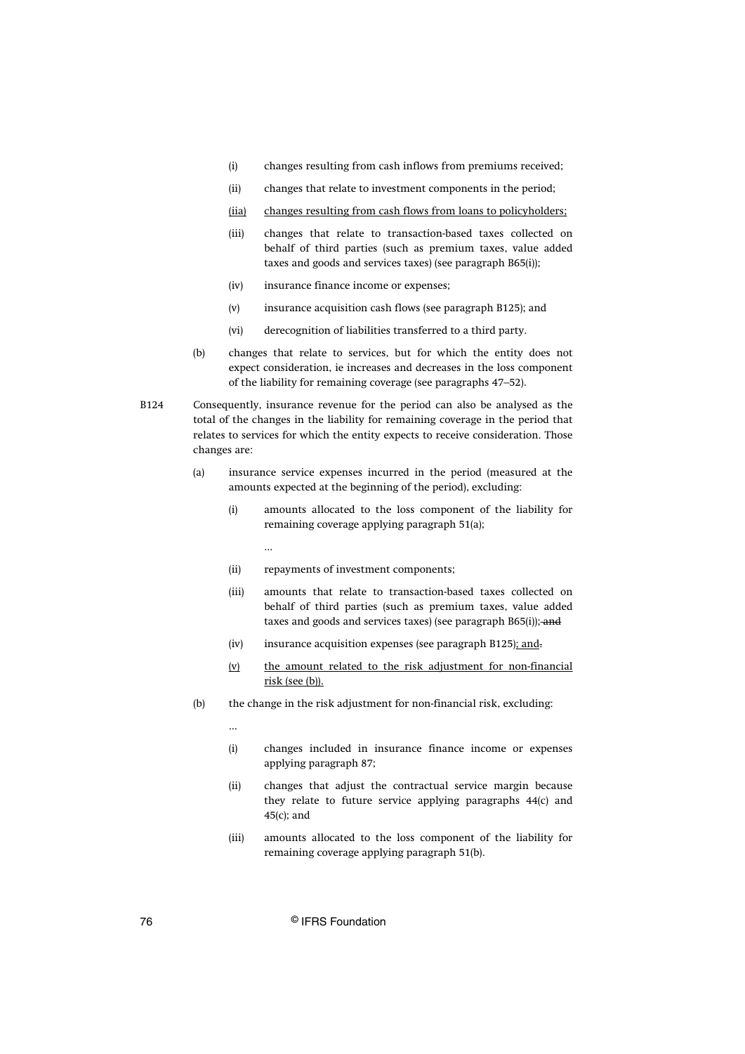- (i) changes resulting from cash inflows from premiums received;
- (ii) changes that relate to investment components in the period;
- (iia) changes resulting from cash flows from loans to policyholders;
- (iii) changes that relate to transaction-based taxes collected on behalf of third parties (such as premium taxes, value added taxes and goods and services taxes) (see paragraph B65(i));
- (iv) insurance finance income or expenses;
- (v) insurance acquisition cash flows (see paragraph B125); and
- (vi) derecognition of liabilities transferred to a third party.
- (b) changes that relate to services, but for which the entity does not expect consideration, ie increases and decreases in the loss component of the liability for remaining coverage (see paragraphs 47–52).
- Consequently, insurance revenue for the period can also be analysed as the total of the changes in the liability for remaining coverage in the period that relates to services for which the entity expects to receive consideration. Those changes are: B124
	- (a) insurance service expenses incurred in the period (measured at the amounts expected at the beginning of the period), excluding:
		- (i) amounts allocated to the loss component of the liability for remaining coverage applying paragraph 51(a);
		- (ii) repayments of investment components;
		- (iii) amounts that relate to transaction-based taxes collected on behalf of third parties (such as premium taxes, value added taxes and goods and services taxes) (see paragraph B65(i)); and
		- (iv) insurance acquisition expenses (see paragraph B125); and.
		- (v) the amount related to the risk adjustment for non-financial risk (see (b)).
	- (b) the change in the risk adjustment for non-financial risk, excluding:
		- ...

...

- (i) changes included in insurance finance income or expenses applying paragraph 87;
- (ii) changes that adjust the contractual service margin because they relate to future service applying paragraphs 44(c) and 45(c); and
- (iii) amounts allocated to the loss component of the liability for remaining coverage applying paragraph 51(b).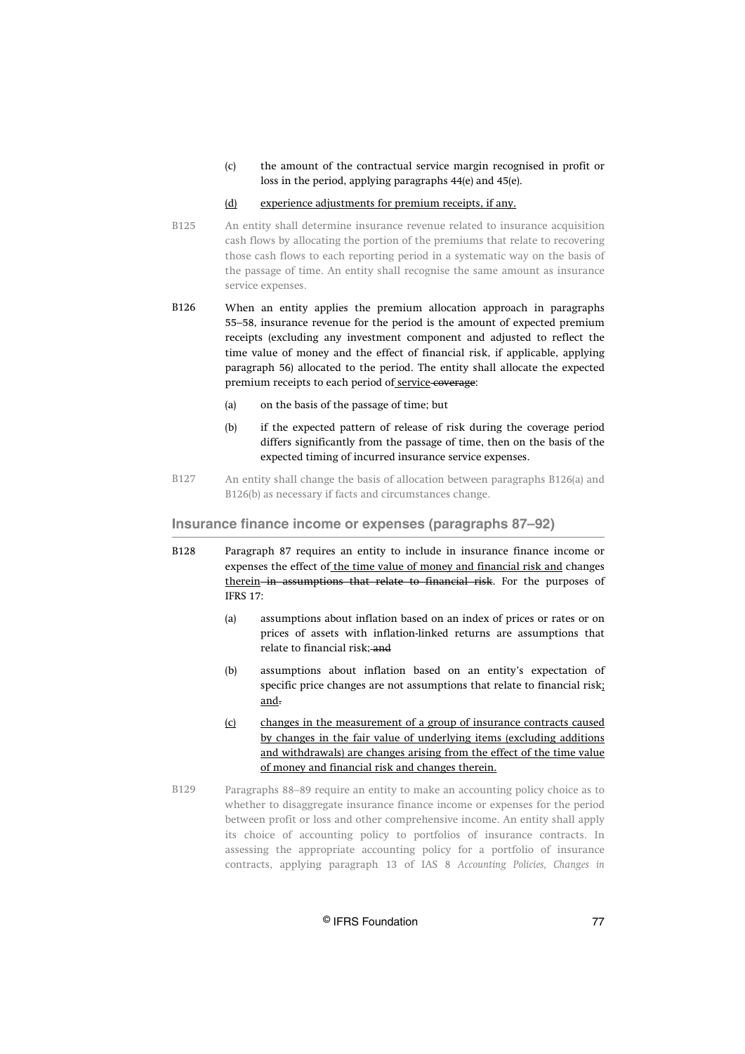(c) the amount of the contractual service margin recognised in profit or loss in the period, applying paragraphs 44(e) and 45(e).

### (d) experience adjustments for premium receipts, if any.

- An entity shall determine insurance revenue related to insurance acquisition cash flows by allocating the portion of the premiums that relate to recovering those cash flows to each reporting period in a systematic way on the basis of the passage of time. An entity shall recognise the same amount as insurance service expenses. B125
- When an entity applies the premium allocation approach in paragraphs 55–58, insurance revenue for the period is the amount of expected premium receipts (excluding any investment component and adjusted to reflect the time value of money and the effect of financial risk, if applicable, applying paragraph 56) allocated to the period. The entity shall allocate the expected premium receipts to each period of service-coverage: B126
	- (a) on the basis of the passage of time; but
	- (b) if the expected pattern of release of risk during the coverage period differs significantly from the passage of time, then on the basis of the expected timing of incurred insurance service expenses.
- An entity shall change the basis of allocation between paragraphs B126(a) and B126(b) as necessary if facts and circumstances change. B127

## **Insurance finance income or expenses [\(paragraphs 87–92\)](#page-25-0)**

- Paragraph 87 requires an entity to include in insurance finance income or expenses the effect of the time value of money and financial risk and changes therein-in assumptions that relate to financial risk. For the purposes of IFRS 17: B128
	- (a) assumptions about inflation based on an index of prices or rates or on prices of assets with inflation-linked returns are assumptions that relate to financial risk; and
	- (b) assumptions about inflation based on an entity's expectation of specific price changes are not assumptions that relate to financial risk; and.
	- (c) changes in the measurement of a group of insurance contracts caused by changes in the fair value of underlying items (excluding additions and withdrawals) are changes arising from the effect of the time value of money and financial risk and changes therein.
- Paragraphs 88–89 require an entity to make an accounting policy choice as to whether to disaggregate insurance finance income or expenses for the period between profit or loss and other comprehensive income. An entity shall apply its choice of accounting policy to portfolios of insurance contracts. In assessing the appropriate accounting policy for a portfolio of insurance contracts, applying paragraph 13 of IAS 8 *Accounting Policies, Changes in*  $R129$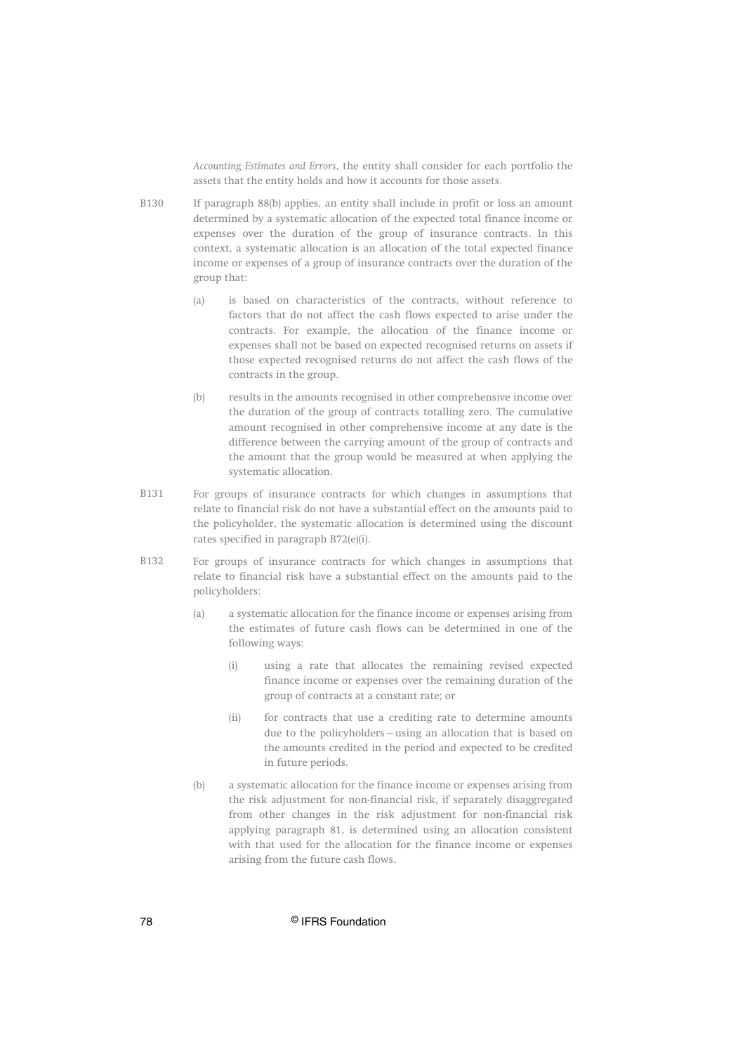*Accounting Estimates and Errors*, the entity shall consider for each portfolio the assets that the entity holds and how it accounts for those assets.

- If paragraph 88(b) applies, an entity shall include in profit or loss an amount determined by a systematic allocation of the expected total finance income or expenses over the duration of the group of insurance contracts. In this context, a systematic allocation is an allocation of the total expected finance income or expenses of a group of insurance contracts over the duration of the group that: B130
	- (a) is based on characteristics of the contracts, without reference to factors that do not affect the cash flows expected to arise under the contracts. For example, the allocation of the finance income or expenses shall not be based on expected recognised returns on assets if those expected recognised returns do not affect the cash flows of the contracts in the group.
	- (b) results in the amounts recognised in other comprehensive income over the duration of the group of contracts totalling zero. The cumulative amount recognised in other comprehensive income at any date is the difference between the carrying amount of the group of contracts and the amount that the group would be measured at when applying the systematic allocation.
- For groups of insurance contracts for which changes in assumptions that relate to financial risk do not have a substantial effect on the amounts paid to the policyholder, the systematic allocation is determined using the discount rates specified in [paragraph B72\(e\)\(i\).](#page-60-0) B131
- For groups of insurance contracts for which changes in assumptions that relate to financial risk have a substantial effect on the amounts paid to the policyholders: B132
	- (a) a systematic allocation for the finance income or expenses arising from the estimates of future cash flows can be determined in one of the following ways:
		- (i) using a rate that allocates the remaining revised expected finance income or expenses over the remaining duration of the group of contracts at a constant rate; or
		- (ii) for contracts that use a crediting rate to determine amounts due to the policyholders—using an allocation that is based on the amounts credited in the period and expected to be credited in future periods.
	- (b) a systematic allocation for the finance income or expenses arising from the risk adjustment for non-financial risk, if separately disaggregated from other changes in the risk adjustment for non-financial risk applying paragraph 81, is determined using an allocation consistent with that used for the allocation for the finance income or expenses arising from the future cash flows.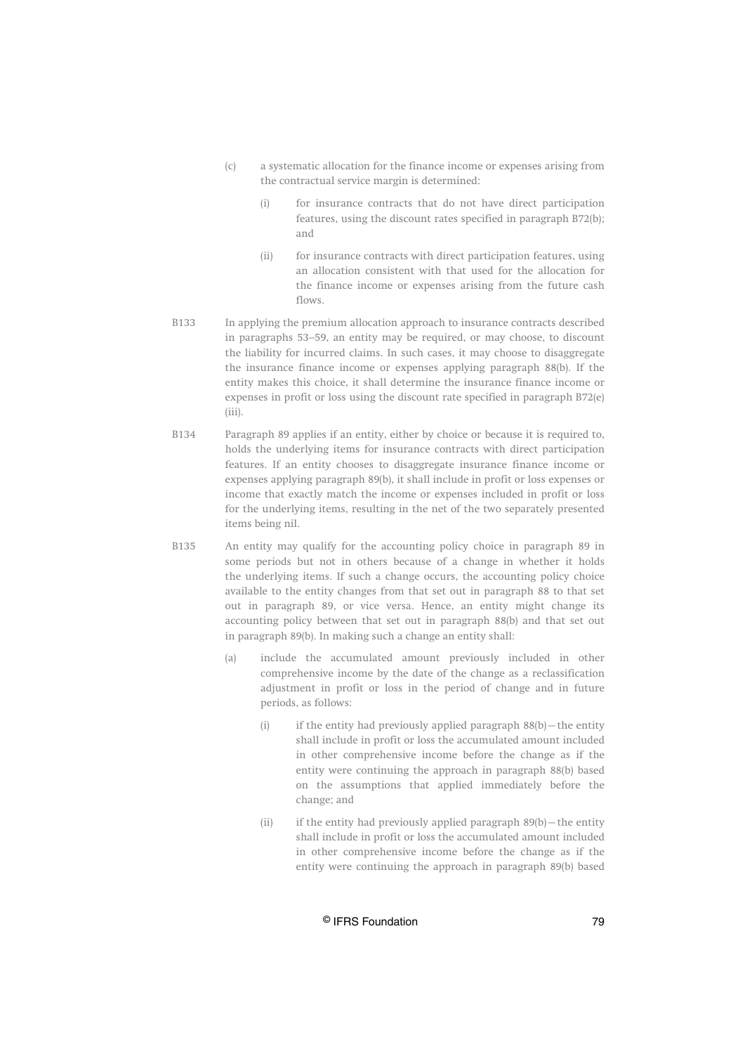- (c) a systematic allocation for the finance income or expenses arising from the contractual service margin is determined:
	- (i) for insurance contracts that do not have direct participation features, using the discount rates specified in [paragraph B72\(b\)](#page-60-0); and
	- (ii) for insurance contracts with direct participation features, using an allocation consistent with that used for the allocation for the finance income or expenses arising from the future cash flows.
- In applying the premium allocation approach to insurance contracts described in [paragraphs 53–59,](#page-16-0) an entity may be required, or may choose, to discount the liability for incurred claims. In such cases, it may choose to disaggregate the insurance finance income or expenses applying paragraph 88(b). If the entity makes this choice, it shall determine the insurance finance income or expenses in profit or loss using the discount rate specified in [paragraph B72\(e\)](#page-60-0)  $(iii)$ . B133
- Paragraph 89 applies if an entity, either by choice or because it is required to, holds the underlying items for insurance contracts with direct participation features. If an entity chooses to disaggregate insurance finance income or expenses applying paragraph 89(b), it shall include in profit or loss expenses or income that exactly match the income or expenses included in profit or loss for the underlying items, resulting in the net of the two separately presented items being nil. B134
- An entity may qualify for the accounting policy choice in paragraph 89 in some periods but not in others because of a change in whether it holds the underlying items. If such a change occurs, the accounting policy choice available to the entity changes from that set out in paragraph 88 to that set out in paragraph 89, or vice versa. Hence, an entity might change its accounting policy between that set out in paragraph 88(b) and that set out in paragraph 89(b). In making such a change an entity shall: B135
	- (a) include the accumulated amount previously included in other comprehensive income by the date of the change as a reclassification adjustment in profit or loss in the period of change and in future periods, as follows:
		- (i) if the entity had previously applied paragraph 88(b)—the entity shall include in profit or loss the accumulated amount included in other comprehensive income before the change as if the entity were continuing the approach in paragraph 88(b) based on the assumptions that applied immediately before the change; and
		- (ii) if the entity had previously applied paragraph 89(b)—the entity shall include in profit or loss the accumulated amount included in other comprehensive income before the change as if the entity were continuing the approach in paragraph 89(b) based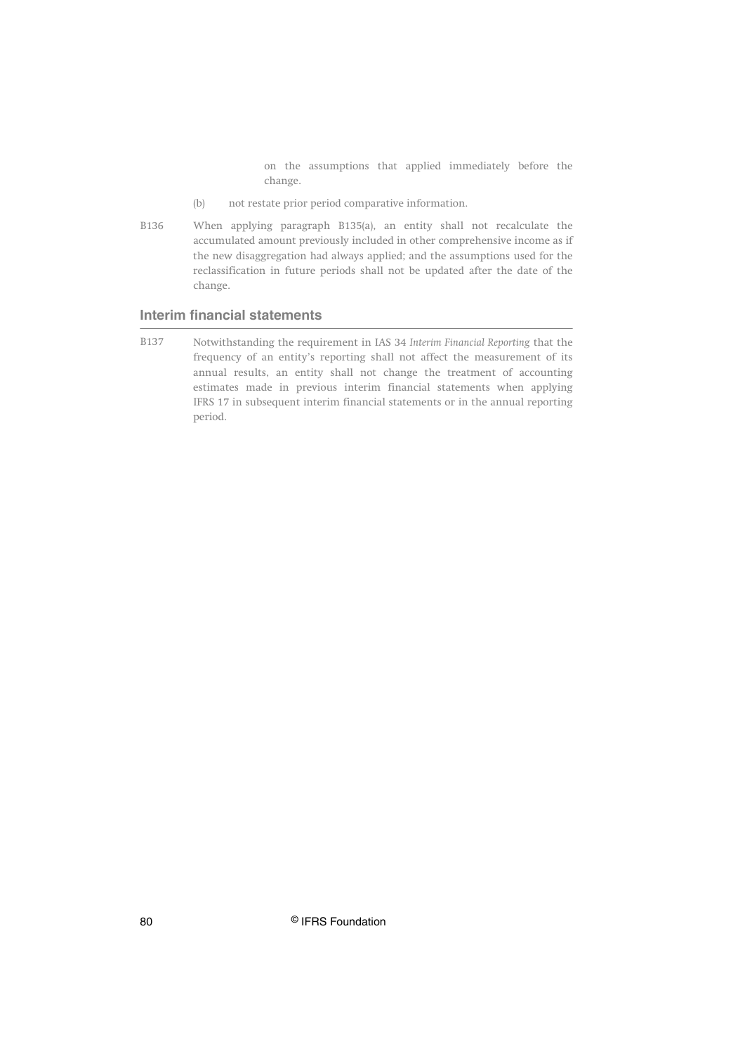on the assumptions that applied immediately before the change.

- (b) not restate prior period comparative information.
- When applying paragraph B135(a), an entity shall not recalculate the accumulated amount previously included in other comprehensive income as if the new disaggregation had always applied; and the assumptions used for the reclassification in future periods shall not be updated after the date of the change. B136

# **Interim financial statements**

Notwithstanding the requirement in IAS 34 *Interim Financial Reporting* that the frequency of an entity's reporting shall not affect the measurement of its annual results, an entity shall not change the treatment of accounting estimates made in previous interim financial statements when applying IFRS 17 in subsequent interim financial statements or in the annual reporting period. B137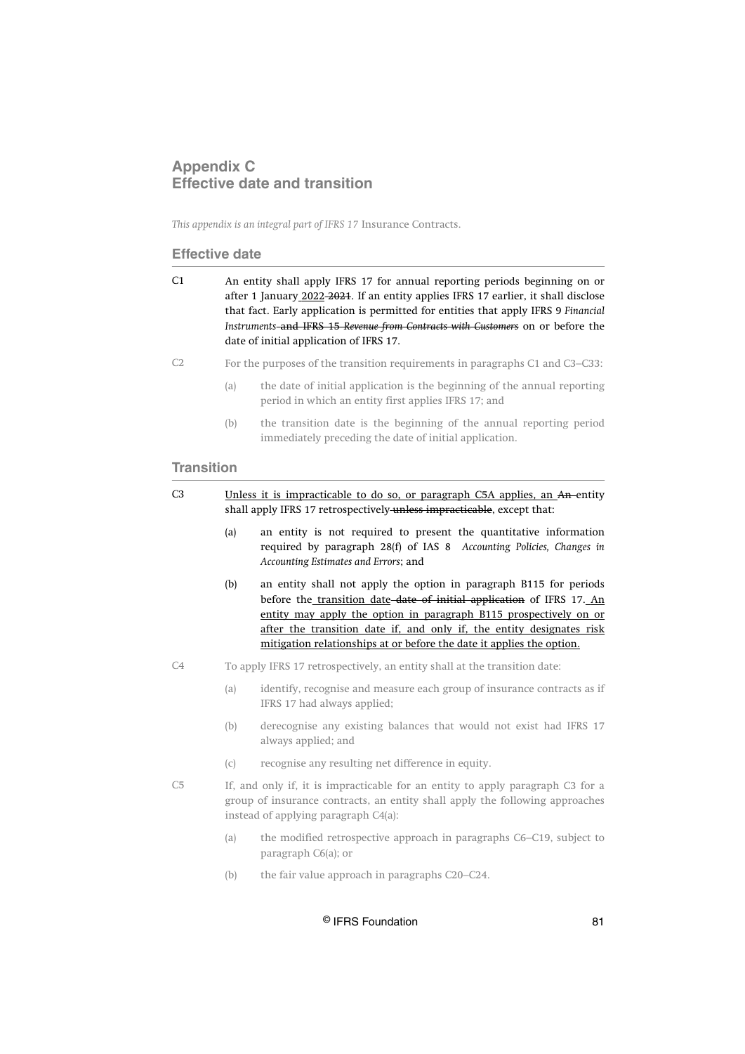# **Appendix C Effective date and transition**

*This appendix is an integral part of IFRS 17* Insurance Contracts.

# **Effective date**

|                | Eliccuve uale                                                                                                                                                                                          |                                                                                                                                                                                                                                                                                                                                                                                     |  |
|----------------|--------------------------------------------------------------------------------------------------------------------------------------------------------------------------------------------------------|-------------------------------------------------------------------------------------------------------------------------------------------------------------------------------------------------------------------------------------------------------------------------------------------------------------------------------------------------------------------------------------|--|
| C1             |                                                                                                                                                                                                        | An entity shall apply IFRS 17 for annual reporting periods beginning on or<br>after 1 January 2022-2021. If an entity applies IFRS 17 earlier, it shall disclose<br>that fact. Early application is permitted for entities that apply IFRS 9 Financial<br>Instruments-and IFRS 15 Revenue from Contracts with Customers on or before the<br>date of initial application of IFRS 17. |  |
| C2             |                                                                                                                                                                                                        | For the purposes of the transition requirements in paragraphs C1 and C3–C33:                                                                                                                                                                                                                                                                                                        |  |
|                | (a)                                                                                                                                                                                                    | the date of initial application is the beginning of the annual reporting<br>period in which an entity first applies IFRS 17; and                                                                                                                                                                                                                                                    |  |
|                | (b)                                                                                                                                                                                                    | the transition date is the beginning of the annual reporting period<br>immediately preceding the date of initial application.                                                                                                                                                                                                                                                       |  |
|                | <b>Transition</b>                                                                                                                                                                                      |                                                                                                                                                                                                                                                                                                                                                                                     |  |
| C3             | Unless it is impracticable to do so, or paragraph C5A applies, an An-entity<br>shall apply IFRS 17 retrospectively unless impracticable, except that:                                                  |                                                                                                                                                                                                                                                                                                                                                                                     |  |
|                | (a)                                                                                                                                                                                                    | an entity is not required to present the quantitative information<br>required by paragraph 28(f) of IAS 8 Accounting Policies, Changes in<br>Accounting Estimates and Errors; and                                                                                                                                                                                                   |  |
|                | (b)                                                                                                                                                                                                    | an entity shall not apply the option in paragraph B115 for periods<br>before the transition date-date of initial application of IFRS 17. An<br>entity may apply the option in paragraph B115 prospectively on or<br>after the transition date if, and only if, the entity designates risk<br>mitigation relationships at or before the date it applies the option.                  |  |
| C4             |                                                                                                                                                                                                        | To apply IFRS 17 retrospectively, an entity shall at the transition date:                                                                                                                                                                                                                                                                                                           |  |
|                | (a)                                                                                                                                                                                                    | identify, recognise and measure each group of insurance contracts as if<br>IFRS 17 had always applied;                                                                                                                                                                                                                                                                              |  |
|                | (b)                                                                                                                                                                                                    | derecognise any existing balances that would not exist had IFRS 17<br>always applied; and                                                                                                                                                                                                                                                                                           |  |
|                | (C)                                                                                                                                                                                                    | recognise any resulting net difference in equity.                                                                                                                                                                                                                                                                                                                                   |  |
| C <sub>5</sub> | If, and only if, it is impracticable for an entity to apply paragraph C3 for a<br>group of insurance contracts, an entity shall apply the following approaches<br>instead of applying paragraph C4(a): |                                                                                                                                                                                                                                                                                                                                                                                     |  |
|                | (a)                                                                                                                                                                                                    | the modified retrospective approach in paragraphs C6–C19, subject to<br>paragraph C6(a); or                                                                                                                                                                                                                                                                                         |  |
|                | (b)                                                                                                                                                                                                    | the fair value approach in paragraphs C20–C24.                                                                                                                                                                                                                                                                                                                                      |  |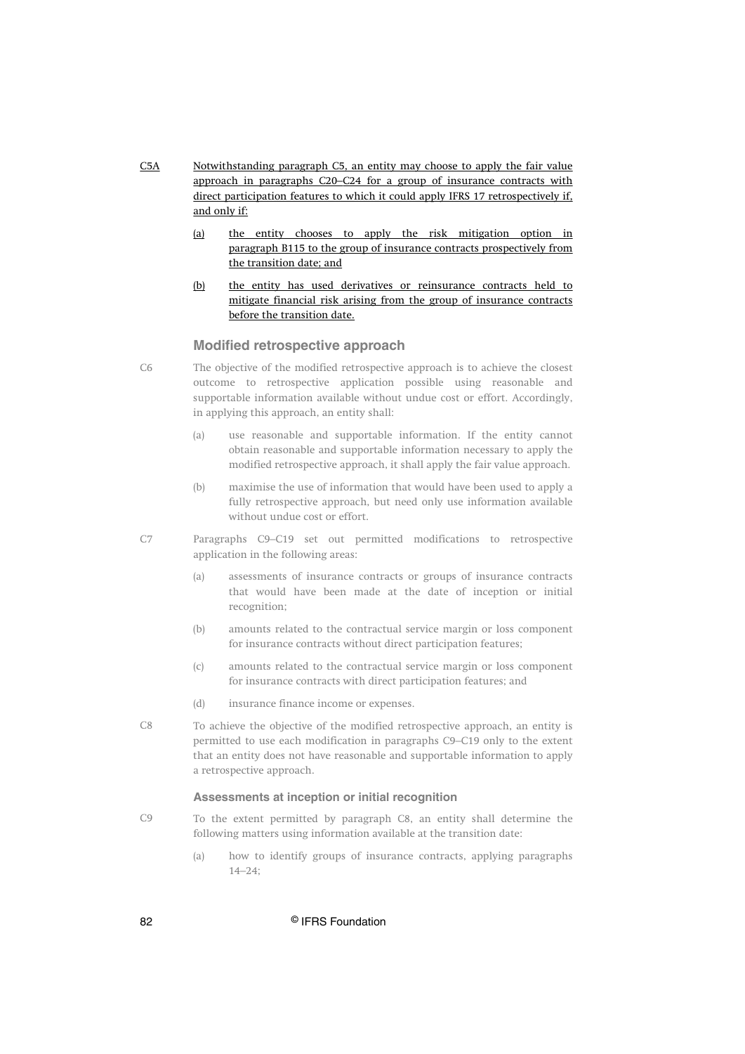- <span id="page-81-0"></span>Notwithstanding paragraph C5, an entity may choose to apply the fair value approach in paragraphs C20–C24 for a group of insurance contracts with direct participation features to which it could apply IFRS 17 retrospectively if, and only if:  $C5A$ 
	- (a) the entity chooses to apply the risk mitigation option in paragraph B115 to the group of insurance contracts prospectively from the transition date; and
	- (b) the entity has used derivatives or reinsurance contracts held to mitigate financial risk arising from the group of insurance contracts before the transition date.

# **Modified retrospective approach**

- The objective of the modified retrospective approach is to achieve the closest outcome to retrospective application possible using reasonable and supportable information available without undue cost or effort. Accordingly, in applying this approach, an entity shall:  $C<sub>6</sub>$ 
	- (a) use reasonable and supportable information. If the entity cannot obtain reasonable and supportable information necessary to apply the modified retrospective approach, it shall apply the fair value approach.
	- (b) maximise the use of information that would have been used to apply a fully retrospective approach, but need only use information available without undue cost or effort.
- Paragraphs C9–C19 set out permitted modifications to retrospective application in the following areas: C7
	- (a) assessments of insurance contracts or groups of insurance contracts that would have been made at the date of inception or initial recognition;
	- (b) amounts related to the contractual service margin or loss component for insurance contracts without direct participation features;
	- (c) amounts related to the contractual service margin or loss component for insurance contracts with direct participation features; and
	- (d) insurance finance income or expenses.
- To achieve the objective of the modified retrospective approach, an entity is permitted to use each modification in paragraphs C9–C19 only to the extent that an entity does not have reasonable and supportable information to apply a retrospective approach.  $C8$

## **Assessments at inception or initial recognition**

- To the extent permitted by paragraph C8, an entity shall determine the following matters using information available at the transition date: C9
	- (a) how to identify groups of insurance contracts, applying [paragraphs](#page-5-0) [14–24;](#page-5-0)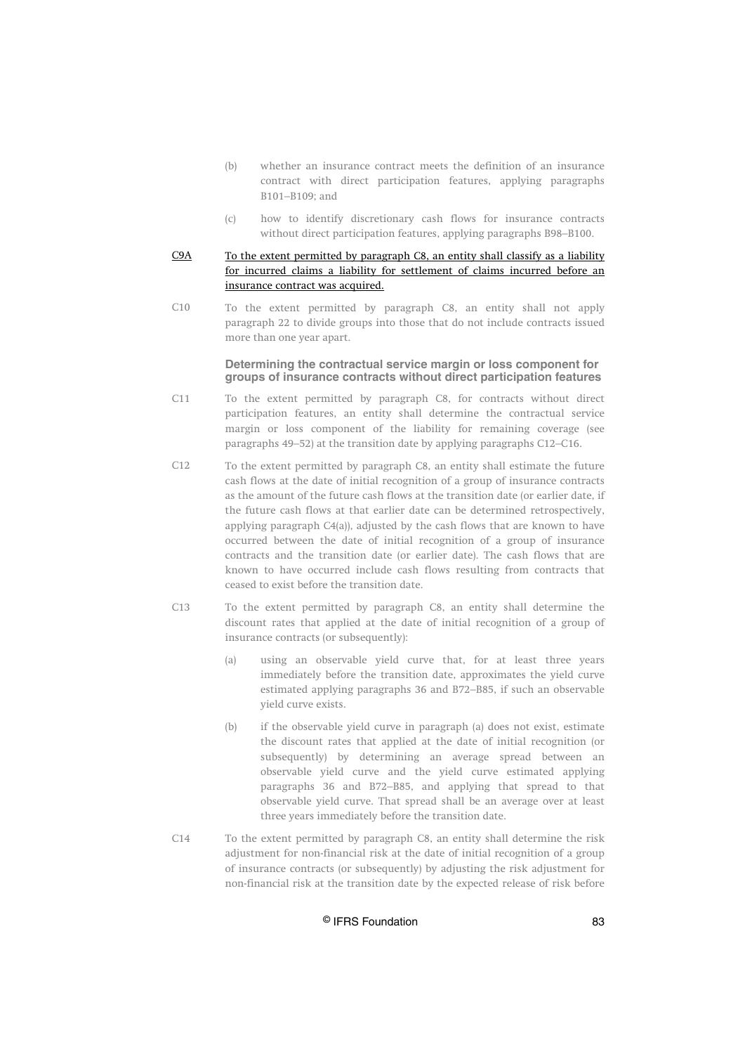- (b) whether an insurance contract meets the definition of an insurance contract with direct participation features, applying [paragraphs](#page-69-0) [B101–B109;](#page-69-0) and
- (c) how to identify discretionary cash flows for insurance contracts without direct participation features, applying paragraphs B98–B100.

#### To the extent permitted by paragraph C8, an entity shall classify as a liability for incurred claims a liability for settlement of claims incurred before an insurance contract was acquired. C9A

To the extent permitted by paragraph C8, an entity shall not apply paragraph 22 to divide groups into those that do not include contracts issued more than one year apart.  $C10$ 

### **Determining the contractual service margin or loss component for groups of insurance contracts without direct participation features**

- To the extent permitted by paragraph C8, for contracts without direct participation features, an entity shall determine the contractual service margin or loss component of the liability for remaining coverage (see paragraphs 49–52) at the transition date by applying paragraphs C12–C16. C11
- To the extent permitted by paragraph C8, an entity shall estimate the future cash flows at the date of initial recognition of a group of insurance contracts as the amount of the future cash flows at the transition date (or earlier date, if the future cash flows at that earlier date can be determined retrospectively, applying paragraph C4(a)), adjusted by the cash flows that are known to have occurred between the date of initial recognition of a group of insurance contracts and the transition date (or earlier date). The cash flows that are known to have occurred include cash flows resulting from contracts that ceased to exist before the transition date.  $C12$
- To the extent permitted by paragraph C8, an entity shall determine the discount rates that applied at the date of initial recognition of a group of insurance contracts (or subsequently): C13
	- (a) using an observable yield curve that, for at least three years immediately before the transition date, approximates the yield curve estimated applying [paragraphs 36](#page-11-0) and [B72–B85,](#page-60-0) if such an observable yield curve exists.
	- (b) if the observable yield curve in paragraph (a) does not exist, estimate the discount rates that applied at the date of initial recognition (or subsequently) by determining an average spread between an observable yield curve and the yield curve estimated applying [paragraphs 36](#page-11-0) and [B72–B85](#page-60-0), and applying that spread to that observable yield curve. That spread shall be an average over at least three years immediately before the transition date.
- To the extent permitted by paragraph C8, an entity shall determine the risk adjustment for non-financial risk at the date of initial recognition of a group of insurance contracts (or subsequently) by adjusting the risk adjustment for non-financial risk at the transition date by the expected release of risk before  $C14$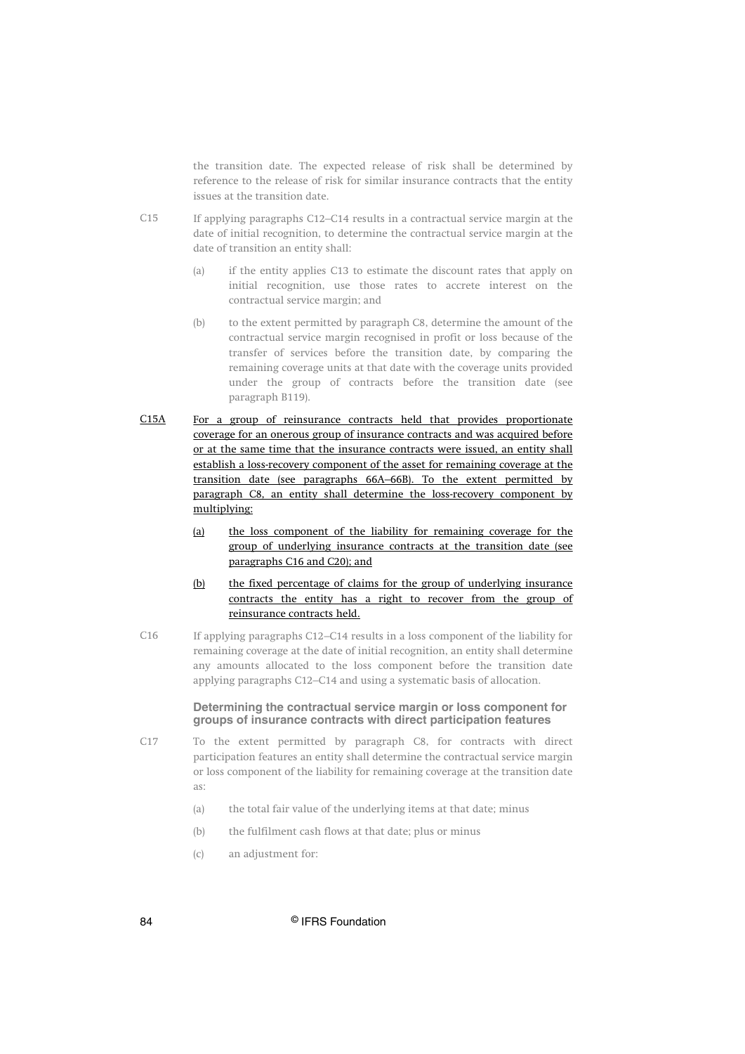the transition date. The expected release of risk shall be determined by reference to the release of risk for similar insurance contracts that the entity issues at the transition date.

- If applying paragraphs C12–C14 results in a contractual service margin at the date of initial recognition, to determine the contractual service margin at the date of transition an entity shall:  $C15$ 
	- (a) if the entity applies C13 to estimate the discount rates that apply on initial recognition, use those rates to accrete interest on the contractual service margin; and
	- (b) to the extent permitted by paragraph C8, determine the amount of the contractual service margin recognised in profit or loss because of the transfer of services before the transition date, by comparing the remaining coverage units at that date with the coverage units provided under the group of contracts before the transition date (see [paragraph B119\)](#page-72-0).
- For a group of reinsurance contracts held that provides proportionate coverage for an onerous group of insurance contracts and was acquired before or at the same time that the insurance contracts were issued, an entity shall establish a loss-recovery component of the asset for remaining coverage at the transition date (see paragraphs 66A–66B). To the extent permitted by paragraph C8, an entity shall determine the loss-recovery component by multiplying: C15A
	- (a) the loss component of the liability for remaining coverage for the group of underlying insurance contracts at the transition date (see paragraphs C16 and C20); and
	- (b) the fixed percentage of claims for the group of underlying insurance contracts the entity has a right to recover from the group of reinsurance contracts held.
- If applying paragraphs C12–C14 results in a loss component of the liability for remaining coverage at the date of initial recognition, an entity shall determine any amounts allocated to the loss component before the transition date applying paragraphs C12–C14 and using a systematic basis of allocation. C16

### **Determining the contractual service margin or loss component for groups of insurance contracts with direct participation features**

- To the extent permitted by paragraph C8, for contracts with direct participation features an entity shall determine the contractual service margin or loss component of the liability for remaining coverage at the transition date as: C17
	- (a) the total fair value of the underlying items at that date; minus
	- (b) the fulfilment cash flows at that date; plus or minus
	- (c) an adjustment for: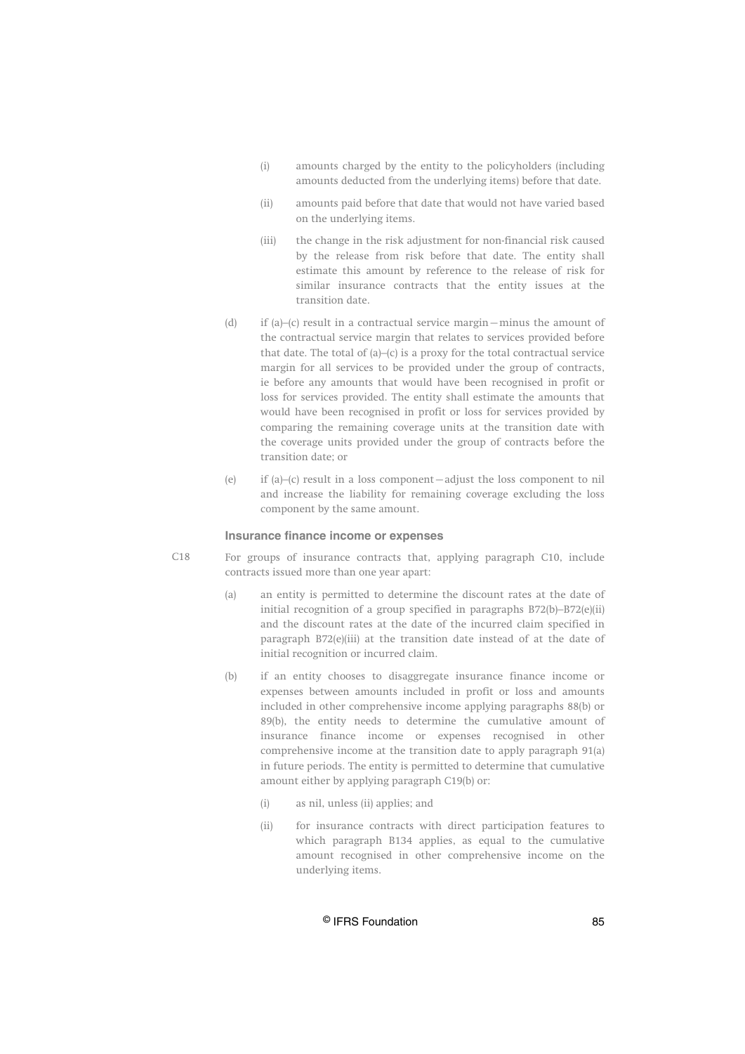- (i) amounts charged by the entity to the policyholders (including amounts deducted from the underlying items) before that date.
- (ii) amounts paid before that date that would not have varied based on the underlying items.
- (iii) the change in the risk adjustment for non-financial risk caused by the release from risk before that date. The entity shall estimate this amount by reference to the release of risk for similar insurance contracts that the entity issues at the transition date.
- (d) if (a)–(c) result in a contractual service margin—minus the amount of the contractual service margin that relates to services provided before that date. The total of  $(a)$ – $(c)$  is a proxy for the total contractual service margin for all services to be provided under the group of contracts, ie before any amounts that would have been recognised in profit or loss for services provided. The entity shall estimate the amounts that would have been recognised in profit or loss for services provided by comparing the remaining coverage units at the transition date with the coverage units provided under the group of contracts before the transition date; or
- (e) if (a)–(c) result in a loss component—adjust the loss component to nil and increase the liability for remaining coverage excluding the loss component by the same amount.

# **Insurance finance income or expenses**

- For groups of insurance contracts that, applying paragraph C10, include contracts issued more than one year apart:  $C18$ 
	- (a) an entity is permitted to determine the discount rates at the date of initial recognition of a group specified in [paragraphs B72\(b\)–B72\(e\)\(ii\)](#page-60-0) and the discount rates at the date of the incurred claim specified in [paragraph B72\(e\)\(iii\)](#page-60-0) at the transition date instead of at the date of initial recognition or incurred claim.
	- (b) if an entity chooses to disaggregate insurance finance income or expenses between amounts included in profit or loss and amounts included in other comprehensive income applying paragraphs 88(b) or 89(b), the entity needs to determine the cumulative amount of insurance finance income or expenses recognised in other comprehensive income at the transition date to apply paragraph 91(a) in future periods. The entity is permitted to determine that cumulative amount either by applying paragraph C19(b) or:
		- (i) as nil, unless (ii) applies; and
		- (ii) for insurance contracts with direct participation features to which paragraph B134 applies, as equal to the cumulative amount recognised in other comprehensive income on the underlying items.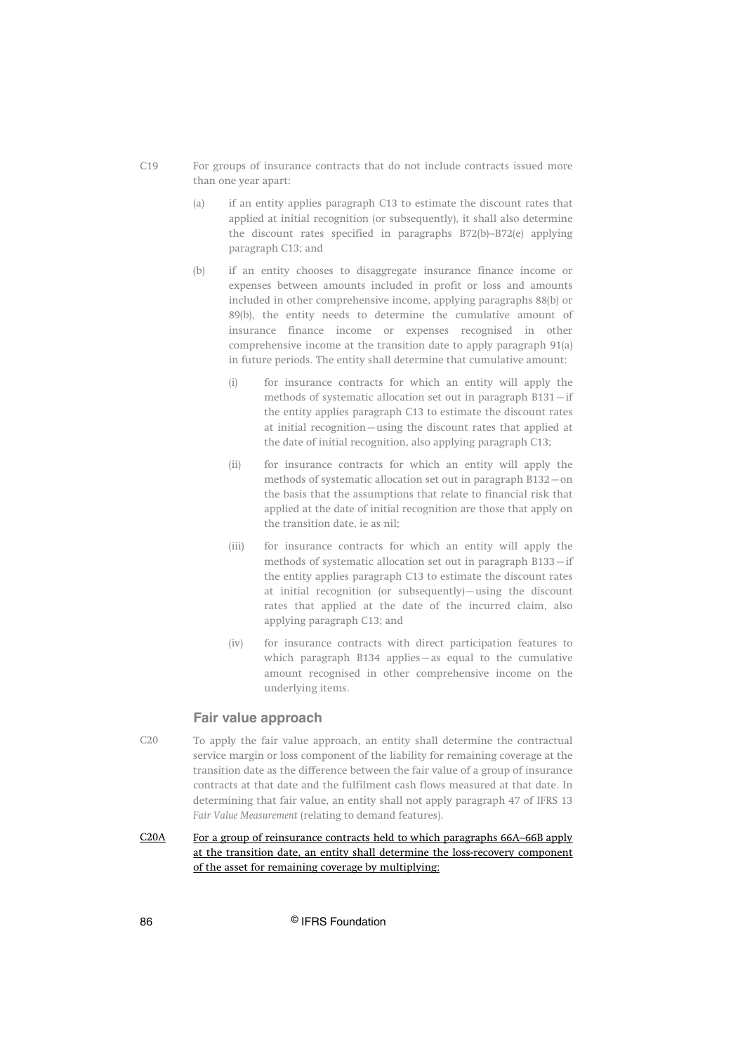- <span id="page-85-0"></span>For groups of insurance contracts that do not include contracts issued more than one year apart: C19
	- (a) if an entity applies paragraph C13 to estimate the discount rates that applied at initial recognition (or subsequently), it shall also determine the discount rates specified in [paragraphs B72\(b\)–B72\(e\)](#page-60-0) applying paragraph C13; and
	- (b) if an entity chooses to disaggregate insurance finance income or expenses between amounts included in profit or loss and amounts included in other comprehensive income, applying paragraphs 88(b) or 89(b), the entity needs to determine the cumulative amount of insurance finance income or expenses recognised in other comprehensive income at the transition date to apply paragraph 91(a) in future periods. The entity shall determine that cumulative amount:
		- (i) for insurance contracts for which an entity will apply the methods of systematic allocation set out in paragraph B131—if the entity applies paragraph C13 to estimate the discount rates at initial recognition—using the discount rates that applied at the date of initial recognition, also applying paragraph C13;
		- (ii) for insurance contracts for which an entity will apply the methods of systematic allocation set out in paragraph B132—on the basis that the assumptions that relate to financial risk that applied at the date of initial recognition are those that apply on the transition date, ie as nil;
		- (iii) for insurance contracts for which an entity will apply the methods of systematic allocation set out in paragraph B133—if the entity applies paragraph C13 to estimate the discount rates at initial recognition (or subsequently)—using the discount rates that applied at the date of the incurred claim, also applying paragraph C13; and
		- (iv) for insurance contracts with direct participation features to which paragraph B134 applies—as equal to the cumulative amount recognised in other comprehensive income on the underlying items.

# **Fair value approach**

- To apply the fair value approach, an entity shall determine the contractual service margin or loss component of the liability for remaining coverage at the transition date as the difference between the fair value of a group of insurance contracts at that date and the fulfilment cash flows measured at that date. In determining that fair value, an entity shall not apply paragraph 47 of IFRS 13 *Fair Value Measurement* (relating to demand features). C<sub>20</sub>
- For a group of reinsurance contracts held to which paragraphs 66A–66B apply at the transition date, an entity shall determine the loss-recovery component of the asset for remaining coverage by multiplying: C20A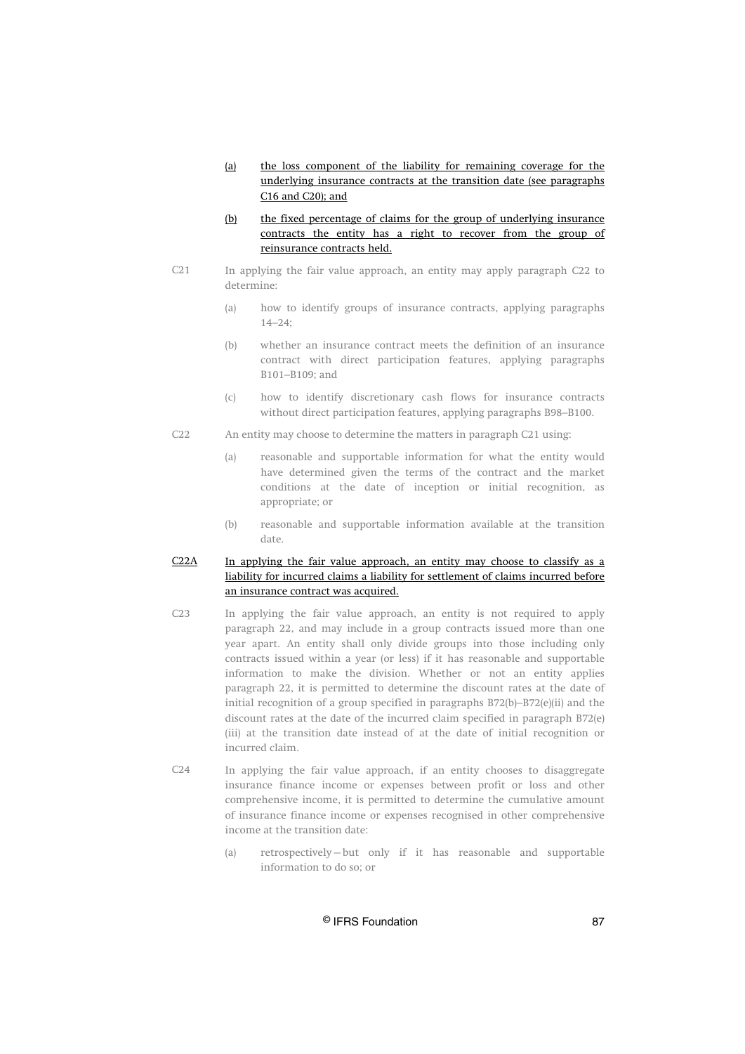- (a) the loss component of the liability for remaining coverage for the underlying insurance contracts at the transition date (see paragraphs C16 and C20); and
- (b) the fixed percentage of claims for the group of underlying insurance contracts the entity has a right to recover from the group of reinsurance contracts held.
- In applying the fair value approach, an entity may apply paragraph C22 to determine: C21
	- (a) how to identify groups of insurance contracts, applying [paragraphs](#page-5-0) [14–24](#page-5-0);
	- (b) whether an insurance contract meets the definition of an insurance contract with direct participation features, applying paragraphs B101–B109; and
	- (c) how to identify discretionary cash flows for insurance contracts without direct participation features, applying paragraphs B98–B100.
- An entity may choose to determine the matters in paragraph C21 using: C<sub>22</sub>
	- (a) reasonable and supportable information for what the entity would have determined given the terms of the contract and the market conditions at the date of inception or initial recognition, as appropriate; or
	- (b) reasonable and supportable information available at the transition date.

#### In applying the fair value approach, an entity may choose to classify as a liability for incurred claims a liability for settlement of claims incurred before an insurance contract was acquired. C22A

- In applying the fair value approach, an entity is not required to apply paragraph 22, and may include in a group contracts issued more than one year apart. An entity shall only divide groups into those including only contracts issued within a year (or less) if it has reasonable and supportable information to make the division. Whether or not an entity applies paragraph 22, it is permitted to determine the discount rates at the date of initial recognition of a group specified in [paragraphs B72\(b\)–B72\(e\)\(ii\)](#page-60-0) and the discount rates at the date of the incurred claim specified in [paragraph B72\(e\)](#page-60-0) [\(iii\)](#page-60-0) at the transition date instead of at the date of initial recognition or incurred claim.  $C23$
- In applying the fair value approach, if an entity chooses to disaggregate insurance finance income or expenses between profit or loss and other comprehensive income, it is permitted to determine the cumulative amount of insurance finance income or expenses recognised in other comprehensive income at the transition date: C24
	- (a) retrospectively—but only if it has reasonable and supportable information to do so; or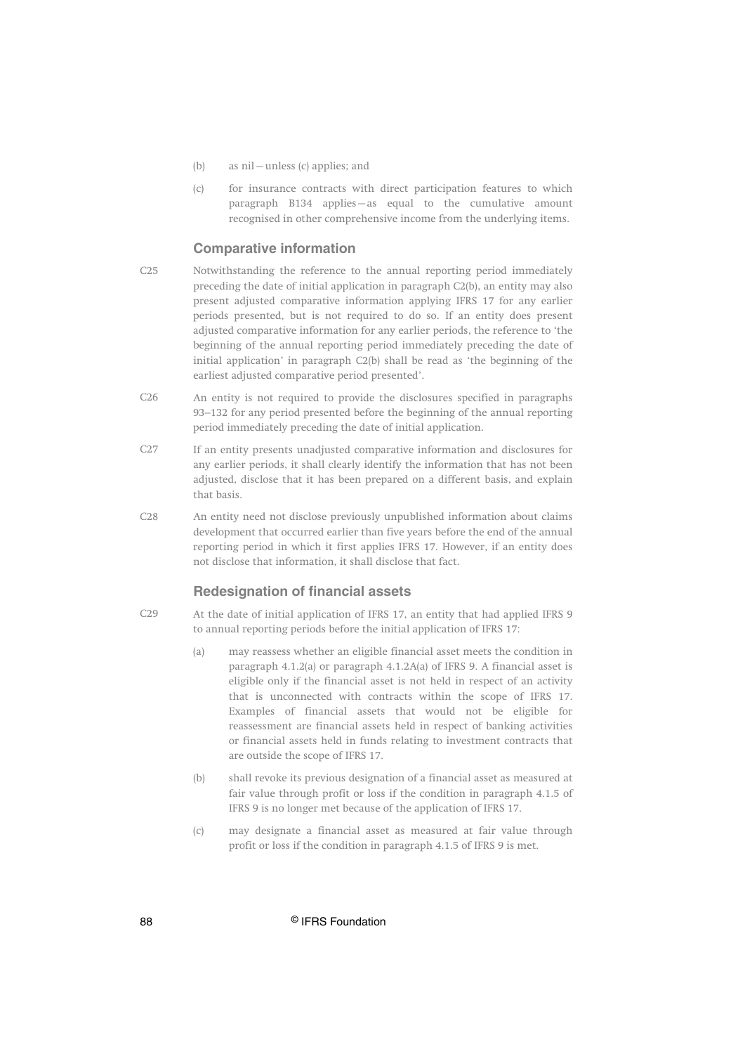- <span id="page-87-0"></span>(b) as nil—unless (c) applies; and
- (c) for insurance contracts with direct participation features to which paragraph B134 applies—as equal to the cumulative amount recognised in other comprehensive income from the underlying items.

# **Comparative information**

Notwithstanding the reference to the annual reporting period immediately preceding the date of initial application in paragraph C2(b), an entity may also present adjusted comparative information applying IFRS 17 for any earlier periods presented, but is not required to do so. If an entity does present adjusted comparative information for any earlier periods, the reference to 'the beginning of the annual reporting period immediately preceding the date of initial application' in paragraph C2(b) shall be read as 'the beginning of the earliest adjusted comparative period presented'. C25

- An entity is not required to provide the disclosures specified in [paragraphs](#page-26-0) [93–132](#page-26-0) for any period presented before the beginning of the annual reporting period immediately preceding the date of initial application. C26
- If an entity presents unadjusted comparative information and disclosures for any earlier periods, it shall clearly identify the information that has not been adjusted, disclose that it has been prepared on a different basis, and explain that basis. C27
- An entity need not disclose previously unpublished information about claims development that occurred earlier than five years before the end of the annual reporting period in which it first applies IFRS 17. However, if an entity does not disclose that information, it shall disclose that fact. C28

# **Redesignation of financial assets**

- At the date of initial application of IFRS 17, an entity that had applied IFRS 9 to annual reporting periods before the initial application of IFRS 17: C<sub>29</sub>
	- (a) may reassess whether an eligible financial asset meets the condition in paragraph 4.1.2(a) or paragraph 4.1.2A(a) of IFRS 9. A financial asset is eligible only if the financial asset is not held in respect of an activity that is unconnected with contracts within the [scope of IFRS 17](#page-2-0). Examples of financial assets that would not be eligible for reassessment are financial assets held in respect of banking activities or financial assets held in funds relating to investment contracts that are outside the scope of IFRS 17.
	- (b) shall revoke its previous designation of a financial asset as measured at fair value through profit or loss if the condition in paragraph 4.1.5 of IFRS 9 is no longer met because of the application of IFRS 17.
	- (c) may designate a financial asset as measured at fair value through profit or loss if the condition in paragraph 4.1.5 of IFRS 9 is met.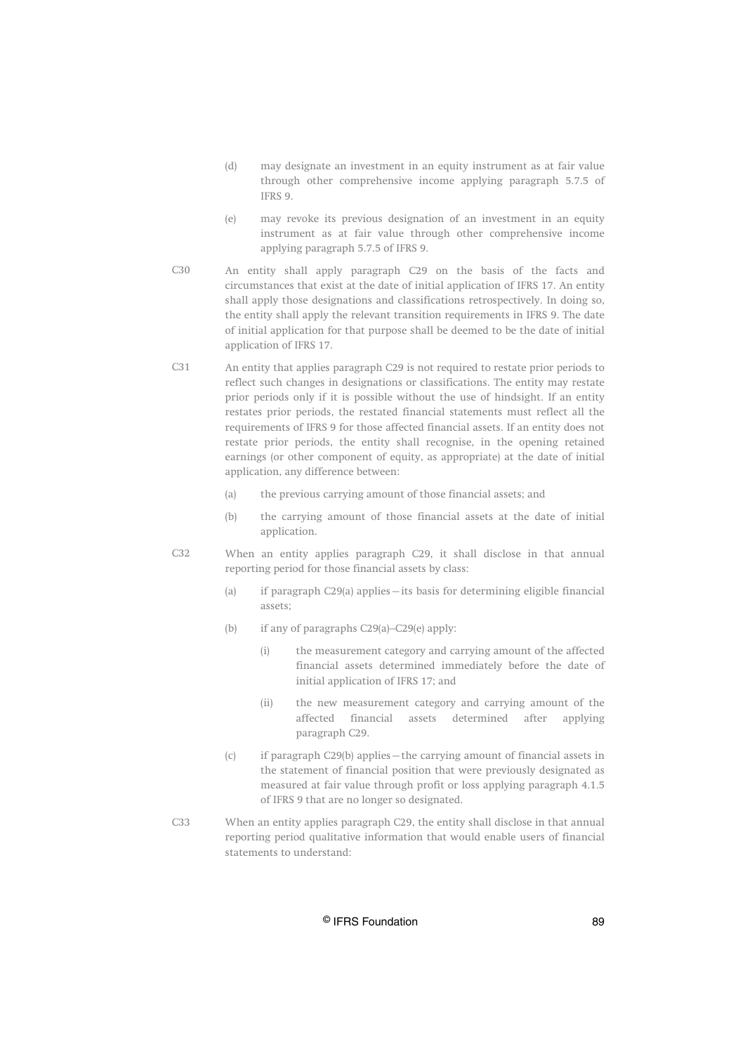- (d) may designate an investment in an equity instrument as at fair value through other comprehensive income applying paragraph 5.7.5 of IFRS 9.
- (e) may revoke its previous designation of an investment in an equity instrument as at fair value through other comprehensive income applying paragraph 5.7.5 of IFRS 9.
- An entity shall apply [paragraph C29](#page-87-0) on the basis of the facts and circumstances that exist at the date of initial application of IFRS 17. An entity shall apply those designations and classifications retrospectively. In doing so, the entity shall apply the relevant transition requirements in IFRS 9. The date of initial application for that purpose shall be deemed to be the date of initial application of IFRS 17. C30
- An entity that applies [paragraph C29](#page-87-0) is not required to restate prior periods to reflect such changes in designations or classifications. The entity may restate prior periods only if it is possible without the use of hindsight. If an entity restates prior periods, the restated financial statements must reflect all the requirements of IFRS 9 for those affected financial assets. If an entity does not restate prior periods, the entity shall recognise, in the opening retained earnings (or other component of equity, as appropriate) at the date of initial application, any difference between:  $C31$ 
	- (a) the previous carrying amount of those financial assets; and
	- (b) the carrying amount of those financial assets at the date of initial application.
- When an entity applies [paragraph C29,](#page-87-0) it shall disclose in that annual reporting period for those financial assets by class: C32
	- (a) if [paragraph C29\(a\)](#page-87-0) applies—its basis for determining eligible financial assets;
	- (b) if any of [paragraphs C29\(a\)–C29\(e\)](#page-87-0) apply:
		- (i) the measurement category and carrying amount of the affected financial assets determined immediately before the date of initial application of IFRS 17; and
		- (ii) the new measurement category and carrying amount of the affected financial assets determined after applying paragraph C29.
	- (c) if [paragraph C29\(b\)](#page-87-0) applies—the carrying amount of financial assets in the statement of financial position that were previously designated as measured at fair value through profit or loss applying paragraph 4.1.5 of IFRS 9 that are no longer so designated.
- When an entity applies [paragraph C29](#page-87-0), the entity shall disclose in that annual reporting period qualitative information that would enable users of financial statements to understand: C33